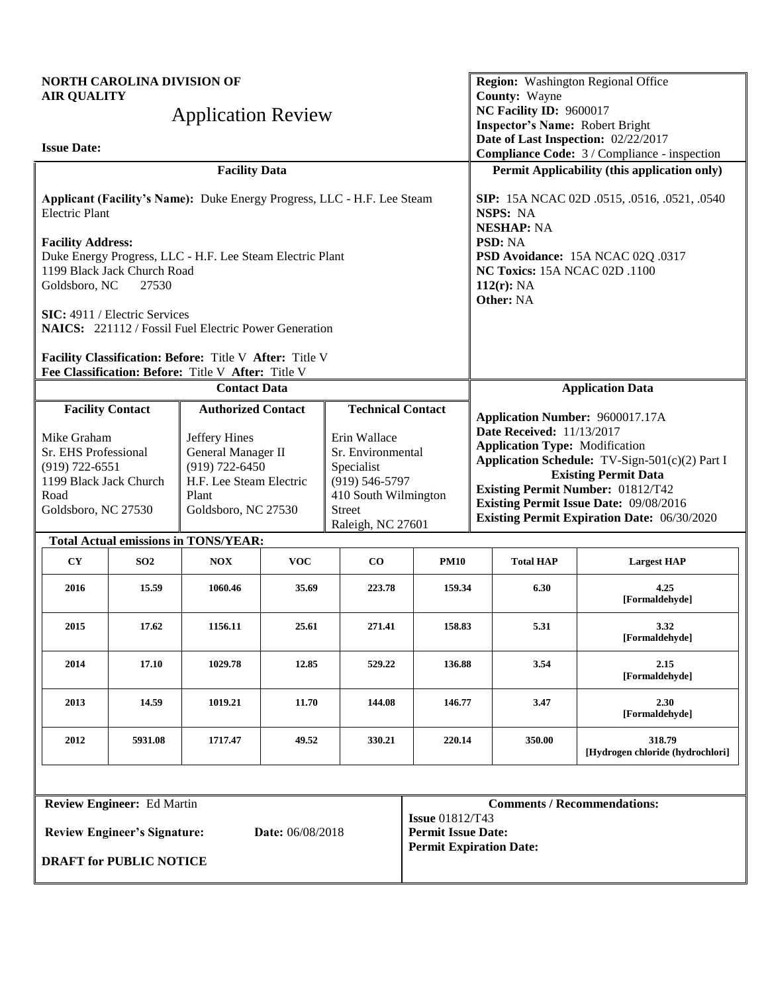| <b>AIR QUALITY</b>                                                                                                 | <b>NORTH CAROLINA DIVISION OF</b>    | <b>Application Review</b>                                                                                            |            |                                                                                                                                     |                                                             | County: Wayne<br>NC Facility ID: 9600017                                                                                                                                                                                                                                                               | Region: Washington Regional Office                                                                                            |  |
|--------------------------------------------------------------------------------------------------------------------|--------------------------------------|----------------------------------------------------------------------------------------------------------------------|------------|-------------------------------------------------------------------------------------------------------------------------------------|-------------------------------------------------------------|--------------------------------------------------------------------------------------------------------------------------------------------------------------------------------------------------------------------------------------------------------------------------------------------------------|-------------------------------------------------------------------------------------------------------------------------------|--|
| <b>Issue Date:</b>                                                                                                 |                                      |                                                                                                                      |            |                                                                                                                                     |                                                             |                                                                                                                                                                                                                                                                                                        | <b>Inspector's Name: Robert Bright</b><br>Date of Last Inspection: 02/22/2017<br>Compliance Code: 3 / Compliance - inspection |  |
|                                                                                                                    |                                      | <b>Facility Data</b>                                                                                                 |            |                                                                                                                                     |                                                             |                                                                                                                                                                                                                                                                                                        | Permit Applicability (this application only)                                                                                  |  |
| <b>Electric Plant</b>                                                                                              |                                      | Applicant (Facility's Name): Duke Energy Progress, LLC - H.F. Lee Steam                                              |            |                                                                                                                                     |                                                             | NSPS: NA<br><b>NESHAP: NA</b>                                                                                                                                                                                                                                                                          | SIP: 15A NCAC 02D .0515, .0516, .0521, .0540                                                                                  |  |
| <b>Facility Address:</b><br>Goldsboro, NC                                                                          | 1199 Black Jack Church Road<br>27530 | Duke Energy Progress, LLC - H.F. Lee Steam Electric Plant                                                            |            |                                                                                                                                     |                                                             | PSD: NA<br>$112(r)$ : NA                                                                                                                                                                                                                                                                               | PSD Avoidance: 15A NCAC 02Q .0317<br>NC Toxics: 15A NCAC 02D .1100                                                            |  |
|                                                                                                                    | SIC: 4911 / Electric Services        | <b>NAICS:</b> 221112 / Fossil Fuel Electric Power Generation                                                         |            |                                                                                                                                     |                                                             | Other: NA                                                                                                                                                                                                                                                                                              |                                                                                                                               |  |
|                                                                                                                    |                                      | Facility Classification: Before: Title V After: Title V<br>Fee Classification: Before: Title V After: Title V        |            |                                                                                                                                     |                                                             |                                                                                                                                                                                                                                                                                                        |                                                                                                                               |  |
|                                                                                                                    |                                      | <b>Contact Data</b>                                                                                                  |            |                                                                                                                                     |                                                             |                                                                                                                                                                                                                                                                                                        | <b>Application Data</b>                                                                                                       |  |
| <b>Facility Contact</b>                                                                                            |                                      | <b>Authorized Contact</b>                                                                                            |            | <b>Technical Contact</b>                                                                                                            |                                                             | Application Number: 9600017.17A                                                                                                                                                                                                                                                                        |                                                                                                                               |  |
| Mike Graham<br>Sr. EHS Professional<br>$(919) 722 - 6551$<br>1199 Black Jack Church<br>Road<br>Goldsboro, NC 27530 |                                      | Jeffery Hines<br>General Manager II<br>$(919) 722 - 6450$<br>H.F. Lee Steam Electric<br>Plant<br>Goldsboro, NC 27530 |            | Erin Wallace<br>Sr. Environmental<br>Specialist<br>$(919) 546 - 5797$<br>410 South Wilmington<br><b>Street</b><br>Raleigh, NC 27601 |                                                             | <b>Date Received: 11/13/2017</b><br><b>Application Type: Modification</b><br>Application Schedule: TV-Sign-501(c)(2) Part I<br><b>Existing Permit Data</b><br><b>Existing Permit Number: 01812/T42</b><br>Existing Permit Issue Date: 09/08/2016<br><b>Existing Permit Expiration Date: 06/30/2020</b> |                                                                                                                               |  |
|                                                                                                                    |                                      | <b>Total Actual emissions in TONS/YEAR:</b>                                                                          |            |                                                                                                                                     |                                                             |                                                                                                                                                                                                                                                                                                        |                                                                                                                               |  |
| CY                                                                                                                 | SO <sub>2</sub>                      | <b>NOX</b>                                                                                                           | <b>VOC</b> | $\bf CO$                                                                                                                            | <b>PM10</b>                                                 | <b>Total HAP</b>                                                                                                                                                                                                                                                                                       | <b>Largest HAP</b>                                                                                                            |  |
| 2016                                                                                                               | 15.59                                | 1060.46                                                                                                              | 35.69      | 223.78                                                                                                                              | 159.34                                                      | 6.30                                                                                                                                                                                                                                                                                                   | 4.25<br>[Formaldehyde]                                                                                                        |  |
| 2015                                                                                                               | 17.62                                | 1156.11                                                                                                              | 25.61      | 271.41                                                                                                                              | 158.83                                                      | 5.31                                                                                                                                                                                                                                                                                                   | 3.32<br>[Formaldehyde]                                                                                                        |  |
| 2014                                                                                                               | 17.10                                | 1029.78                                                                                                              | 12.85      | 529.22                                                                                                                              | 136.88                                                      | 3.54                                                                                                                                                                                                                                                                                                   | 2.15<br>[Formaldehyde]                                                                                                        |  |
| 2013                                                                                                               | 14.59                                | 1019.21                                                                                                              | 11.70      | 144.08                                                                                                                              | 146.77                                                      | 3.47                                                                                                                                                                                                                                                                                                   | 2.30<br>[Formaldehyde]                                                                                                        |  |
| 2012                                                                                                               | 5931.08                              | 1717.47                                                                                                              | 49.52      | 330.21                                                                                                                              | 220.14                                                      | 350.00                                                                                                                                                                                                                                                                                                 | 318.79<br>[Hydrogen chloride (hydrochlori]                                                                                    |  |
|                                                                                                                    |                                      |                                                                                                                      |            |                                                                                                                                     |                                                             |                                                                                                                                                                                                                                                                                                        |                                                                                                                               |  |
| <b>Review Engineer:</b> Ed Martin                                                                                  |                                      |                                                                                                                      |            |                                                                                                                                     | <b>Issue 01812/T43</b>                                      |                                                                                                                                                                                                                                                                                                        | <b>Comments / Recommendations:</b>                                                                                            |  |
| Date: 06/08/2018<br><b>Review Engineer's Signature:</b>                                                            |                                      |                                                                                                                      |            |                                                                                                                                     | <b>Permit Issue Date:</b><br><b>Permit Expiration Date:</b> |                                                                                                                                                                                                                                                                                                        |                                                                                                                               |  |
|                                                                                                                    | <b>DRAFT for PUBLIC NOTICE</b>       |                                                                                                                      |            |                                                                                                                                     |                                                             |                                                                                                                                                                                                                                                                                                        |                                                                                                                               |  |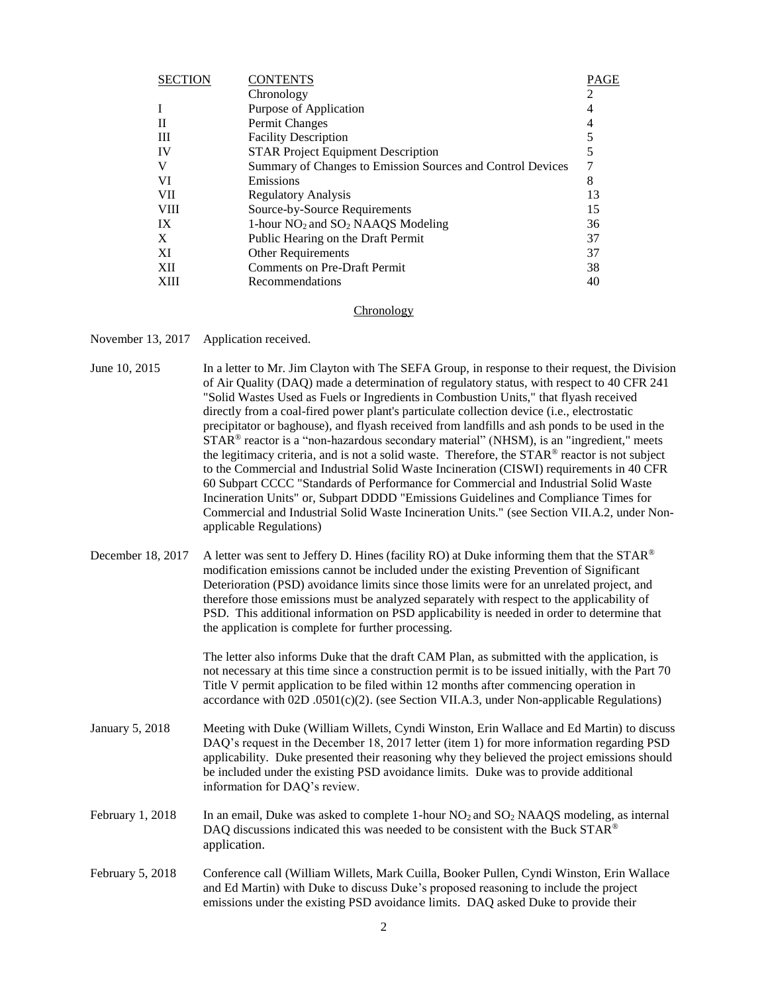| <b>SECTION</b> | <b>CONTENTS</b>                                            | PAGE |
|----------------|------------------------------------------------------------|------|
|                | Chronology                                                 |      |
|                | Purpose of Application                                     | 4    |
|                | Permit Changes                                             |      |
| Ш              | <b>Facility Description</b>                                | 5    |
| IV             | <b>STAR Project Equipment Description</b>                  | 5    |
|                | Summary of Changes to Emission Sources and Control Devices |      |
| VI             | Emissions                                                  | 8    |
| VII            | <b>Regulatory Analysis</b>                                 | 13   |
| <b>VIII</b>    | Source-by-Source Requirements                              | 15   |
| IX             | 1-hour $NO_2$ and $SO_2$ NAAQS Modeling                    | 36   |
| X              | Public Hearing on the Draft Permit                         | 37   |
| XI             | <b>Other Requirements</b>                                  | 37   |
| XII            | <b>Comments on Pre-Draft Permit</b>                        | 38   |
| XIII           | Recommendations                                            | 40   |
|                |                                                            |      |

### **Chronology**

November 13, 2017 Application received.

| June 10, 2015 | In a letter to Mr. Jim Clayton with The SEFA Group, in response to their request, the Division   |
|---------------|--------------------------------------------------------------------------------------------------|
|               | of Air Quality (DAQ) made a determination of regulatory status, with respect to 40 CFR 241       |
|               | "Solid Wastes Used as Fuels or Ingredients in Combustion Units," that flyash received            |
|               | directly from a coal-fired power plant's particulate collection device (i.e., electrostatic      |
|               | precipitator or baghouse), and flyash received from landfills and ash ponds to be used in the    |
|               | $STAR^{\circ}$ reactor is a "non-hazardous secondary material" (NHSM), is an "ingredient," meets |
|               | the legitimacy criteria, and is not a solid waste. Therefore, the STAR® reactor is not subject   |
|               | to the Commercial and Industrial Solid Waste Incineration (CISWI) requirements in 40 CFR         |
|               | 60 Subpart CCCC "Standards of Performance for Commercial and Industrial Solid Waste              |
|               | Incineration Units" or, Subpart DDDD "Emissions Guidelines and Compliance Times for              |
|               | Commercial and Industrial Solid Waste Incineration Units." (see Section VII.A.2, under Non-      |
|               | applicable Regulations)                                                                          |
|               |                                                                                                  |

December 18, 2017 A letter was sent to Jeffery D. Hines (facility RO) at Duke informing them that the STAR<sup>®</sup> modification emissions cannot be included under the existing Prevention of Significant Deterioration (PSD) avoidance limits since those limits were for an unrelated project, and therefore those emissions must be analyzed separately with respect to the applicability of PSD. This additional information on PSD applicability is needed in order to determine that the application is complete for further processing.

> The letter also informs Duke that the draft CAM Plan, as submitted with the application, is not necessary at this time since a construction permit is to be issued initially, with the Part 70 Title V permit application to be filed within 12 months after commencing operation in accordance with  $02D$  .0501(c)(2). (see Section VII.A.3, under Non-applicable Regulations)

- January 5, 2018 Meeting with Duke (William Willets, Cyndi Winston, Erin Wallace and Ed Martin) to discuss DAQ's request in the December 18, 2017 letter (item 1) for more information regarding PSD applicability. Duke presented their reasoning why they believed the project emissions should be included under the existing PSD avoidance limits. Duke was to provide additional information for DAQ's review.
- February 1, 2018 In an email, Duke was asked to complete 1-hour  $NO<sub>2</sub>$  and  $SO<sub>2</sub>$  NAAQS modeling, as internal DAQ discussions indicated this was needed to be consistent with the Buck STAR® application.
- February 5, 2018 Conference call (William Willets, Mark Cuilla, Booker Pullen, Cyndi Winston, Erin Wallace and Ed Martin) with Duke to discuss Duke's proposed reasoning to include the project emissions under the existing PSD avoidance limits. DAQ asked Duke to provide their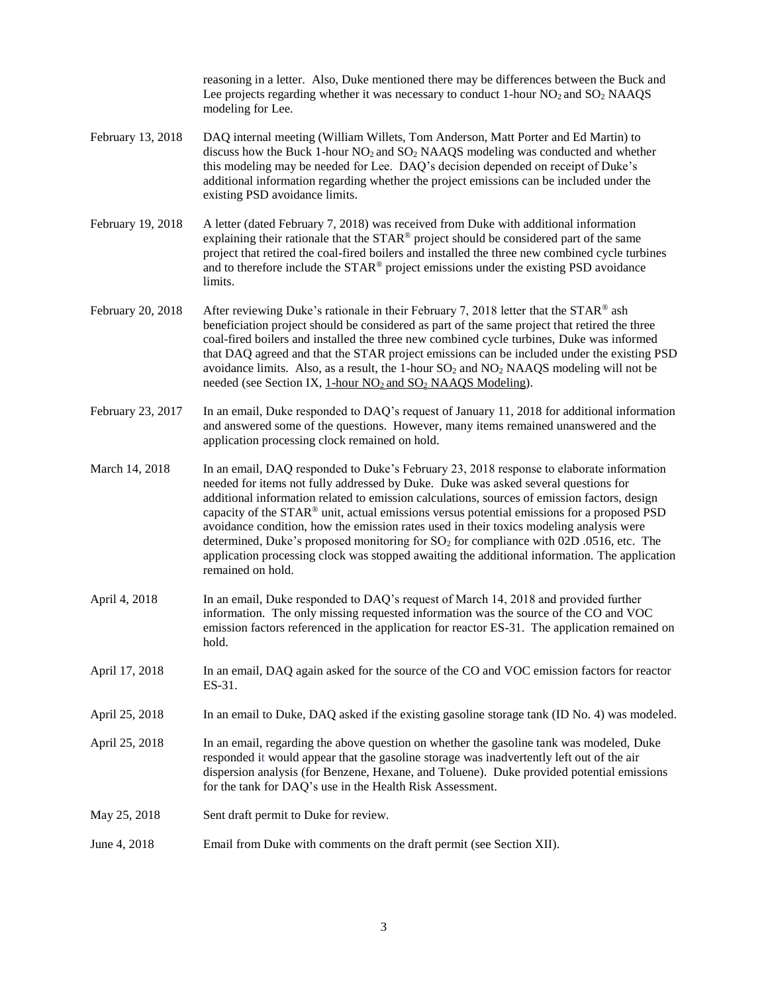reasoning in a letter. Also, Duke mentioned there may be differences between the Buck and Lee projects regarding whether it was necessary to conduct 1-hour  $NO_2$  and  $SO_2$  NAAQS modeling for Lee.

- February 13, 2018 DAQ internal meeting (William Willets, Tom Anderson, Matt Porter and Ed Martin) to discuss how the Buck 1-hour  $NO<sub>2</sub>$  and  $SO<sub>2</sub>$  NAAQS modeling was conducted and whether this modeling may be needed for Lee. DAQ's decision depended on receipt of Duke's additional information regarding whether the project emissions can be included under the existing PSD avoidance limits.
- February 19, 2018 A letter (dated February 7, 2018) was received from Duke with additional information explaining their rationale that the STAR® project should be considered part of the same project that retired the coal-fired boilers and installed the three new combined cycle turbines and to therefore include the STAR® project emissions under the existing PSD avoidance limits.
- February 20, 2018 After reviewing Duke's rationale in their February 7, 2018 letter that the STAR<sup>®</sup> ash beneficiation project should be considered as part of the same project that retired the three coal-fired boilers and installed the three new combined cycle turbines, Duke was informed that DAQ agreed and that the STAR project emissions can be included under the existing PSD avoidance limits. Also, as a result, the 1-hour  $SO_2$  and  $NO_2$  NAAQS modeling will not be needed (see Section IX, 1-hour  $NO_2$  and  $SO_2$  NAAQS Modeling).
- February 23, 2017 In an email, Duke responded to DAQ's request of January 11, 2018 for additional information and answered some of the questions. However, many items remained unanswered and the application processing clock remained on hold.
- March 14, 2018 In an email, DAQ responded to Duke's February 23, 2018 response to elaborate information needed for items not fully addressed by Duke. Duke was asked several questions for additional information related to emission calculations, sources of emission factors, design capacity of the STAR® unit, actual emissions versus potential emissions for a proposed PSD avoidance condition, how the emission rates used in their toxics modeling analysis were determined, Duke's proposed monitoring for  $SO<sub>2</sub>$  for compliance with 02D .0516, etc. The application processing clock was stopped awaiting the additional information. The application remained on hold.
- April 4, 2018 In an email, Duke responded to DAQ's request of March 14, 2018 and provided further information. The only missing requested information was the source of the CO and VOC emission factors referenced in the application for reactor ES-31. The application remained on hold.
- April 17, 2018 In an email, DAQ again asked for the source of the CO and VOC emission factors for reactor ES-31.
- April 25, 2018 In an email to Duke, DAQ asked if the existing gasoline storage tank (ID No. 4) was modeled.
- April 25, 2018 In an email, regarding the above question on whether the gasoline tank was modeled, Duke responded it would appear that the gasoline storage was inadvertently left out of the air dispersion analysis (for Benzene, Hexane, and Toluene). Duke provided potential emissions for the tank for DAQ's use in the Health Risk Assessment.
- May 25, 2018 Sent draft permit to Duke for review.
- June 4, 2018 Email from Duke with comments on the draft permit (see Section XII).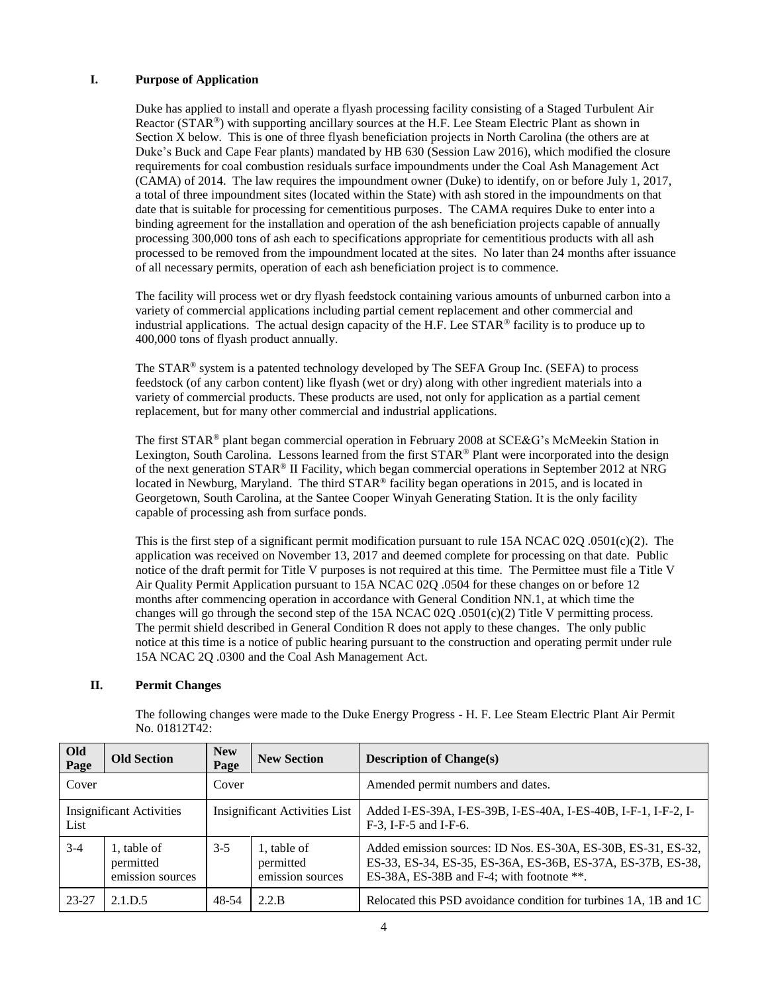# **I. Purpose of Application**

Duke has applied to install and operate a flyash processing facility consisting of a Staged Turbulent Air Reactor (STAR®) with supporting ancillary sources at the H.F. Lee Steam Electric Plant as shown in Section X below. This is one of three flyash beneficiation projects in North Carolina (the others are at Duke's Buck and Cape Fear plants) mandated by HB 630 (Session Law 2016), which modified the closure requirements for coal combustion residuals surface impoundments under the Coal Ash Management Act (CAMA) of 2014. The law requires the impoundment owner (Duke) to identify, on or before July 1, 2017, a total of three impoundment sites (located within the State) with ash stored in the impoundments on that date that is suitable for processing for cementitious purposes. The CAMA requires Duke to enter into a binding agreement for the installation and operation of the ash beneficiation projects capable of annually processing 300,000 tons of ash each to specifications appropriate for cementitious products with all ash processed to be removed from the impoundment located at the sites. No later than 24 months after issuance of all necessary permits, operation of each ash beneficiation project is to commence.

The facility will process wet or dry flyash feedstock containing various amounts of unburned carbon into a variety of commercial applications including partial cement replacement and other commercial and industrial applications. The actual design capacity of the H.F. Lee STAR® facility is to produce up to 400,000 tons of flyash product annually.

The STAR® system is a patented technology developed by The SEFA Group Inc. (SEFA) to process feedstock (of any carbon content) like flyash (wet or dry) along with other ingredient materials into a variety of commercial products. These products are used, not only for application as a partial cement replacement, but for many other commercial and industrial applications.

The first STAR® plant began commercial operation in February 2008 at SCE&G's McMeekin Station in Lexington, South Carolina. Lessons learned from the first STAR® Plant were incorporated into the design of the next generation STAR® II Facility, which began commercial operations in September 2012 at NRG located in Newburg, Maryland. The third STAR® facility began operations in 2015, and is located in Georgetown, South Carolina, at the Santee Cooper Winyah Generating Station. It is the only facility capable of processing ash from surface ponds.

This is the first step of a significant permit modification pursuant to rule 15A NCAC 02Q .0501(c)(2). The application was received on November 13, 2017 and deemed complete for processing on that date. Public notice of the draft permit for Title V purposes is not required at this time. The Permittee must file a Title V Air Quality Permit Application pursuant to 15A NCAC 02Q .0504 for these changes on or before 12 months after commencing operation in accordance with General Condition NN.1, at which time the changes will go through the second step of the 15A NCAC 02Q .0501(c)(2) Title V permitting process. The permit shield described in General Condition R does not apply to these changes. The only public notice at this time is a notice of public hearing pursuant to the construction and operating permit under rule 15A NCAC 2Q .0300 and the Coal Ash Management Act.

# **II. Permit Changes**

| Old<br>Page                             | <b>Old Section</b>                           | <b>New</b><br>Page                   | <b>New Section</b>                           | <b>Description of Change(s)</b>                                                                                                                                           |  |  |
|-----------------------------------------|----------------------------------------------|--------------------------------------|----------------------------------------------|---------------------------------------------------------------------------------------------------------------------------------------------------------------------------|--|--|
| Cover                                   |                                              | Cover                                |                                              | Amended permit numbers and dates.                                                                                                                                         |  |  |
| <b>Insignificant Activities</b><br>List |                                              | <b>Insignificant Activities List</b> |                                              | Added I-ES-39A, I-ES-39B, I-ES-40A, I-ES-40B, I-F-1, I-F-2, I-<br>F-3, I-F-5 and I-F-6.                                                                                   |  |  |
| $3-4$                                   | 1, table of<br>permitted<br>emission sources | $3 - 5$                              | 1, table of<br>permitted<br>emission sources | Added emission sources: ID Nos. ES-30A, ES-30B, ES-31, ES-32,<br>ES-33, ES-34, ES-35, ES-36A, ES-36B, ES-37A, ES-37B, ES-38,<br>ES-38A, ES-38B and F-4; with footnote **. |  |  |
| 23-27                                   | 2.1.D.5                                      | 48-54                                | 2.2.B                                        | Relocated this PSD avoidance condition for turbines 1A, 1B and 1C                                                                                                         |  |  |

The following changes were made to the Duke Energy Progress - H. F. Lee Steam Electric Plant Air Permit No. 01812T42: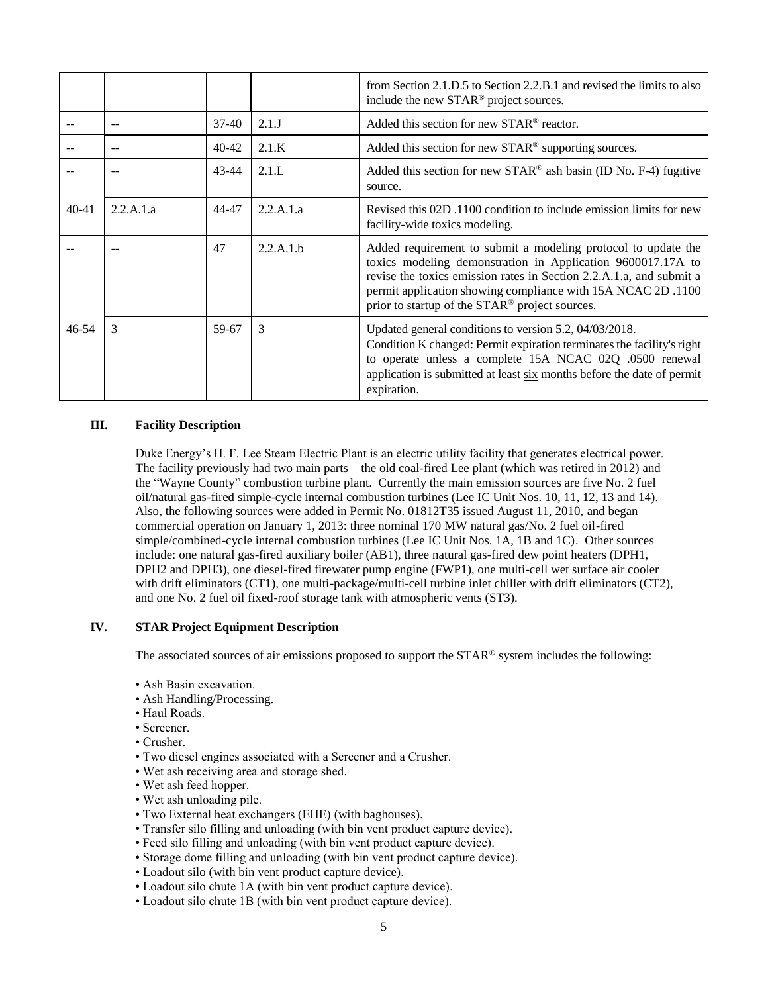|           |           |         |           | from Section 2.1.D.5 to Section 2.2.B.1 and revised the limits to also<br>include the new STAR <sup>®</sup> project sources.                                                                                                                                                                                          |
|-----------|-----------|---------|-----------|-----------------------------------------------------------------------------------------------------------------------------------------------------------------------------------------------------------------------------------------------------------------------------------------------------------------------|
|           | $\sim$    | $37-40$ | 2.1J      | Added this section for new STAR <sup>®</sup> reactor.                                                                                                                                                                                                                                                                 |
|           | $-$       | 40-42   | 2.1.K     | Added this section for new STAR <sup>®</sup> supporting sources.                                                                                                                                                                                                                                                      |
|           |           | 43-44   | 2.1.L     | Added this section for new $STAR^{\circledast}$ ash basin (ID No. F-4) fugitive<br>source.                                                                                                                                                                                                                            |
| $40 - 41$ | 2.2.A.1.a | 44-47   | 2.2.A.1.a | Revised this 02D, 1100 condition to include emission limits for new<br>facility-wide toxics modeling.                                                                                                                                                                                                                 |
|           |           | 47      | 2.2.A.1.b | Added requirement to submit a modeling protocol to update the<br>toxics modeling demonstration in Application 9600017.17A to<br>revise the toxics emission rates in Section 2.2.A.1.a, and submit a<br>permit application showing compliance with 15A NCAC 2D .1100<br>prior to startup of the STAR® project sources. |
| $46 - 54$ | 3         | 59-67   | 3         | Updated general conditions to version 5.2, 04/03/2018.<br>Condition K changed: Permit expiration terminates the facility's right<br>to operate unless a complete 15A NCAC 02Q .0500 renewal<br>application is submitted at least six months before the date of permit<br>expiration.                                  |

# **III. Facility Description**

Duke Energy's H. F. Lee Steam Electric Plant is an electric utility facility that generates electrical power. The facility previously had two main parts – the old coal-fired Lee plant (which was retired in 2012) and the "Wayne County" combustion turbine plant. Currently the main emission sources are five No. 2 fuel oil/natural gas-fired simple-cycle internal combustion turbines (Lee IC Unit Nos. 10, 11, 12, 13 and 14). Also, the following sources were added in Permit No. 01812T35 issued August 11, 2010, and began commercial operation on January 1, 2013: three nominal 170 MW natural gas/No. 2 fuel oil-fired simple/combined-cycle internal combustion turbines (Lee IC Unit Nos. 1A, 1B and 1C). Other sources include: one natural gas-fired auxiliary boiler (AB1), three natural gas-fired dew point heaters (DPH1, DPH2 and DPH3), one diesel-fired firewater pump engine (FWP1), one multi-cell wet surface air cooler with drift eliminators (CT1), one multi-package/multi-cell turbine inlet chiller with drift eliminators (CT2), and one No. 2 fuel oil fixed-roof storage tank with atmospheric vents (ST3).

# **IV. STAR Project Equipment Description**

The associated sources of air emissions proposed to support the STAR® system includes the following:

- Ash Basin excavation.
- Ash Handling/Processing.
- Haul Roads.
- Screener.
- Crusher.
- Two diesel engines associated with a Screener and a Crusher.
- Wet ash receiving area and storage shed.
- Wet ash feed hopper.
- Wet ash unloading pile.
- Two External heat exchangers (EHE) (with baghouses).
- Transfer silo filling and unloading (with bin vent product capture device).
- Feed silo filling and unloading (with bin vent product capture device).
- Storage dome filling and unloading (with bin vent product capture device).
- Loadout silo (with bin vent product capture device).
- Loadout silo chute 1A (with bin vent product capture device).
- Loadout silo chute 1B (with bin vent product capture device).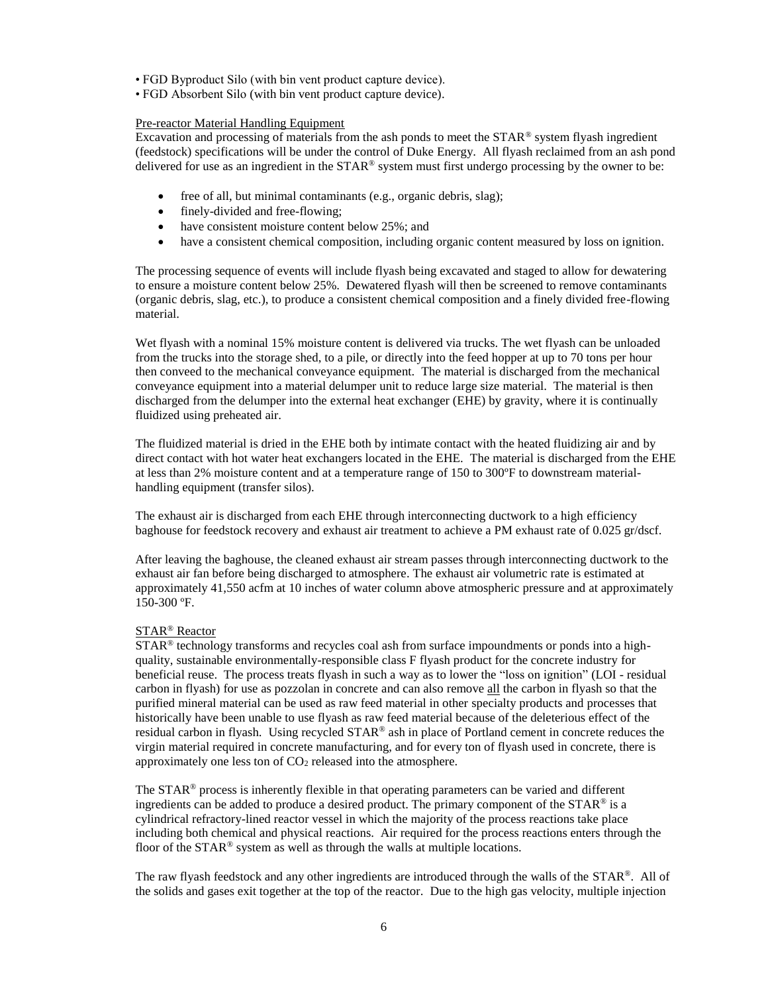- FGD Byproduct Silo (with bin vent product capture device).
- FGD Absorbent Silo (with bin vent product capture device).

# Pre-reactor Material Handling Equipment

Excavation and processing of materials from the ash ponds to meet the  $STAR<sup>®</sup>$  system flyash ingredient (feedstock) specifications will be under the control of Duke Energy. All flyash reclaimed from an ash pond delivered for use as an ingredient in the  $STAR^@$  system must first undergo processing by the owner to be:

- free of all, but minimal contaminants (e.g., organic debris, slag);
- finely-divided and free-flowing;
- have consistent moisture content below 25%; and
- have a consistent chemical composition, including organic content measured by loss on ignition.

The processing sequence of events will include flyash being excavated and staged to allow for dewatering to ensure a moisture content below 25%. Dewatered flyash will then be screened to remove contaminants (organic debris, slag, etc.), to produce a consistent chemical composition and a finely divided free-flowing material.

Wet flyash with a nominal 15% moisture content is delivered via trucks. The wet flyash can be unloaded from the trucks into the storage shed, to a pile, or directly into the feed hopper at up to 70 tons per hour then conveed to the mechanical conveyance equipment. The material is discharged from the mechanical conveyance equipment into a material delumper unit to reduce large size material. The material is then discharged from the delumper into the external heat exchanger (EHE) by gravity, where it is continually fluidized using preheated air.

The fluidized material is dried in the EHE both by intimate contact with the heated fluidizing air and by direct contact with hot water heat exchangers located in the EHE. The material is discharged from the EHE at less than 2% moisture content and at a temperature range of 150 to 300ºF to downstream materialhandling equipment (transfer silos).

The exhaust air is discharged from each EHE through interconnecting ductwork to a high efficiency baghouse for feedstock recovery and exhaust air treatment to achieve a PM exhaust rate of 0.025 gr/dscf.

After leaving the baghouse, the cleaned exhaust air stream passes through interconnecting ductwork to the exhaust air fan before being discharged to atmosphere. The exhaust air volumetric rate is estimated at approximately 41,550 acfm at 10 inches of water column above atmospheric pressure and at approximately 150-300 ºF.

# STAR® Reactor

STAR<sup>®</sup> technology transforms and recycles coal ash from surface impoundments or ponds into a highquality, sustainable environmentally-responsible class F flyash product for the concrete industry for beneficial reuse. The process treats flyash in such a way as to lower the "loss on ignition" (LOI - residual carbon in flyash) for use as pozzolan in concrete and can also remove all the carbon in flyash so that the purified mineral material can be used as raw feed material in other specialty products and processes that historically have been unable to use flyash as raw feed material because of the deleterious effect of the residual carbon in flyash. Using recycled STAR® ash in place of Portland cement in concrete reduces the virgin material required in concrete manufacturing, and for every ton of flyash used in concrete, there is approximately one less ton of  $CO<sub>2</sub>$  released into the atmosphere.

The STAR® process is inherently flexible in that operating parameters can be varied and different ingredients can be added to produce a desired product. The primary component of the  $STAR^@$  is a cylindrical refractory-lined reactor vessel in which the majority of the process reactions take place including both chemical and physical reactions. Air required for the process reactions enters through the floor of the STAR® system as well as through the walls at multiple locations.

The raw flyash feedstock and any other ingredients are introduced through the walls of the STAR®. All of the solids and gases exit together at the top of the reactor. Due to the high gas velocity, multiple injection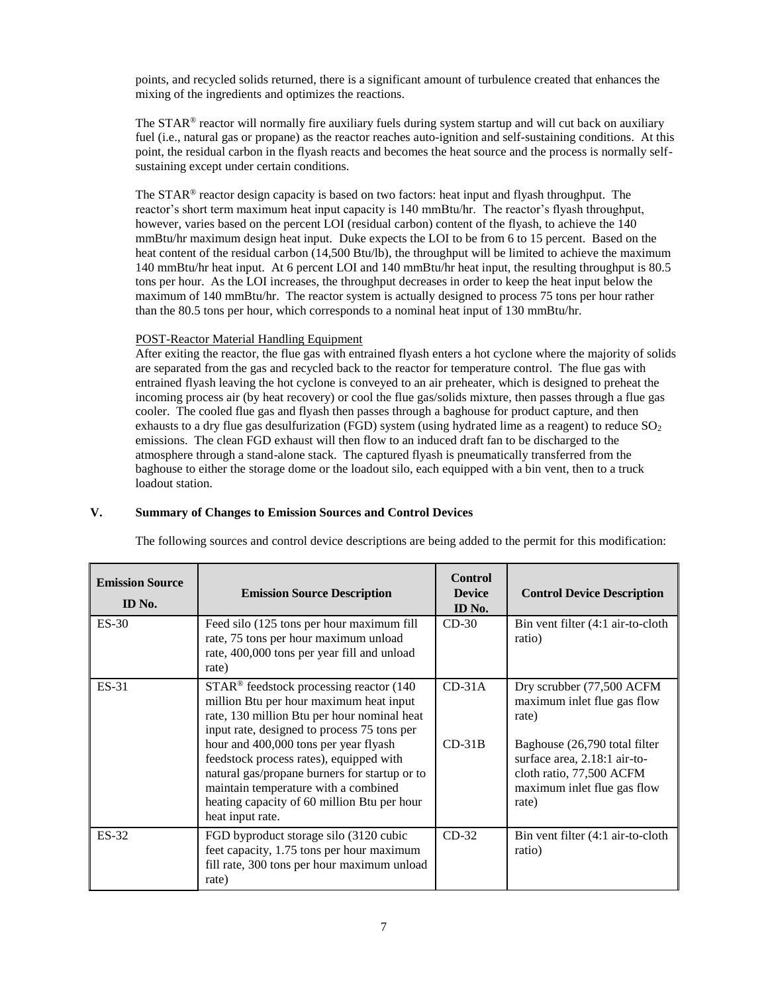points, and recycled solids returned, there is a significant amount of turbulence created that enhances the mixing of the ingredients and optimizes the reactions.

The  $STAR^{\circ}$  reactor will normally fire auxiliary fuels during system startup and will cut back on auxiliary fuel (i.e., natural gas or propane) as the reactor reaches auto-ignition and self-sustaining conditions. At this point, the residual carbon in the flyash reacts and becomes the heat source and the process is normally selfsustaining except under certain conditions.

The STAR® reactor design capacity is based on two factors: heat input and flyash throughput. The reactor's short term maximum heat input capacity is 140 mmBtu/hr. The reactor's flyash throughput, however, varies based on the percent LOI (residual carbon) content of the flyash, to achieve the 140 mmBtu/hr maximum design heat input. Duke expects the LOI to be from 6 to 15 percent. Based on the heat content of the residual carbon (14,500 Btu/lb), the throughput will be limited to achieve the maximum 140 mmBtu/hr heat input. At 6 percent LOI and 140 mmBtu/hr heat input, the resulting throughput is 80.5 tons per hour. As the LOI increases, the throughput decreases in order to keep the heat input below the maximum of 140 mmBtu/hr. The reactor system is actually designed to process 75 tons per hour rather than the 80.5 tons per hour, which corresponds to a nominal heat input of 130 mmBtu/hr.

# POST-Reactor Material Handling Equipment

After exiting the reactor, the flue gas with entrained flyash enters a hot cyclone where the majority of solids are separated from the gas and recycled back to the reactor for temperature control. The flue gas with entrained flyash leaving the hot cyclone is conveyed to an air preheater, which is designed to preheat the incoming process air (by heat recovery) or cool the flue gas/solids mixture, then passes through a flue gas cooler. The cooled flue gas and flyash then passes through a baghouse for product capture, and then exhausts to a dry flue gas desulfurization (FGD) system (using hydrated lime as a reagent) to reduce  $SO<sub>2</sub>$ emissions. The clean FGD exhaust will then flow to an induced draft fan to be discharged to the atmosphere through a stand-alone stack. The captured flyash is pneumatically transferred from the baghouse to either the storage dome or the loadout silo, each equipped with a bin vent, then to a truck loadout station.

# **V. Summary of Changes to Emission Sources and Control Devices**

| <b>Emission Source</b><br>ID No. | <b>Emission Source Description</b>                                                                                                                                                                                                           | <b>Control</b><br><b>Device</b><br>ID No. | <b>Control Device Description</b>                                                                                                 |
|----------------------------------|----------------------------------------------------------------------------------------------------------------------------------------------------------------------------------------------------------------------------------------------|-------------------------------------------|-----------------------------------------------------------------------------------------------------------------------------------|
| $ES-30$                          | Feed silo (125 tons per hour maximum fill<br>rate, 75 tons per hour maximum unload<br>rate, 400,000 tons per year fill and unload<br>rate)                                                                                                   | $CD-30$                                   | Bin vent filter (4:1 air-to-cloth<br>ratio)                                                                                       |
| ES-31                            | STAR <sup>®</sup> feedstock processing reactor (140<br>million Btu per hour maximum heat input<br>rate, 130 million Btu per hour nominal heat<br>input rate, designed to process 75 tons per                                                 | $CD-31A$                                  | Dry scrubber (77,500 ACFM<br>maximum inlet flue gas flow<br>rate)                                                                 |
|                                  | hour and 400,000 tons per year flyash<br>feedstock process rates), equipped with<br>natural gas/propane burners for startup or to<br>maintain temperature with a combined<br>heating capacity of 60 million Btu per hour<br>heat input rate. | $CD-31B$                                  | Baghouse (26,790 total filter<br>surface area, 2.18:1 air-to-<br>cloth ratio, 77,500 ACFM<br>maximum inlet flue gas flow<br>rate) |
| ES-32                            | FGD byproduct storage silo (3120 cubic<br>feet capacity, 1.75 tons per hour maximum<br>fill rate, 300 tons per hour maximum unload<br>rate)                                                                                                  | $CD-32$                                   | Bin vent filter (4:1 air-to-cloth<br>ratio)                                                                                       |

The following sources and control device descriptions are being added to the permit for this modification: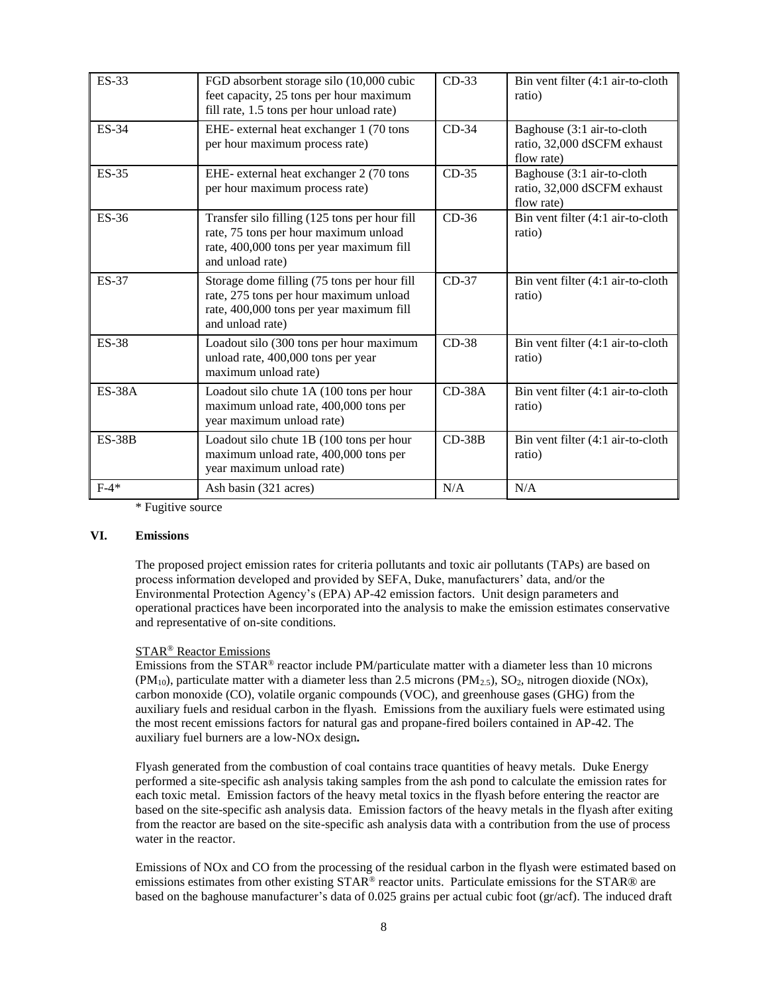| <b>ES-33</b>  | FGD absorbent storage silo (10,000 cubic<br>feet capacity, 25 tons per hour maximum<br>fill rate, 1.5 tons per hour unload rate)                       | $CD-33$  | Bin vent filter (4:1 air-to-cloth<br>ratio)                             |
|---------------|--------------------------------------------------------------------------------------------------------------------------------------------------------|----------|-------------------------------------------------------------------------|
| <b>ES-34</b>  | EHE- external heat exchanger 1 (70 tons<br>per hour maximum process rate)                                                                              | $CD-34$  | Baghouse (3:1 air-to-cloth<br>ratio, 32,000 dSCFM exhaust<br>flow rate) |
| $ES-35$       | EHE- external heat exchanger 2 (70 tons<br>per hour maximum process rate)                                                                              | $CD-35$  | Baghouse (3:1 air-to-cloth<br>ratio, 32,000 dSCFM exhaust<br>flow rate) |
| <b>ES-36</b>  | Transfer silo filling (125 tons per hour fill<br>rate, 75 tons per hour maximum unload<br>rate, 400,000 tons per year maximum fill<br>and unload rate) | $CD-36$  | Bin vent filter (4:1 air-to-cloth<br>ratio)                             |
| <b>ES-37</b>  | Storage dome filling (75 tons per hour fill<br>rate, 275 tons per hour maximum unload<br>rate, 400,000 tons per year maximum fill<br>and unload rate)  | $CD-37$  | Bin vent filter (4:1 air-to-cloth<br>ratio)                             |
| <b>ES-38</b>  | Loadout silo (300 tons per hour maximum<br>unload rate, 400,000 tons per year<br>maximum unload rate)                                                  | $CD-38$  | Bin vent filter (4:1 air-to-cloth<br>ratio)                             |
| <b>ES-38A</b> | Loadout silo chute 1A (100 tons per hour<br>maximum unload rate, 400,000 tons per<br>year maximum unload rate)                                         | $CD-38A$ | Bin vent filter (4:1 air-to-cloth<br>ratio)                             |
| $ES-38B$      | Loadout silo chute 1B (100 tons per hour<br>maximum unload rate, 400,000 tons per<br>year maximum unload rate)                                         | $CD-38B$ | Bin vent filter (4:1 air-to-cloth<br>ratio)                             |
| $F-4*$        | Ash basin (321 acres)                                                                                                                                  | N/A      | N/A                                                                     |

\* Fugitive source

## **VI. Emissions**

The proposed project emission rates for criteria pollutants and toxic air pollutants (TAPs) are based on process information developed and provided by SEFA, Duke, manufacturers' data, and/or the Environmental Protection Agency's (EPA) AP-42 emission factors. Unit design parameters and operational practices have been incorporated into the analysis to make the emission estimates conservative and representative of on-site conditions.

# STAR® Reactor Emissions

Emissions from the  $STAR^{\circledast}$  reactor include PM/particulate matter with a diameter less than 10 microns  $(PM_{10})$ , particulate matter with a diameter less than 2.5 microns  $(PM_{2.5})$ ,  $SO_2$ , nitrogen dioxide (NOx), carbon monoxide (CO), volatile organic compounds (VOC), and greenhouse gases (GHG) from the auxiliary fuels and residual carbon in the flyash. Emissions from the auxiliary fuels were estimated using the most recent emissions factors for natural gas and propane-fired boilers contained in AP-42. The auxiliary fuel burners are a low-NOx design**.**

Flyash generated from the combustion of coal contains trace quantities of heavy metals. Duke Energy performed a site-specific ash analysis taking samples from the ash pond to calculate the emission rates for each toxic metal. Emission factors of the heavy metal toxics in the flyash before entering the reactor are based on the site-specific ash analysis data. Emission factors of the heavy metals in the flyash after exiting from the reactor are based on the site-specific ash analysis data with a contribution from the use of process water in the reactor.

Emissions of NOx and CO from the processing of the residual carbon in the flyash were estimated based on emissions estimates from other existing STAR® reactor units. Particulate emissions for the STAR® are based on the baghouse manufacturer's data of 0.025 grains per actual cubic foot (gr/acf). The induced draft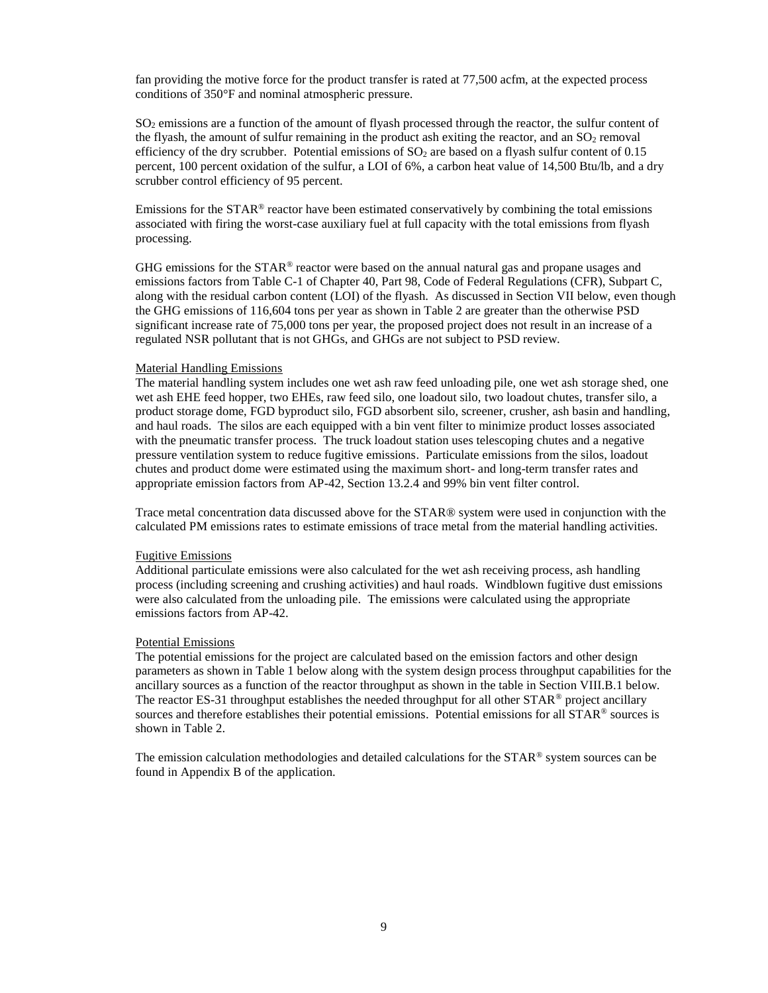fan providing the motive force for the product transfer is rated at 77,500 acfm, at the expected process conditions of 350°F and nominal atmospheric pressure.

 $SO<sub>2</sub>$  emissions are a function of the amount of flyash processed through the reactor, the sulfur content of the flyash, the amount of sulfur remaining in the product ash exiting the reactor, and an  $SO<sub>2</sub>$  removal efficiency of the dry scrubber. Potential emissions of  $SO<sub>2</sub>$  are based on a flyash sulfur content of 0.15 percent, 100 percent oxidation of the sulfur, a LOI of 6%, a carbon heat value of 14,500 Btu/lb, and a dry scrubber control efficiency of 95 percent.

Emissions for the  $STAR^{\circledast}$  reactor have been estimated conservatively by combining the total emissions associated with firing the worst-case auxiliary fuel at full capacity with the total emissions from flyash processing.

GHG emissions for the  $STAR^{\circledcirc}$  reactor were based on the annual natural gas and propane usages and emissions factors from Table C-1 of Chapter 40, Part 98, Code of Federal Regulations (CFR), Subpart C, along with the residual carbon content (LOI) of the flyash. As discussed in Section VII below, even though the GHG emissions of 116,604 tons per year as shown in Table 2 are greater than the otherwise PSD significant increase rate of 75,000 tons per year, the proposed project does not result in an increase of a regulated NSR pollutant that is not GHGs, and GHGs are not subject to PSD review.

## Material Handling Emissions

The material handling system includes one wet ash raw feed unloading pile, one wet ash storage shed, one wet ash EHE feed hopper, two EHEs, raw feed silo, one loadout silo, two loadout chutes, transfer silo, a product storage dome, FGD byproduct silo, FGD absorbent silo, screener, crusher, ash basin and handling, and haul roads. The silos are each equipped with a bin vent filter to minimize product losses associated with the pneumatic transfer process. The truck loadout station uses telescoping chutes and a negative pressure ventilation system to reduce fugitive emissions. Particulate emissions from the silos, loadout chutes and product dome were estimated using the maximum short- and long-term transfer rates and appropriate emission factors from AP-42, Section 13.2.4 and 99% bin vent filter control.

Trace metal concentration data discussed above for the STAR® system were used in conjunction with the calculated PM emissions rates to estimate emissions of trace metal from the material handling activities.

## Fugitive Emissions

Additional particulate emissions were also calculated for the wet ash receiving process, ash handling process (including screening and crushing activities) and haul roads. Windblown fugitive dust emissions were also calculated from the unloading pile. The emissions were calculated using the appropriate emissions factors from AP-42.

### Potential Emissions

The potential emissions for the project are calculated based on the emission factors and other design parameters as shown in Table 1 below along with the system design process throughput capabilities for the ancillary sources as a function of the reactor throughput as shown in the table in Section VIII.B.1 below. The reactor ES-31 throughput establishes the needed throughput for all other  $STAR^{\circ}$  project ancillary sources and therefore establishes their potential emissions. Potential emissions for all STAR® sources is shown in Table 2.

The emission calculation methodologies and detailed calculations for the  $STAR^@$  system sources can be found in Appendix B of the application.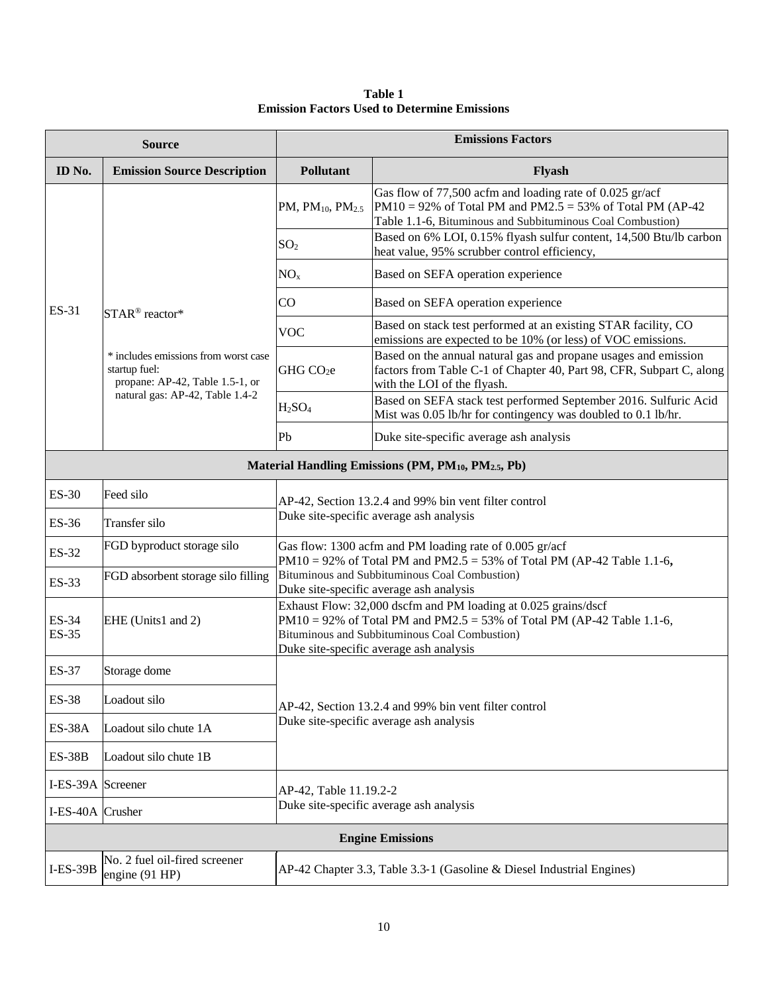**Table 1 Emission Factors Used to Determine Emissions**

|                              | <b>Source</b>                                                                            | <b>Emissions Factors</b>                                                                                                                                                                                                             |                                                                                                                                                                                         |  |  |  |  |
|------------------------------|------------------------------------------------------------------------------------------|--------------------------------------------------------------------------------------------------------------------------------------------------------------------------------------------------------------------------------------|-----------------------------------------------------------------------------------------------------------------------------------------------------------------------------------------|--|--|--|--|
| ID No.                       | <b>Emission Source Description</b>                                                       | Pollutant                                                                                                                                                                                                                            | Flyash                                                                                                                                                                                  |  |  |  |  |
|                              |                                                                                          | PM, $PM_{10}$ , $PM_{2.5}$                                                                                                                                                                                                           | Gas flow of 77,500 acfm and loading rate of 0.025 gr/acf<br>$PM10 = 92\%$ of Total PM and PM2.5 = 53% of Total PM (AP-42)<br>Table 1.1-6, Bituminous and Subbituminous Coal Combustion) |  |  |  |  |
|                              |                                                                                          | SO <sub>2</sub>                                                                                                                                                                                                                      | Based on 6% LOI, 0.15% flyash sulfur content, 14,500 Btu/lb carbon<br>heat value, 95% scrubber control efficiency,                                                                      |  |  |  |  |
|                              |                                                                                          | NO <sub>x</sub>                                                                                                                                                                                                                      | Based on SEFA operation experience                                                                                                                                                      |  |  |  |  |
| ES-31                        | STAR <sup>®</sup> reactor*                                                               | CO                                                                                                                                                                                                                                   | Based on SEFA operation experience                                                                                                                                                      |  |  |  |  |
|                              |                                                                                          | VOC                                                                                                                                                                                                                                  | Based on stack test performed at an existing STAR facility, CO<br>emissions are expected to be 10% (or less) of VOC emissions.                                                          |  |  |  |  |
|                              | * includes emissions from worst case<br>startup fuel:<br>propane: AP-42, Table 1.5-1, or | GHG CO <sub>2</sub> e                                                                                                                                                                                                                | Based on the annual natural gas and propane usages and emission<br>factors from Table C-1 of Chapter 40, Part 98, CFR, Subpart C, along<br>with the LOI of the flyash.                  |  |  |  |  |
|                              | natural gas: AP-42, Table 1.4-2                                                          | H <sub>2</sub> SO <sub>4</sub>                                                                                                                                                                                                       | Based on SEFA stack test performed September 2016. Sulfuric Acid<br>Mist was 0.05 lb/hr for contingency was doubled to 0.1 lb/hr.                                                       |  |  |  |  |
|                              |                                                                                          | Pb<br>Duke site-specific average ash analysis                                                                                                                                                                                        |                                                                                                                                                                                         |  |  |  |  |
|                              |                                                                                          |                                                                                                                                                                                                                                      | Material Handling Emissions (PM, PM <sub>10</sub> , PM <sub>2.5</sub> , Pb)                                                                                                             |  |  |  |  |
| $ES-30$                      | Feed silo                                                                                | AP-42, Section 13.2.4 and 99% bin vent filter control                                                                                                                                                                                |                                                                                                                                                                                         |  |  |  |  |
| ES-36                        | Transfer silo                                                                            |                                                                                                                                                                                                                                      | Duke site-specific average ash analysis                                                                                                                                                 |  |  |  |  |
| ES-32                        | FGD byproduct storage silo                                                               |                                                                                                                                                                                                                                      | Gas flow: 1300 acfm and PM loading rate of 0.005 gr/acf<br>PM10 = 92% of Total PM and PM2.5 = 53% of Total PM (AP-42 Table 1.1-6,                                                       |  |  |  |  |
| ES-33                        | FGD absorbent storage silo filling                                                       | Bituminous and Subbituminous Coal Combustion)<br>Duke site-specific average ash analysis                                                                                                                                             |                                                                                                                                                                                         |  |  |  |  |
| <b>ES-34</b><br><b>ES-35</b> | EHE (Units1 and 2)                                                                       | Exhaust Flow: 32,000 dscfm and PM loading at 0.025 grains/dscf<br>PM10 = 92% of Total PM and PM2.5 = 53% of Total PM (AP-42 Table 1.1-6,<br>Bituminous and Subbituminous Coal Combustion)<br>Duke site-specific average ash analysis |                                                                                                                                                                                         |  |  |  |  |
| ES-37                        | Storage dome                                                                             |                                                                                                                                                                                                                                      |                                                                                                                                                                                         |  |  |  |  |
| <b>ES-38</b>                 | Loadout silo                                                                             |                                                                                                                                                                                                                                      | AP-42, Section 13.2.4 and 99% bin vent filter control                                                                                                                                   |  |  |  |  |
| <b>ES-38A</b>                | Loadout silo chute 1A                                                                    |                                                                                                                                                                                                                                      | Duke site-specific average ash analysis                                                                                                                                                 |  |  |  |  |
| <b>ES-38B</b>                | Loadout silo chute 1B                                                                    |                                                                                                                                                                                                                                      |                                                                                                                                                                                         |  |  |  |  |
| I-ES-39A Screener            |                                                                                          | AP-42, Table 11.19.2-2                                                                                                                                                                                                               |                                                                                                                                                                                         |  |  |  |  |
| I-ES-40A Crusher             |                                                                                          | Duke site-specific average ash analysis                                                                                                                                                                                              |                                                                                                                                                                                         |  |  |  |  |
|                              |                                                                                          |                                                                                                                                                                                                                                      | <b>Engine Emissions</b>                                                                                                                                                                 |  |  |  |  |
| $I-ES-39B$                   | No. 2 fuel oil-fired screener<br>engine (91 HP)                                          |                                                                                                                                                                                                                                      | AP-42 Chapter 3.3, Table 3.3-1 (Gasoline & Diesel Industrial Engines)                                                                                                                   |  |  |  |  |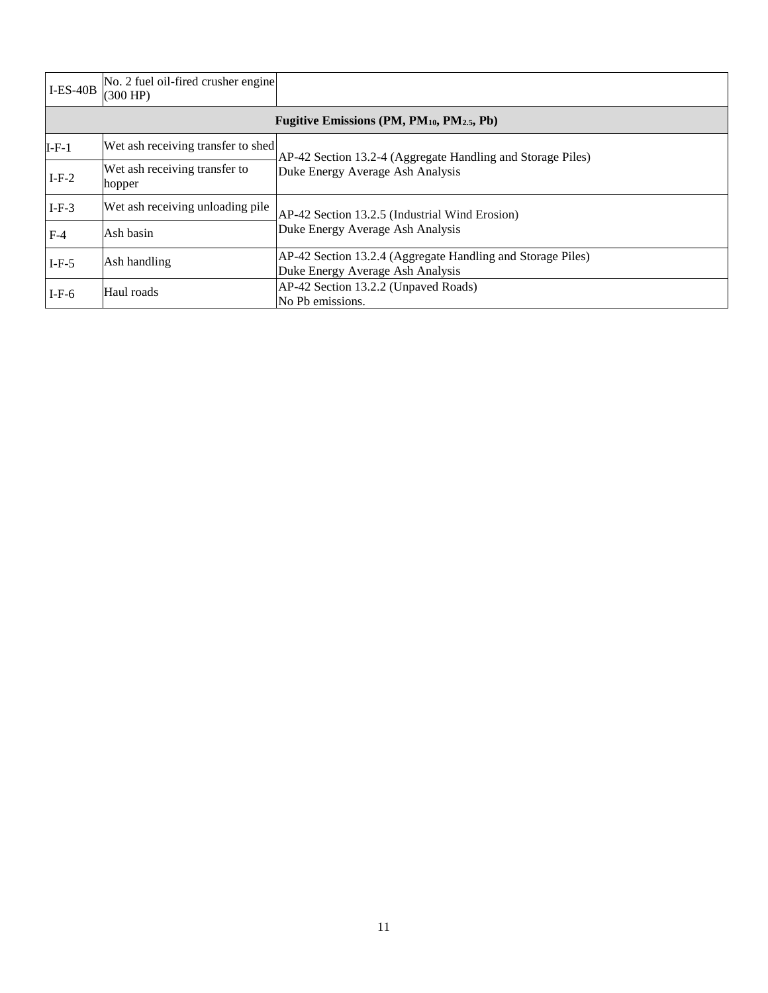| $I-ES-40B$ | No. 2 fuel oil-fired crusher engine<br>(300 HP)                    |                                                                                                 |  |  |  |  |  |  |  |  |  |
|------------|--------------------------------------------------------------------|-------------------------------------------------------------------------------------------------|--|--|--|--|--|--|--|--|--|
|            | Fugitive Emissions (PM, PM <sub>10</sub> , PM <sub>2.5</sub> , Pb) |                                                                                                 |  |  |  |  |  |  |  |  |  |
| $I-F-1$    | Wet ash receiving transfer to shed                                 | AP-42 Section 13.2-4 (Aggregate Handling and Storage Piles)                                     |  |  |  |  |  |  |  |  |  |
| $I-F-2$    | Wet ash receiving transfer to<br>hopper                            | Duke Energy Average Ash Analysis                                                                |  |  |  |  |  |  |  |  |  |
| $I-F-3$    | Wet ash receiving unloading pile                                   | AP-42 Section 13.2.5 (Industrial Wind Erosion)                                                  |  |  |  |  |  |  |  |  |  |
| $F-4$      | Ash basin                                                          | Duke Energy Average Ash Analysis                                                                |  |  |  |  |  |  |  |  |  |
| $I-F-5$    | Ash handling                                                       | AP-42 Section 13.2.4 (Aggregate Handling and Storage Piles)<br>Duke Energy Average Ash Analysis |  |  |  |  |  |  |  |  |  |
| $I-F-6$    | Haul roads                                                         | AP-42 Section 13.2.2 (Unpaved Roads)<br>No Pb emissions.                                        |  |  |  |  |  |  |  |  |  |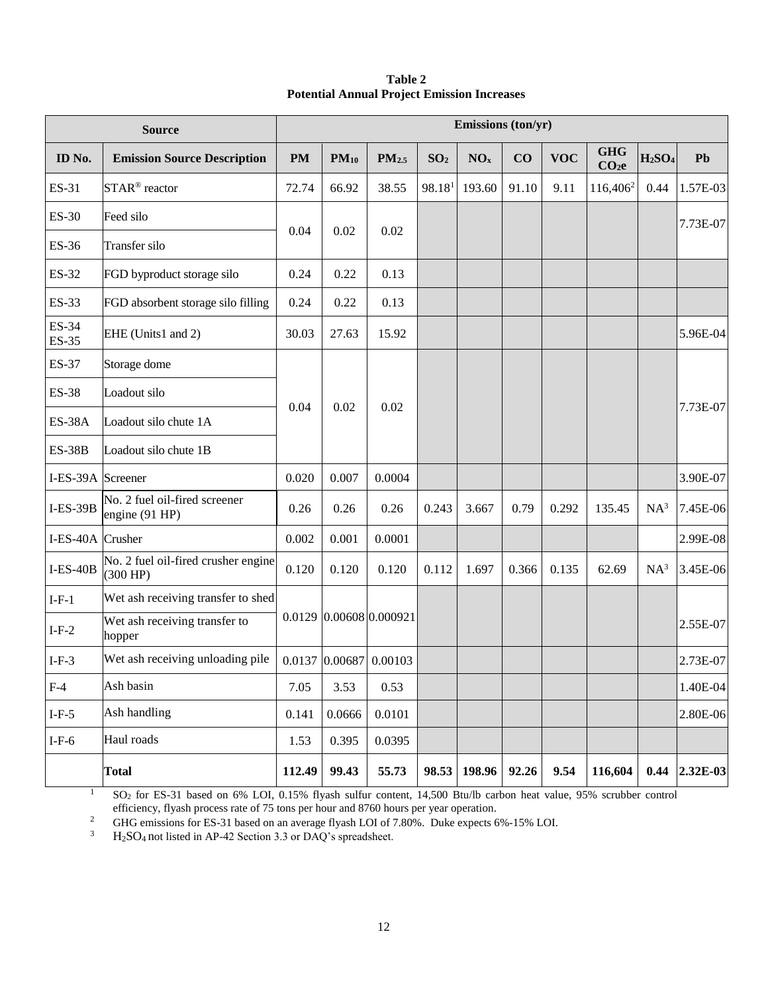# **Table 2 Potential Annual Project Emission Increases**

|                   | <b>Source</b>                                   | Emissions (ton/yr) |                |                         |                    |                 |       |            |                                 |                                |                 |
|-------------------|-------------------------------------------------|--------------------|----------------|-------------------------|--------------------|-----------------|-------|------------|---------------------------------|--------------------------------|-----------------|
| ID No.            | <b>Emission Source Description</b>              | <b>PM</b>          | $PM_{10}$      | PM <sub>2.5</sub>       | SO <sub>2</sub>    | NO <sub>x</sub> | CO    | <b>VOC</b> | <b>GHG</b><br>CO <sub>2</sub> e | H <sub>2</sub> SO <sub>4</sub> | Pb              |
| ES-31             | STAR <sup>®</sup> reactor                       | 72.74              | 66.92          | 38.55                   | 98.18 <sup>1</sup> | 193.60          | 91.10 | 9.11       | 116,406 <sup>2</sup>            | 0.44                           | 1.57E-03        |
| ES-30             | Feed silo                                       |                    |                |                         |                    |                 |       |            |                                 |                                | 7.73E-07        |
| ES-36             | Transfer silo                                   | 0.04               | 0.02           | 0.02                    |                    |                 |       |            |                                 |                                |                 |
| ES-32             | FGD byproduct storage silo                      | 0.24               | 0.22           | 0.13                    |                    |                 |       |            |                                 |                                |                 |
| ES-33             | FGD absorbent storage silo filling              | 0.24               | 0.22           | 0.13                    |                    |                 |       |            |                                 |                                |                 |
| ES-34<br>ES-35    | EHE (Units1 and 2)                              | 30.03              | 27.63          | 15.92                   |                    |                 |       |            |                                 |                                | 5.96E-04        |
| ES-37             | Storage dome                                    |                    |                |                         |                    |                 |       |            |                                 |                                |                 |
| <b>ES-38</b>      | Loadout silo                                    |                    | 0.02           | 0.02                    |                    |                 |       |            |                                 |                                |                 |
| <b>ES-38A</b>     | Loadout silo chute 1A                           | 0.04               |                |                         |                    |                 |       |            |                                 |                                | 7.73E-07        |
| <b>ES-38B</b>     | Loadout silo chute 1B                           |                    |                |                         |                    |                 |       |            |                                 |                                |                 |
| I-ES-39A Screener |                                                 | 0.020              | 0.007          | 0.0004                  |                    |                 |       |            |                                 |                                | 3.90E-07        |
| $I-ES-39B$        | No. 2 fuel oil-fired screener<br>engine (91 HP) | 0.26               | 0.26           | 0.26                    | 0.243              | 3.667           | 0.79  | 0.292      | 135.45                          | $NA^3$                         | 7.45E-06        |
| I-ES-40A Crusher  |                                                 | 0.002              | 0.001          | 0.0001                  |                    |                 |       |            |                                 |                                | 2.99E-08        |
| $I-ES-40B$        | No. 2 fuel oil-fired crusher engine<br>(300 HP) | 0.120              | 0.120          | 0.120                   | 0.112              | 1.697           | 0.366 | 0.135      | 62.69                           | $NA^3$                         | 3.45E-06        |
| $I-F-1$           | Wet ash receiving transfer to shed              |                    |                |                         |                    |                 |       |            |                                 |                                |                 |
| $I-F-2$           | Wet ash receiving transfer to<br>hopper         |                    |                | 0.0129 0.00608 0.000921 |                    |                 |       |            |                                 |                                | 2.55E-07        |
| $I-F-3$           | Wet ash receiving unloading pile                |                    | 0.0137 0.00687 | 0.00103                 |                    |                 |       |            |                                 |                                | $2.73E-07$      |
| $F-4$             | Ash basin                                       | 7.05               | 3.53           | 0.53                    |                    |                 |       |            |                                 |                                | 1.40E-04        |
| $I-F-5$           | Ash handling                                    | 0.141              | 0.0666         | 0.0101                  |                    |                 |       |            |                                 |                                | 2.80E-06        |
| $I-F-6$           | Haul roads                                      | 1.53               | 0.395          | 0.0395                  |                    |                 |       |            |                                 |                                |                 |
|                   | <b>Total</b>                                    | 112.49             | 99.43          | 55.73                   | 98.53              | 198.96          | 92.26 | 9.54       | 116,604                         |                                | $0.44$ 2.32E-03 |

<sup>1</sup> SO<sub>2</sub> for ES-31 based on 6% LOI, 0.15% flyash sulfur content, 14,500 Btu/lb carbon heat value, 95% scrubber control efficiency, flyash process rate of 75 tons per hour and 8760 hours per year operation.

<sup>2</sup> GHG emissions for ES-31 based on an average flyash LOI of 7.80%. Duke expects 6%-15% LOI.<br><sup>3</sup> H-SO<sub>4</sub> not listed in AP-42 Section 3.3 or DAO's spreadsheet

H<sub>2</sub>SO<sub>4</sub> not listed in AP-42 Section 3.3 or DAQ's spreadsheet.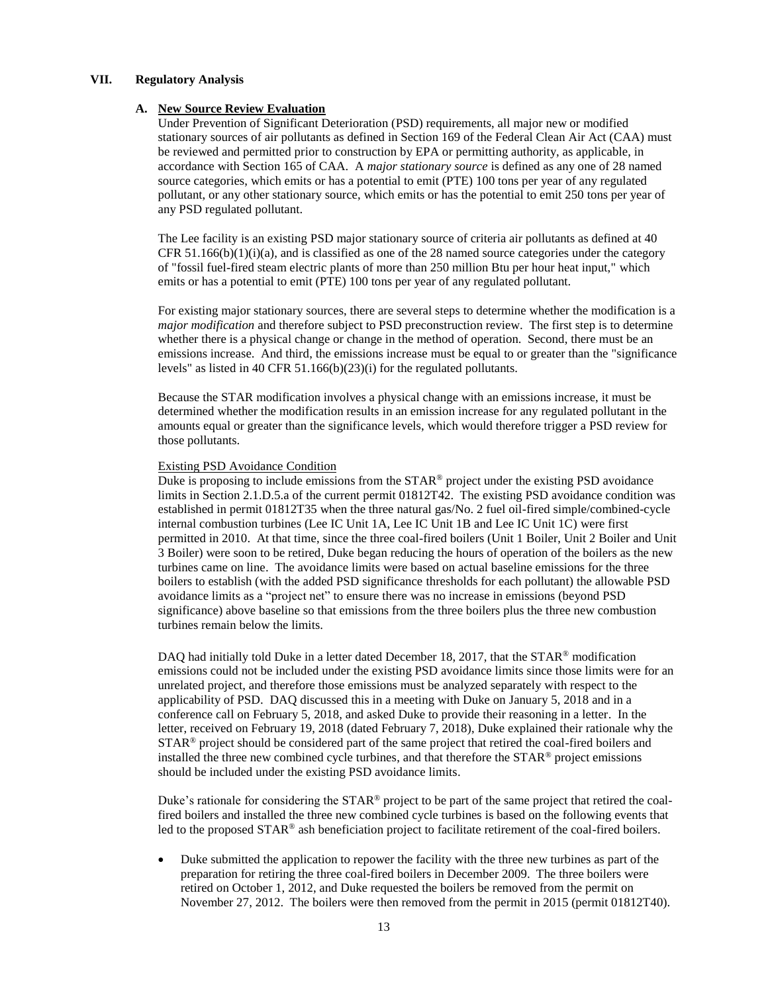### **VII. Regulatory Analysis**

### **A. New Source Review Evaluation**

Under Prevention of Significant Deterioration (PSD) requirements, all major new or modified stationary sources of air pollutants as defined in Section 169 of the Federal Clean Air Act (CAA) must be reviewed and permitted prior to construction by EPA or permitting authority, as applicable, in accordance with Section 165 of CAA. A *major stationary source* is defined as any one of 28 named source categories, which emits or has a potential to emit (PTE) 100 tons per year of any regulated pollutant, or any other stationary source, which emits or has the potential to emit 250 tons per year of any PSD regulated pollutant.

The Lee facility is an existing PSD major stationary source of criteria air pollutants as defined at 40 CFR  $51.166(b)(1)(i)(a)$ , and is classified as one of the 28 named source categories under the category of "fossil fuel-fired steam electric plants of more than 250 million Btu per hour heat input," which emits or has a potential to emit (PTE) 100 tons per year of any regulated pollutant.

For existing major stationary sources, there are several steps to determine whether the modification is a *major modification* and therefore subject to PSD preconstruction review. The first step is to determine whether there is a physical change or change in the method of operation. Second, there must be an emissions increase. And third, the emissions increase must be equal to or greater than the "significance levels" as listed in 40 CFR 51.166(b)(23)(i) for the regulated pollutants.

Because the STAR modification involves a physical change with an emissions increase, it must be determined whether the modification results in an emission increase for any regulated pollutant in the amounts equal or greater than the significance levels, which would therefore trigger a PSD review for those pollutants.

#### Existing PSD Avoidance Condition

Duke is proposing to include emissions from the  $STAR^@$  project under the existing PSD avoidance limits in Section 2.1.D.5.a of the current permit 01812T42. The existing PSD avoidance condition was established in permit 01812T35 when the three natural gas/No. 2 fuel oil-fired simple/combined-cycle internal combustion turbines (Lee IC Unit 1A, Lee IC Unit 1B and Lee IC Unit 1C) were first permitted in 2010. At that time, since the three coal-fired boilers (Unit 1 Boiler, Unit 2 Boiler and Unit 3 Boiler) were soon to be retired, Duke began reducing the hours of operation of the boilers as the new turbines came on line. The avoidance limits were based on actual baseline emissions for the three boilers to establish (with the added PSD significance thresholds for each pollutant) the allowable PSD avoidance limits as a "project net" to ensure there was no increase in emissions (beyond PSD significance) above baseline so that emissions from the three boilers plus the three new combustion turbines remain below the limits.

DAQ had initially told Duke in a letter dated December 18, 2017, that the STAR® modification emissions could not be included under the existing PSD avoidance limits since those limits were for an unrelated project, and therefore those emissions must be analyzed separately with respect to the applicability of PSD. DAQ discussed this in a meeting with Duke on January 5, 2018 and in a conference call on February 5, 2018, and asked Duke to provide their reasoning in a letter. In the letter, received on February 19, 2018 (dated February 7, 2018), Duke explained their rationale why the STAR<sup>®</sup> project should be considered part of the same project that retired the coal-fired boilers and installed the three new combined cycle turbines, and that therefore the  $STAR^{\circledast}$  project emissions should be included under the existing PSD avoidance limits.

Duke's rationale for considering the  $STAR^{\circ}$  project to be part of the same project that retired the coalfired boilers and installed the three new combined cycle turbines is based on the following events that led to the proposed STAR® ash beneficiation project to facilitate retirement of the coal-fired boilers.

• Duke submitted the application to repower the facility with the three new turbines as part of the preparation for retiring the three coal-fired boilers in December 2009. The three boilers were retired on October 1, 2012, and Duke requested the boilers be removed from the permit on November 27, 2012. The boilers were then removed from the permit in 2015 (permit 01812T40).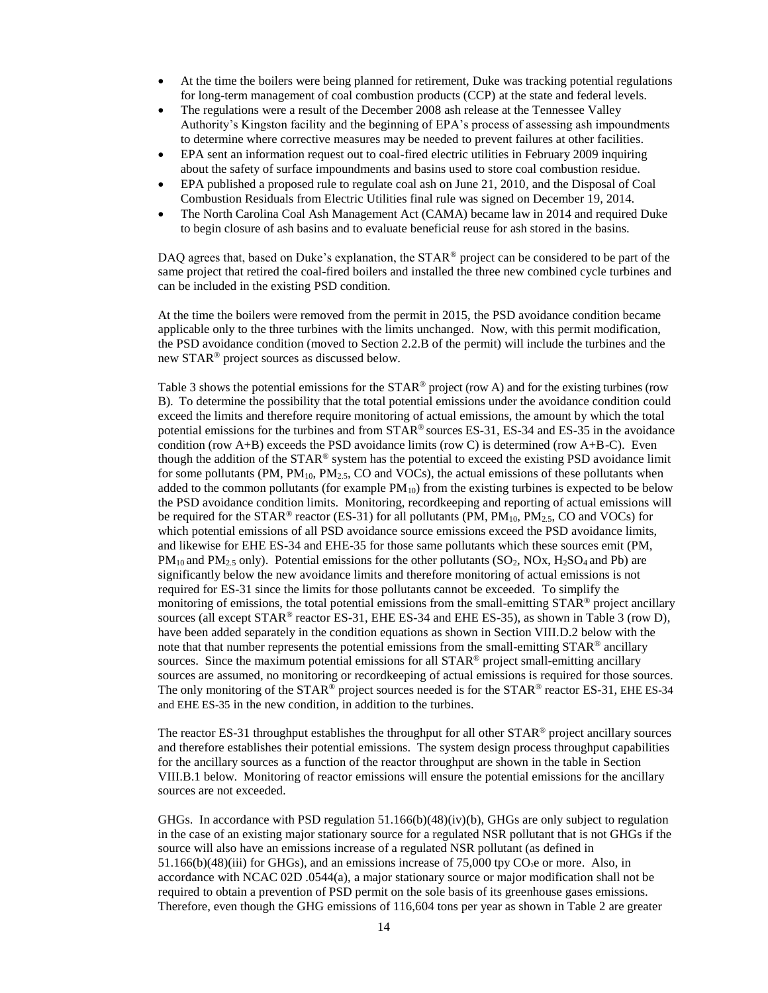- At the time the boilers were being planned for retirement, Duke was tracking potential regulations for long-term management of coal combustion products (CCP) at the state and federal levels.
- The regulations were a result of the December 2008 ash release at the Tennessee Valley Authority's Kingston facility and the beginning of EPA's process of assessing ash impoundments to determine where corrective measures may be needed to prevent failures at other facilities.
- EPA sent an information request out to coal-fired electric utilities in February 2009 inquiring about the safety of surface impoundments and basins used to store coal combustion residue.
- EPA published a proposed rule to regulate coal ash on June 21, 2010, and the Disposal of Coal Combustion Residuals from Electric Utilities final rule was signed on December 19, 2014.
- The North Carolina Coal Ash Management Act (CAMA) became law in 2014 and required Duke to begin closure of ash basins and to evaluate beneficial reuse for ash stored in the basins.

DAQ agrees that, based on Duke's explanation, the  $STAR^{\circ}$  project can be considered to be part of the same project that retired the coal-fired boilers and installed the three new combined cycle turbines and can be included in the existing PSD condition.

At the time the boilers were removed from the permit in 2015, the PSD avoidance condition became applicable only to the three turbines with the limits unchanged. Now, with this permit modification, the PSD avoidance condition (moved to Section 2.2.B of the permit) will include the turbines and the new STAR® project sources as discussed below.

Table 3 shows the potential emissions for the  $STAR^{\circ}$  project (row A) and for the existing turbines (row B). To determine the possibility that the total potential emissions under the avoidance condition could exceed the limits and therefore require monitoring of actual emissions, the amount by which the total potential emissions for the turbines and from STAR® sources ES-31, ES-34 and ES-35 in the avoidance condition (row  $A+B$ ) exceeds the PSD avoidance limits (row C) is determined (row  $A+B-C$ ). Even though the addition of the  $STAR^@$  system has the potential to exceed the existing PSD avoidance limit for some pollutants (PM,  $PM_{10}$ ,  $PM_{2.5}$ , CO and VOCs), the actual emissions of these pollutants when added to the common pollutants (for example  $PM_{10}$ ) from the existing turbines is expected to be below the PSD avoidance condition limits. Monitoring, recordkeeping and reporting of actual emissions will be required for the STAR® reactor (ES-31) for all pollutants (PM,  $PM_{10}$ ,  $PM_{2.5}$ , CO and VOCs) for which potential emissions of all PSD avoidance source emissions exceed the PSD avoidance limits, and likewise for EHE ES-34 and EHE-35 for those same pollutants which these sources emit (PM,  $PM_{10}$  and  $PM_{2.5}$  only). Potential emissions for the other pollutants (SO<sub>2</sub>, NOx, H<sub>2</sub>SO<sub>4</sub> and Pb) are significantly below the new avoidance limits and therefore monitoring of actual emissions is not required for ES-31 since the limits for those pollutants cannot be exceeded. To simplify the monitoring of emissions, the total potential emissions from the small-emitting STAR<sup>®</sup> project ancillary sources (all except STAR® reactor ES-31, EHE ES-34 and EHE ES-35), as shown in Table 3 (row D), have been added separately in the condition equations as shown in Section VIII.D.2 below with the note that that number represents the potential emissions from the small-emitting  $\text{STAR}^{\otimes}$  ancillary sources. Since the maximum potential emissions for all STAR<sup>®</sup> project small-emitting ancillary sources are assumed, no monitoring or recordkeeping of actual emissions is required for those sources. The only monitoring of the  $STAR^{\circledast}$  project sources needed is for the  $STAR^{\circledast}$  reactor ES-31, EHE ES-34 and EHE ES-35 in the new condition, in addition to the turbines.

The reactor ES-31 throughput establishes the throughput for all other  $STAR<sup>®</sup>$  project ancillary sources and therefore establishes their potential emissions. The system design process throughput capabilities for the ancillary sources as a function of the reactor throughput are shown in the table in Section VIII.B.1 below. Monitoring of reactor emissions will ensure the potential emissions for the ancillary sources are not exceeded.

GHGs. In accordance with PSD regulation 51.166(b)(48)(iv)(b), GHGs are only subject to regulation in the case of an existing major stationary source for a regulated NSR pollutant that is not GHGs if the source will also have an emissions increase of a regulated NSR pollutant (as defined in  $51.166(b)(48)(iii)$  for GHGs), and an emissions increase of 75,000 tpy CO<sub>2</sub>e or more. Also, in accordance with NCAC 02D .0544(a), a major stationary source or major modification shall not be required to obtain a prevention of PSD permit on the sole basis of its greenhouse gases emissions. Therefore, even though the GHG emissions of 116,604 tons per year as shown in Table 2 are greater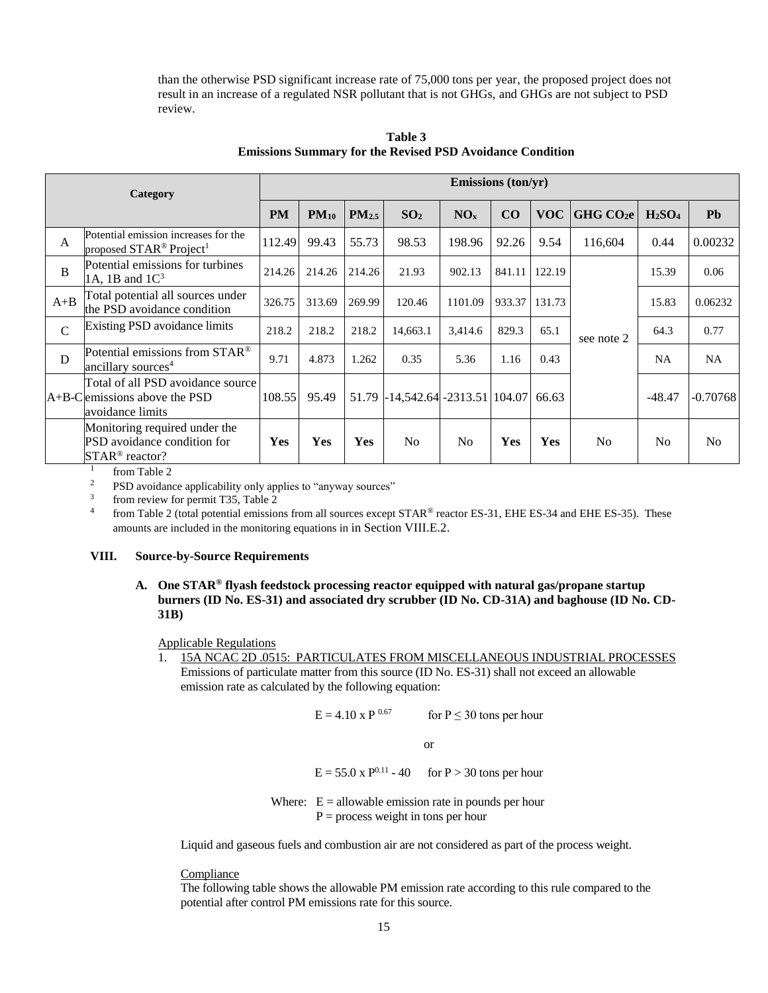than the otherwise PSD significant increase rate of 75,000 tons per year, the proposed project does not result in an increase of a regulated NSR pollutant that is not GHGs, and GHGs are not subject to PSD review.

| Category      |                                                                                            | <b>Emissions (ton/yr)</b> |           |                   |                               |                 |        |            |                      |                                |                |  |
|---------------|--------------------------------------------------------------------------------------------|---------------------------|-----------|-------------------|-------------------------------|-----------------|--------|------------|----------------------|--------------------------------|----------------|--|
|               |                                                                                            | <b>PM</b>                 | $PM_{10}$ | PM <sub>2.5</sub> | SO <sub>2</sub>               | NO <sub>x</sub> | CO     | <b>VOC</b> | GHGCO <sub>2</sub> e | H <sub>2</sub> SO <sub>4</sub> | <b>Pb</b>      |  |
| $\mathbf{A}$  | Potential emission increases for the<br>proposed STAR <sup>®</sup> Project <sup>1</sup>    | 112.49                    | 99.43     | 55.73             | 98.53                         | 198.96          | 92.26  | 9.54       | 116,604              | 0.44                           | 0.00232        |  |
| $\bf{B}$      | Potential emissions for turbines<br>1A, 1B and $1C3$                                       | 214.26                    | 214.26    | 214.26            | 21.93                         | 902.13          | 841.11 | 122.19     |                      | 15.39                          | 0.06           |  |
| $A + B$       | Total potential all sources under<br>the PSD avoidance condition                           | 326.75                    | 313.69    | 269.99            | 120.46                        | 1101.09         | 933.37 | 131.73     |                      | 15.83                          | 0.06232        |  |
| $\mathcal{C}$ | Existing PSD avoidance limits                                                              | 218.2                     | 218.2     | 218.2             | 14,663.1                      | 3,414.6         | 829.3  | 65.1       | see note 2           | 64.3                           | 0.77           |  |
| D             | Potential emissions from STAR <sup>®</sup><br>ancillary sources <sup>4</sup>               | 9.71                      | 4.873     | 1.262             | 0.35                          | 5.36            | 1.16   | 0.43       |                      | <b>NA</b>                      | <b>NA</b>      |  |
|               | Total of all PSD avoidance source<br>$A+B-C$ lemissions above the PSD<br>avoidance limits  | 108.55                    | 95.49     | 51.79             | -14,542.64  -2313.51   104.07 |                 |        | 66.63      |                      | $-48.47$                       | $-0.70768$     |  |
|               | Monitoring required under the<br>PSD avoidance condition for<br>STAR <sup>®</sup> reactor? | Yes                       | Yes       | <b>Yes</b>        | N <sub>0</sub>                | N <sub>0</sub>  | Yes    | <b>Yes</b> | N <sub>0</sub>       | N <sub>0</sub>                 | N <sub>o</sub> |  |

**Table 3 Emissions Summary for the Revised PSD Avoidance Condition**

1 from Table 2

<sup>2</sup> PSD avoidance applicability only applies to "anyway sources"

3 from review for permit T35, Table 2

4 from Table 2 (total potential emissions from all sources except STAR® reactor ES-31, EHE ES-34 and EHE ES-35). These amounts are included in the monitoring equations in in Section VIII.E.2.

## **VIII. Source-by-Source Requirements**

# **A. One STAR® flyash feedstock processing reactor equipped with natural gas/propane startup burners (ID No. ES-31) and associated dry scrubber (ID No. CD-31A) and baghouse (ID No. CD-31B)**

# Applicable Regulations

1. 15A NCAC 2D .0515: PARTICULATES FROM MISCELLANEOUS INDUSTRIAL PROCESSES Emissions of particulate matter from this source (ID No. ES-31) shall not exceed an allowable emission rate as calculated by the following equation:

$$
E = 4.10 \times P^{0.67}
$$
 for P \le 30 tons per hour

or

 $E = 55.0 \times P^{0.11} - 40$  for P > 30 tons per hour

Where:  $E =$  allowable emission rate in pounds per hour  $P =$  process weight in tons per hour

Liquid and gaseous fuels and combustion air are not considered as part of the process weight.

Compliance

The following table shows the allowable PM emission rate according to this rule compared to the potential after control PM emissions rate for this source.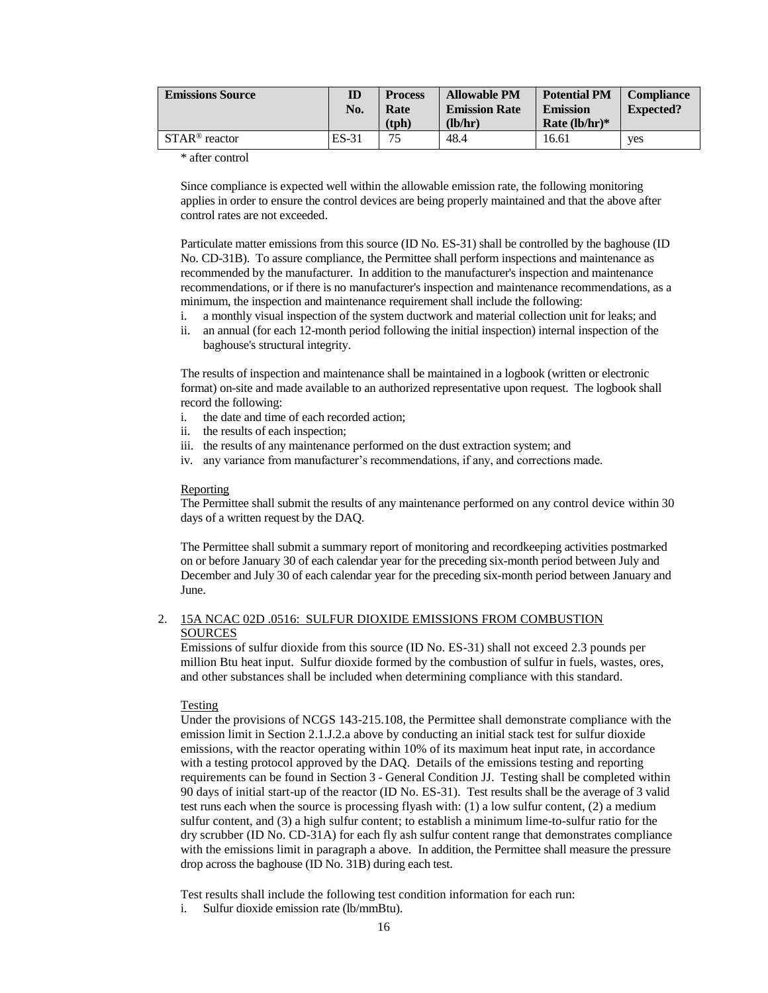| <b>Emissions Source</b>    | ID<br>No. | <b>Process</b><br>Rate<br>(tph) | <b>Allowable PM</b><br><b>Emission Rate</b><br>(lb/hr) | <b>Potential PM</b><br><b>Emission</b><br>Rate $(lb/hr)*$ | <b>Compliance</b><br><b>Expected?</b> |
|----------------------------|-----------|---------------------------------|--------------------------------------------------------|-----------------------------------------------------------|---------------------------------------|
| $STAR^{\circledR}$ reactor | ES-31     | 75                              | 48.4                                                   | 16.61                                                     | <b>ves</b>                            |

\* after control

Since compliance is expected well within the allowable emission rate, the following monitoring applies in order to ensure the control devices are being properly maintained and that the above after control rates are not exceeded.

Particulate matter emissions from this source (ID No. ES-31) shall be controlled by the baghouse (ID No. CD-31B). To assure compliance, the Permittee shall perform inspections and maintenance as recommended by the manufacturer. In addition to the manufacturer's inspection and maintenance recommendations, or if there is no manufacturer's inspection and maintenance recommendations, as a minimum, the inspection and maintenance requirement shall include the following:

- i. a monthly visual inspection of the system ductwork and material collection unit for leaks; and
- ii. an annual (for each 12-month period following the initial inspection) internal inspection of the baghouse's structural integrity.

The results of inspection and maintenance shall be maintained in a logbook (written or electronic format) on-site and made available to an authorized representative upon request. The logbook shall record the following:

- i. the date and time of each recorded action;
- ii. the results of each inspection;
- iii. the results of any maintenance performed on the dust extraction system; and
- iv. any variance from manufacturer's recommendations, if any, and corrections made.

### Reporting

The Permittee shall submit the results of any maintenance performed on any control device within 30 days of a written request by the DAQ.

The Permittee shall submit a summary report of monitoring and recordkeeping activities postmarked on or before January 30 of each calendar year for the preceding six-month period between July and December and July 30 of each calendar year for the preceding six-month period between January and June.

## 2. 15A NCAC 02D .0516: SULFUR DIOXIDE EMISSIONS FROM COMBUSTION **SOURCES**

Emissions of sulfur dioxide from this source (ID No. ES-31) shall not exceed 2.3 pounds per million Btu heat input. Sulfur dioxide formed by the combustion of sulfur in fuels, wastes, ores, and other substances shall be included when determining compliance with this standard.

#### Testing

Under the provisions of NCGS 143-215.108, the Permittee shall demonstrate compliance with the emission limit in Section 2.1.J.2.a above by conducting an initial stack test for sulfur dioxide emissions, with the reactor operating within 10% of its maximum heat input rate, in accordance with a testing protocol approved by the DAQ. Details of the emissions testing and reporting requirements can be found in Section 3 - General Condition JJ. Testing shall be completed within 90 days of initial start-up of the reactor (ID No. ES-31). Test results shall be the average of 3 valid test runs each when the source is processing flyash with: (1) a low sulfur content, (2) a medium sulfur content, and (3) a high sulfur content; to establish a minimum lime-to-sulfur ratio for the dry scrubber (ID No. CD-31A) for each fly ash sulfur content range that demonstrates compliance with the emissions limit in paragraph a above. In addition, the Permittee shall measure the pressure drop across the baghouse (ID No. 31B) during each test.

Test results shall include the following test condition information for each run:

i. Sulfur dioxide emission rate (lb/mmBtu).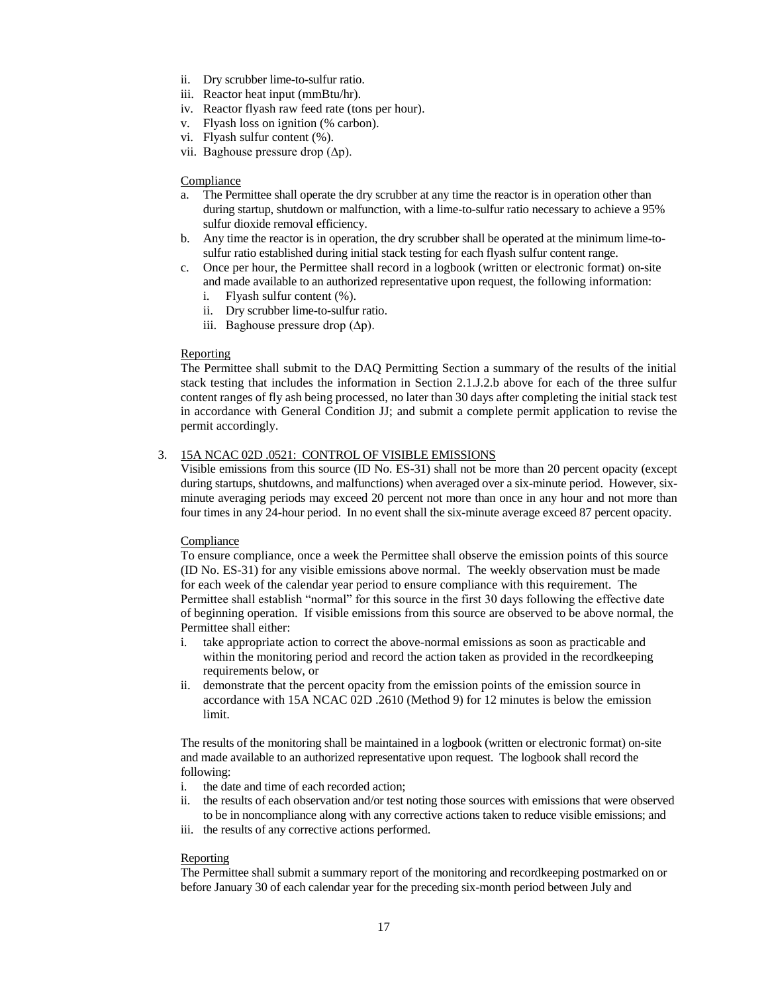- ii. Dry scrubber lime-to-sulfur ratio.
- iii. Reactor heat input (mmBtu/hr).
- iv. Reactor flyash raw feed rate (tons per hour).
- v. Flyash loss on ignition (% carbon).
- vi. Flyash sulfur content (%).
- vii. Baghouse pressure drop (∆p).

# Compliance

- a. The Permittee shall operate the dry scrubber at any time the reactor is in operation other than during startup, shutdown or malfunction, with a lime-to-sulfur ratio necessary to achieve a 95% sulfur dioxide removal efficiency.
- b. Any time the reactor is in operation, the dry scrubber shall be operated at the minimum lime-tosulfur ratio established during initial stack testing for each flyash sulfur content range.
- c. Once per hour, the Permittee shall record in a logbook (written or electronic format) on-site and made available to an authorized representative upon request, the following information:
	- i. Flyash sulfur content (%).
	- ii. Dry scrubber lime-to-sulfur ratio.
	- iii. Baghouse pressure drop (∆p).

# Reporting

The Permittee shall submit to the DAQ Permitting Section a summary of the results of the initial stack testing that includes the information in Section 2.1.J.2.b above for each of the three sulfur content ranges of fly ash being processed, no later than 30 days after completing the initial stack test in accordance with General Condition JJ; and submit a complete permit application to revise the permit accordingly.

# 3. 15A NCAC 02D .0521: CONTROL OF VISIBLE EMISSIONS

Visible emissions from this source (ID No. ES-31) shall not be more than 20 percent opacity (except during startups, shutdowns, and malfunctions) when averaged over a six-minute period. However, sixminute averaging periods may exceed 20 percent not more than once in any hour and not more than four times in any 24-hour period. In no event shall the six-minute average exceed 87 percent opacity.

## Compliance

To ensure compliance, once a week the Permittee shall observe the emission points of this source (ID No. ES-31) for any visible emissions above normal. The weekly observation must be made for each week of the calendar year period to ensure compliance with this requirement. The Permittee shall establish "normal" for this source in the first 30 days following the effective date of beginning operation. If visible emissions from this source are observed to be above normal, the Permittee shall either:

- i. take appropriate action to correct the above-normal emissions as soon as practicable and within the monitoring period and record the action taken as provided in the recordkeeping requirements below, or
- ii. demonstrate that the percent opacity from the emission points of the emission source in accordance with 15A NCAC 02D .2610 (Method 9) for 12 minutes is below the emission limit.

The results of the monitoring shall be maintained in a logbook (written or electronic format) on-site and made available to an authorized representative upon request. The logbook shall record the following:

- i. the date and time of each recorded action;
- ii. the results of each observation and/or test noting those sources with emissions that were observed to be in noncompliance along with any corrective actions taken to reduce visible emissions; and
- iii. the results of any corrective actions performed.

## Reporting

The Permittee shall submit a summary report of the monitoring and recordkeeping postmarked on or before January 30 of each calendar year for the preceding six-month period between July and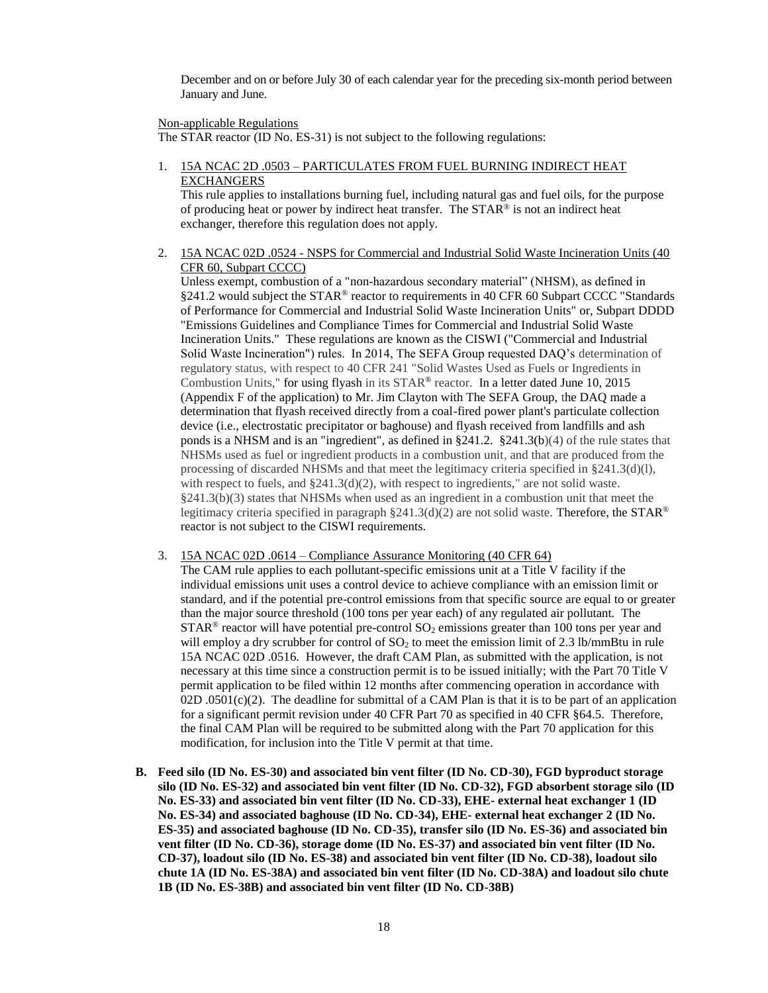December and on or before July 30 of each calendar year for the preceding six-month period between January and June.

## Non-applicable Regulations

The STAR reactor (ID No. ES-31) is not subject to the following regulations:

1. 15A NCAC 2D .0503 – PARTICULATES FROM FUEL BURNING INDIRECT HEAT EXCHANGERS

This rule applies to installations burning fuel, including natural gas and fuel oils, for the purpose of producing heat or power by indirect heat transfer. The STAR® is not an indirect heat exchanger, therefore this regulation does not apply.

2. 15A NCAC 02D .0524 - NSPS for Commercial and Industrial Solid Waste Incineration Units (40 CFR 60, Subpart CCCC)

Unless exempt, combustion of a "non-hazardous secondary material" (NHSM), as defined in §241.2 would subject the STAR® reactor to requirements in 40 CFR 60 Subpart CCCC "Standards of Performance for Commercial and Industrial Solid Waste Incineration Units" or, Subpart DDDD "Emissions Guidelines and Compliance Times for Commercial and Industrial Solid Waste Incineration Units." These regulations are known as the CISWI ("Commercial and Industrial Solid Waste Incineration") rules. In 2014, The SEFA Group requested DAQ's determination of regulatory status, with respect to 40 CFR 241 "Solid Wastes Used as Fuels or Ingredients in Combustion Units," for using flyash in its STAR<sup>®</sup> reactor. In a letter dated June 10, 2015 (Appendix F of the application) to Mr. Jim Clayton with The SEFA Group, the DAQ made a determination that flyash received directly from a coal-fired power plant's particulate collection device (i.e., electrostatic precipitator or baghouse) and flyash received from landfills and ash ponds is a NHSM and is an "ingredient", as defined in  $\S 241.2$ .  $\S 241.3(b)(4)$  of the rule states that NHSMs used as fuel or ingredient products in a combustion unit, and that are produced from the processing of discarded NHSMs and that meet the legitimacy criteria specified in §241.3(d)(l), with respect to fuels, and  $\S 241.3(d)(2)$ , with respect to ingredients," are not solid waste.  $§241.3(b)(3)$  states that NHSMs when used as an ingredient in a combustion unit that meet the legitimacy criteria specified in paragraph  $\S241.3(d)(2)$  are not solid waste. Therefore, the STAR<sup>®</sup> reactor is not subject to the CISWI requirements.

3. 15A NCAC 02D .0614 – Compliance Assurance Monitoring (40 CFR 64)

The CAM rule applies to each pollutant-specific emissions unit at a Title V facility if the individual emissions unit uses a control device to achieve compliance with an emission limit or standard, and if the potential pre-control emissions from that specific source are equal to or greater than the major source threshold (100 tons per year each) of any regulated air pollutant. The  $STAR<sup>®</sup>$  reactor will have potential pre-control  $SO<sub>2</sub>$  emissions greater than 100 tons per year and will employ a dry scrubber for control of  $SO<sub>2</sub>$  to meet the emission limit of 2.3 lb/mmBtu in rule 15A NCAC 02D .0516. However, the draft CAM Plan, as submitted with the application, is not necessary at this time since a construction permit is to be issued initially; with the Part 70 Title V permit application to be filed within 12 months after commencing operation in accordance with 02D .0501(c)(2). The deadline for submittal of a CAM Plan is that it is to be part of an application for a significant permit revision under 40 CFR Part 70 as specified in 40 CFR §64.5. Therefore, the final CAM Plan will be required to be submitted along with the Part 70 application for this modification, for inclusion into the Title V permit at that time.

**B. Feed silo (ID No. ES-30) and associated bin vent filter (ID No. CD-30), FGD byproduct storage silo (ID No. ES-32) and associated bin vent filter (ID No. CD-32), FGD absorbent storage silo (ID No. ES-33) and associated bin vent filter (ID No. CD-33), EHE- external heat exchanger 1 (ID No. ES-34) and associated baghouse (ID No. CD-34), EHE- external heat exchanger 2 (ID No. ES-35) and associated baghouse (ID No. CD-35), transfer silo (ID No. ES-36) and associated bin vent filter (ID No. CD-36), storage dome (ID No. ES-37) and associated bin vent filter (ID No. CD-37), loadout silo (ID No. ES-38) and associated bin vent filter (ID No. CD-38), loadout silo chute 1A (ID No. ES-38A) and associated bin vent filter (ID No. CD-38A) and loadout silo chute 1B (ID No. ES-38B) and associated bin vent filter (ID No. CD-38B)**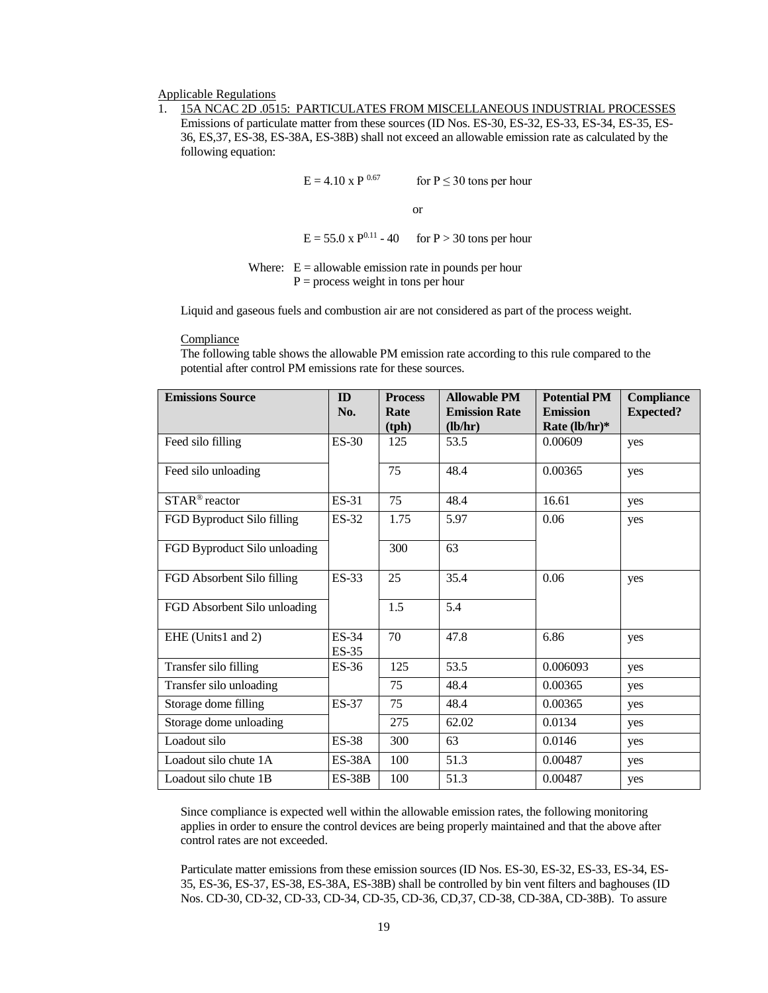### Applicable Regulations

1. 15A NCAC 2D .0515: PARTICULATES FROM MISCELLANEOUS INDUSTRIAL PROCESSES Emissions of particulate matter from these sources (ID Nos. ES-30, ES-32, ES-33, ES-34, ES-35, ES-36, ES,37, ES-38, ES-38A, ES-38B) shall not exceed an allowable emission rate as calculated by the following equation:

 $E = 4.10 \text{ x P}^{0.67}$  for  $P \le 30$  tons per hour

or

 $E = 55.0 \text{ x } P^{0.11} - 40$  for  $P > 30$  tons per hour

Where:  $E =$  allowable emission rate in pounds per hour  $P =$  process weight in tons per hour

Liquid and gaseous fuels and combustion air are not considered as part of the process weight.

#### Compliance

The following table shows the allowable PM emission rate according to this rule compared to the potential after control PM emissions rate for these sources.

| <b>Emissions Source</b>      | ID<br>No.        | <b>Process</b><br>Rate<br>(tph) | <b>Allowable PM</b><br><b>Emission Rate</b><br>(lb/hr) | <b>Potential PM</b><br><b>Emission</b><br>Rate $(lb/hr)*$ | <b>Compliance</b><br><b>Expected?</b> |
|------------------------------|------------------|---------------------------------|--------------------------------------------------------|-----------------------------------------------------------|---------------------------------------|
| Feed silo filling            | <b>ES-30</b>     | 125                             | 53.5                                                   | 0.00609                                                   | yes                                   |
| Feed silo unloading          |                  | 75                              | 48.4                                                   | 0.00365                                                   | yes                                   |
| STAR <sup>®</sup> reactor    | ES-31            | 75                              | 48.4                                                   | 16.61                                                     | yes                                   |
| FGD Byproduct Silo filling   | ES-32            | 1.75                            | 5.97                                                   | 0.06                                                      | yes                                   |
| FGD Byproduct Silo unloading |                  | 300                             | 63                                                     |                                                           |                                       |
| FGD Absorbent Silo filling   | ES-33            | 25                              | 35.4                                                   | 0.06                                                      | yes                                   |
| FGD Absorbent Silo unloading |                  | 1.5                             | 5.4                                                    |                                                           |                                       |
| EHE (Units1 and 2)           | ES-34<br>$ES-35$ | 70                              | 47.8                                                   | 6.86                                                      | yes                                   |
| Transfer silo filling        | $ES-36$          | 125                             | 53.5                                                   | 0.006093                                                  | yes                                   |
| Transfer silo unloading      |                  | 75                              | 48.4                                                   | 0.00365                                                   | yes                                   |
| Storage dome filling         | ES-37            | 75                              | 48.4                                                   | 0.00365                                                   | yes                                   |
| Storage dome unloading       |                  | 275                             | 62.02                                                  | 0.0134                                                    | yes                                   |
| Loadout silo                 | <b>ES-38</b>     | 300                             | 63                                                     | 0.0146                                                    | yes                                   |
| Loadout silo chute 1A        | $ES-38A$         | 100                             | 51.3                                                   | 0.00487                                                   | yes                                   |
| Loadout silo chute 1B        | $ES-38B$         | 100                             | 51.3                                                   | 0.00487                                                   | yes                                   |

Since compliance is expected well within the allowable emission rates, the following monitoring applies in order to ensure the control devices are being properly maintained and that the above after control rates are not exceeded.

Particulate matter emissions from these emission sources (ID Nos. ES-30, ES-32, ES-33, ES-34, ES-35, ES-36, ES-37, ES-38, ES-38A, ES-38B) shall be controlled by bin vent filters and baghouses (ID Nos. CD-30, CD-32, CD-33, CD-34, CD-35, CD-36, CD,37, CD-38, CD-38A, CD-38B). To assure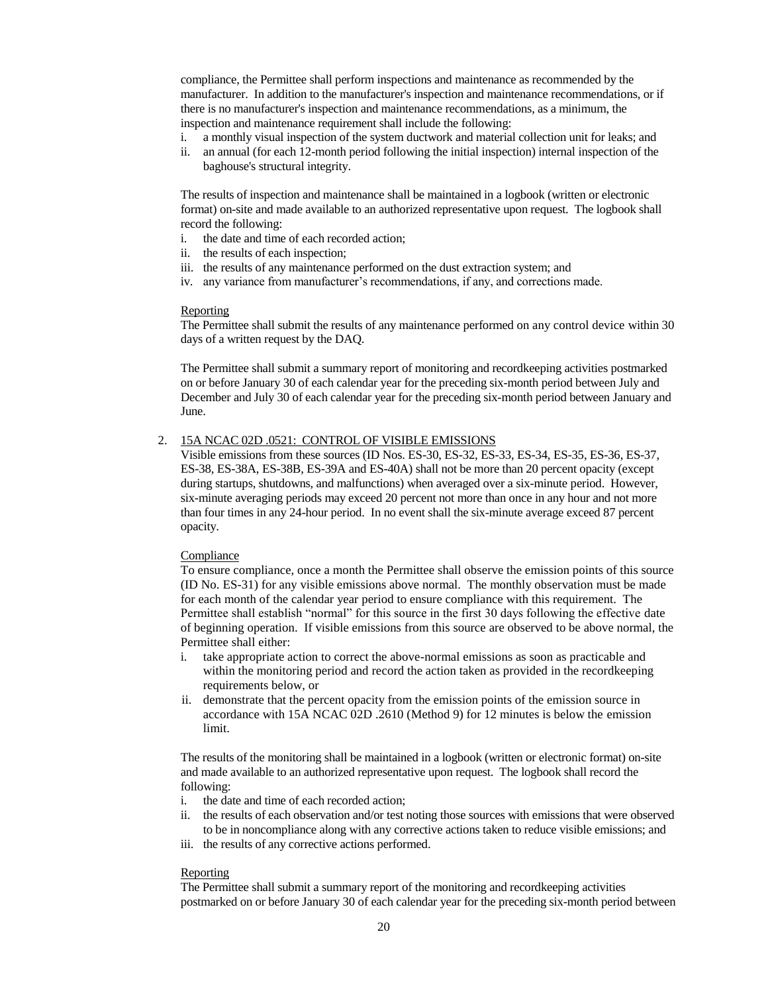compliance, the Permittee shall perform inspections and maintenance as recommended by the manufacturer. In addition to the manufacturer's inspection and maintenance recommendations, or if there is no manufacturer's inspection and maintenance recommendations, as a minimum, the inspection and maintenance requirement shall include the following:

- i. a monthly visual inspection of the system ductwork and material collection unit for leaks; and
- ii. an annual (for each 12-month period following the initial inspection) internal inspection of the baghouse's structural integrity.

The results of inspection and maintenance shall be maintained in a logbook (written or electronic format) on-site and made available to an authorized representative upon request. The logbook shall record the following:

- i. the date and time of each recorded action;
- ii. the results of each inspection;
- iii. the results of any maintenance performed on the dust extraction system; and
- iv. any variance from manufacturer's recommendations, if any, and corrections made.

#### Reporting

The Permittee shall submit the results of any maintenance performed on any control device within 30 days of a written request by the DAQ.

The Permittee shall submit a summary report of monitoring and recordkeeping activities postmarked on or before January 30 of each calendar year for the preceding six-month period between July and December and July 30 of each calendar year for the preceding six-month period between January and June.

# 2. 15A NCAC 02D .0521: CONTROL OF VISIBLE EMISSIONS

Visible emissions from these sources (ID Nos. ES-30, ES-32, ES-33, ES-34, ES-35, ES-36, ES-37, ES-38, ES-38A, ES-38B, ES-39A and ES-40A) shall not be more than 20 percent opacity (except during startups, shutdowns, and malfunctions) when averaged over a six-minute period. However, six-minute averaging periods may exceed 20 percent not more than once in any hour and not more than four times in any 24-hour period. In no event shall the six-minute average exceed 87 percent opacity.

#### Compliance

To ensure compliance, once a month the Permittee shall observe the emission points of this source (ID No. ES-31) for any visible emissions above normal. The monthly observation must be made for each month of the calendar year period to ensure compliance with this requirement. The Permittee shall establish "normal" for this source in the first 30 days following the effective date of beginning operation. If visible emissions from this source are observed to be above normal, the Permittee shall either:

- i. take appropriate action to correct the above-normal emissions as soon as practicable and within the monitoring period and record the action taken as provided in the recordkeeping requirements below, or
- ii. demonstrate that the percent opacity from the emission points of the emission source in accordance with 15A NCAC 02D .2610 (Method 9) for 12 minutes is below the emission limit.

The results of the monitoring shall be maintained in a logbook (written or electronic format) on-site and made available to an authorized representative upon request. The logbook shall record the following:

- i. the date and time of each recorded action;
- ii. the results of each observation and/or test noting those sources with emissions that were observed to be in noncompliance along with any corrective actions taken to reduce visible emissions; and
- iii. the results of any corrective actions performed.

#### Reporting

The Permittee shall submit a summary report of the monitoring and recordkeeping activities postmarked on or before January 30 of each calendar year for the preceding six-month period between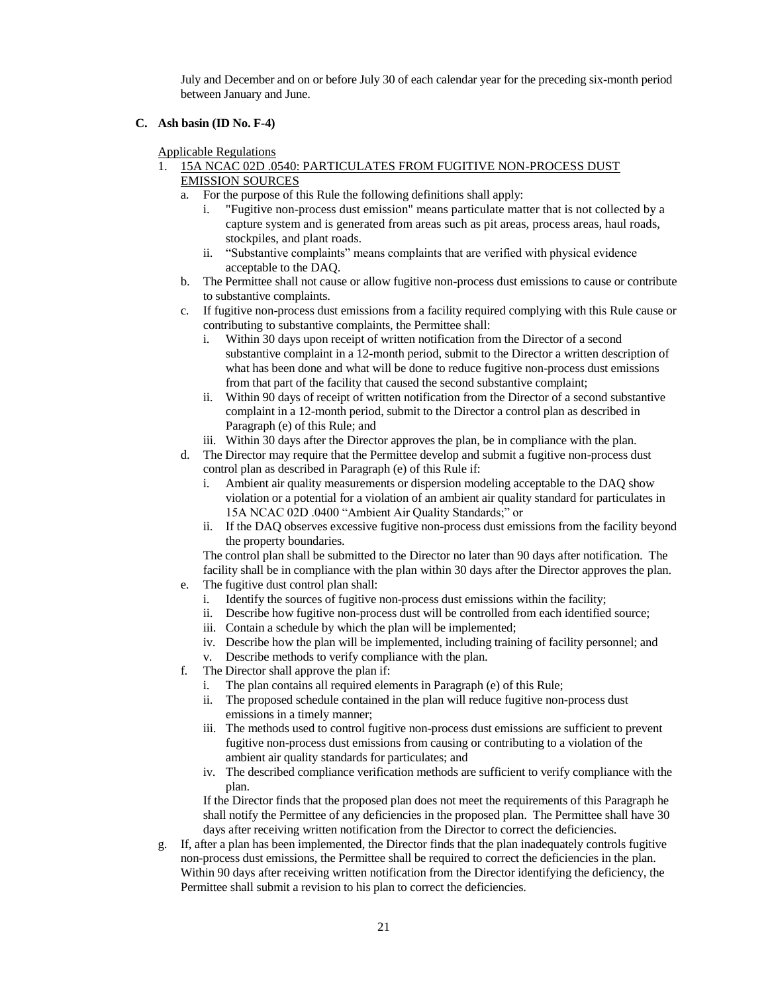July and December and on or before July 30 of each calendar year for the preceding six-month period between January and June.

**C. Ash basin (ID No. F-4)**

Applicable Regulations

- 1. 15A NCAC 02D .0540: PARTICULATES FROM FUGITIVE NON-PROCESS DUST EMISSION SOURCES
	- a. For the purpose of this Rule the following definitions shall apply:
		- i. "Fugitive non-process dust emission" means particulate matter that is not collected by a capture system and is generated from areas such as pit areas, process areas, haul roads, stockpiles, and plant roads.
		- ii. "Substantive complaints" means complaints that are verified with physical evidence acceptable to the DAQ.
	- b. The Permittee shall not cause or allow fugitive non-process dust emissions to cause or contribute to substantive complaints.
	- c. If fugitive non-process dust emissions from a facility required complying with this Rule cause or contributing to substantive complaints, the Permittee shall:
		- i. Within 30 days upon receipt of written notification from the Director of a second substantive complaint in a 12-month period, submit to the Director a written description of what has been done and what will be done to reduce fugitive non-process dust emissions from that part of the facility that caused the second substantive complaint;
		- ii. Within 90 days of receipt of written notification from the Director of a second substantive complaint in a 12-month period, submit to the Director a control plan as described in Paragraph (e) of this Rule; and
		- iii. Within 30 days after the Director approves the plan, be in compliance with the plan.
	- d. The Director may require that the Permittee develop and submit a fugitive non-process dust control plan as described in Paragraph (e) of this Rule if:
		- i. Ambient air quality measurements or dispersion modeling acceptable to the DAQ show violation or a potential for a violation of an ambient air quality standard for particulates in 15A NCAC 02D .0400 "Ambient Air Quality Standards;" or
		- ii. If the DAQ observes excessive fugitive non-process dust emissions from the facility beyond the property boundaries.

The control plan shall be submitted to the Director no later than 90 days after notification. The facility shall be in compliance with the plan within 30 days after the Director approves the plan.

- e. The fugitive dust control plan shall:
	- i. Identify the sources of fugitive non-process dust emissions within the facility;
	- ii. Describe how fugitive non-process dust will be controlled from each identified source;
	- iii. Contain a schedule by which the plan will be implemented;
	- iv. Describe how the plan will be implemented, including training of facility personnel; and
	- v. Describe methods to verify compliance with the plan.
- f. The Director shall approve the plan if:
	- i. The plan contains all required elements in Paragraph (e) of this Rule;
	- ii. The proposed schedule contained in the plan will reduce fugitive non-process dust emissions in a timely manner;
	- iii. The methods used to control fugitive non-process dust emissions are sufficient to prevent fugitive non-process dust emissions from causing or contributing to a violation of the ambient air quality standards for particulates; and
	- iv. The described compliance verification methods are sufficient to verify compliance with the plan.

If the Director finds that the proposed plan does not meet the requirements of this Paragraph he shall notify the Permittee of any deficiencies in the proposed plan. The Permittee shall have 30 days after receiving written notification from the Director to correct the deficiencies.

g. If, after a plan has been implemented, the Director finds that the plan inadequately controls fugitive non-process dust emissions, the Permittee shall be required to correct the deficiencies in the plan. Within 90 days after receiving written notification from the Director identifying the deficiency, the Permittee shall submit a revision to his plan to correct the deficiencies.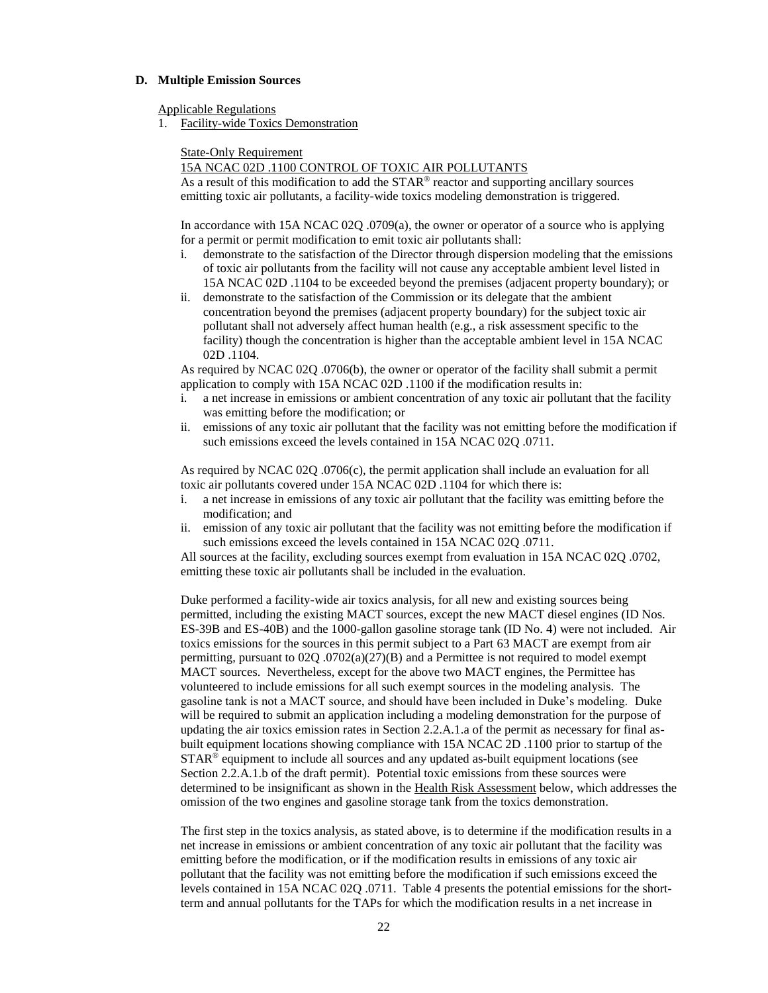#### **D. Multiple Emission Sources**

Applicable Regulations

1. Facility-wide Toxics Demonstration

State-Only Requirement

## 15A NCAC 02D .1100 CONTROL OF TOXIC AIR POLLUTANTS

As a result of this modification to add the STAR® reactor and supporting ancillary sources emitting toxic air pollutants, a facility-wide toxics modeling demonstration is triggered.

In accordance with 15A NCAC 02Q .0709(a), the owner or operator of a source who is applying for a permit or permit modification to emit toxic air pollutants shall:

- i. demonstrate to the satisfaction of the Director through dispersion modeling that the emissions of toxic air pollutants from the facility will not cause any acceptable ambient level listed in 15A NCAC 02D .1104 to be exceeded beyond the premises (adjacent property boundary); or
- ii. demonstrate to the satisfaction of the Commission or its delegate that the ambient concentration beyond the premises (adjacent property boundary) for the subject toxic air pollutant shall not adversely affect human health (e.g., a risk assessment specific to the facility) though the concentration is higher than the acceptable ambient level in 15A NCAC 02D .1104.

As required by NCAC 02Q .0706(b), the owner or operator of the facility shall submit a permit application to comply with 15A NCAC 02D .1100 if the modification results in:

- i. a net increase in emissions or ambient concentration of any toxic air pollutant that the facility was emitting before the modification; or
- ii. emissions of any toxic air pollutant that the facility was not emitting before the modification if such emissions exceed the levels contained in 15A NCAC 02Q .0711.

As required by NCAC 02Q .0706(c), the permit application shall include an evaluation for all toxic air pollutants covered under 15A NCAC 02D .1104 for which there is:

- i. a net increase in emissions of any toxic air pollutant that the facility was emitting before the modification; and
- ii. emission of any toxic air pollutant that the facility was not emitting before the modification if such emissions exceed the levels contained in 15A NCAC 02Q .0711.

All sources at the facility, excluding sources exempt from evaluation in 15A NCAC 02Q .0702, emitting these toxic air pollutants shall be included in the evaluation.

Duke performed a facility-wide air toxics analysis, for all new and existing sources being permitted, including the existing MACT sources, except the new MACT diesel engines (ID Nos. ES-39B and ES-40B) and the 1000-gallon gasoline storage tank (ID No. 4) were not included. Air toxics emissions for the sources in this permit subject to a Part 63 MACT are exempt from air permitting, pursuant to  $02Q$  .0702(a)(27)(B) and a Permittee is not required to model exempt MACT sources. Nevertheless, except for the above two MACT engines, the Permittee has volunteered to include emissions for all such exempt sources in the modeling analysis. The gasoline tank is not a MACT source, and should have been included in Duke's modeling. Duke will be required to submit an application including a modeling demonstration for the purpose of updating the air toxics emission rates in Section 2.2.A.1.a of the permit as necessary for final asbuilt equipment locations showing compliance with 15A NCAC 2D .1100 prior to startup of the  $STAR<sup>®</sup>$  equipment to include all sources and any updated as-built equipment locations (see Section 2.2.A.1.b of the draft permit). Potential toxic emissions from these sources were determined to be insignificant as shown in the Health Risk Assessment below, which addresses the omission of the two engines and gasoline storage tank from the toxics demonstration.

The first step in the toxics analysis, as stated above, is to determine if the modification results in a net increase in emissions or ambient concentration of any toxic air pollutant that the facility was emitting before the modification, or if the modification results in emissions of any toxic air pollutant that the facility was not emitting before the modification if such emissions exceed the levels contained in 15A NCAC 02Q .0711. Table 4 presents the potential emissions for the shortterm and annual pollutants for the TAPs for which the modification results in a net increase in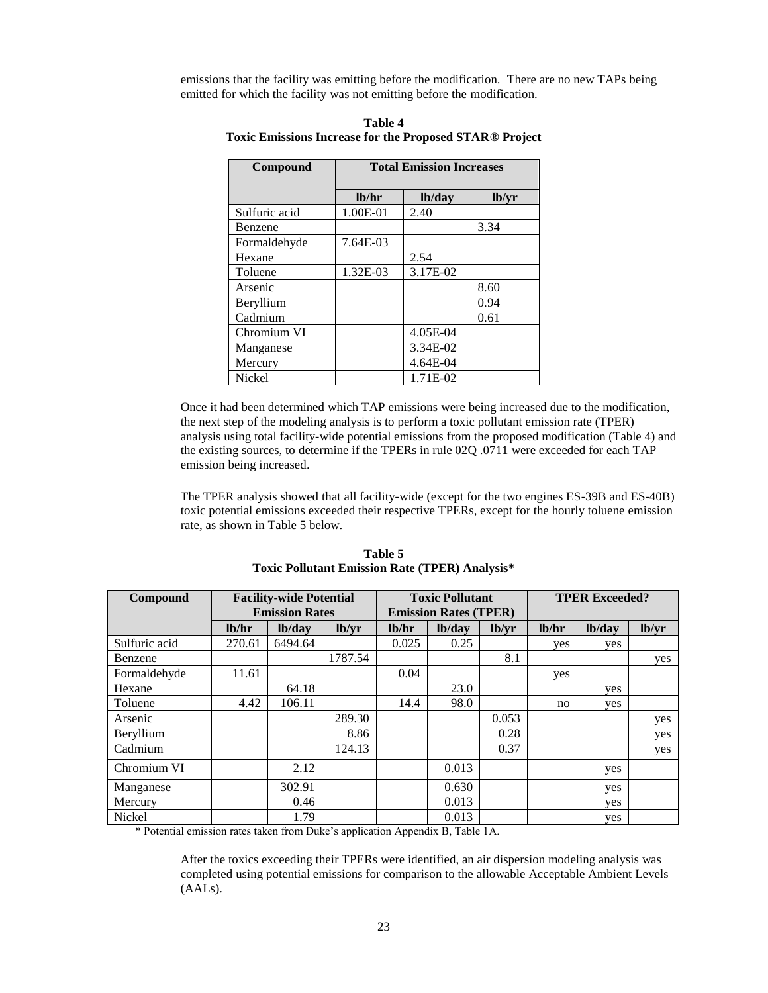emissions that the facility was emitting before the modification. There are no new TAPs being emitted for which the facility was not emitting before the modification.

| Compound      |          | <b>Total Emission Increases</b> |       |
|---------------|----------|---------------------------------|-------|
|               | lb/hr    | lb/day                          | lb/yr |
| Sulfuric acid | 1.00E-01 | 2.40                            |       |
| Benzene       |          |                                 | 3.34  |
| Formaldehyde  | 7.64E-03 |                                 |       |
| Hexane        |          | 2.54                            |       |
| Toluene       | 1.32E-03 | 3.17E-02                        |       |
| Arsenic       |          |                                 | 8.60  |
| Beryllium     |          |                                 | 0.94  |
| Cadmium       |          |                                 | 0.61  |
| Chromium VI   |          | 4.05E-04                        |       |
| Manganese     |          | 3.34E-02                        |       |
| Mercury       |          | 4.64E-04                        |       |
| Nickel        |          | 1.71E-02                        |       |

**Table 4 Toxic Emissions Increase for the Proposed STAR® Project**

Once it had been determined which TAP emissions were being increased due to the modification, the next step of the modeling analysis is to perform a toxic pollutant emission rate (TPER) analysis using total facility-wide potential emissions from the proposed modification (Table 4) and the existing sources, to determine if the TPERs in rule 02Q .0711 were exceeded for each TAP emission being increased.

The TPER analysis showed that all facility-wide (except for the two engines ES-39B and ES-40B) toxic potential emissions exceeded their respective TPERs, except for the hourly toluene emission rate, as shown in Table 5 below.

| Compound      | <b>Facility-wide Potential</b><br><b>Emission Rates</b> |         | <b>Toxic Pollutant</b><br><b>Emission Rates (TPER)</b> |       |        | <b>TPER Exceeded?</b> |       |        |       |
|---------------|---------------------------------------------------------|---------|--------------------------------------------------------|-------|--------|-----------------------|-------|--------|-------|
|               | 1 <sub>b</sub> /hr                                      | lb/day  | lb/vr                                                  | lb/hr | lb/day | lb/vr                 | lb/hr | lb/day | lb/yr |
| Sulfuric acid | 270.61                                                  | 6494.64 |                                                        | 0.025 | 0.25   |                       | yes   | yes    |       |
| Benzene       |                                                         |         | 1787.54                                                |       |        | 8.1                   |       |        | yes   |
| Formaldehyde  | 11.61                                                   |         |                                                        | 0.04  |        |                       | yes   |        |       |
| Hexane        |                                                         | 64.18   |                                                        |       | 23.0   |                       |       | ves    |       |
| Toluene       | 4.42                                                    | 106.11  |                                                        | 14.4  | 98.0   |                       | no    | yes    |       |
| Arsenic       |                                                         |         | 289.30                                                 |       |        | 0.053                 |       |        | yes   |
| Beryllium     |                                                         |         | 8.86                                                   |       |        | 0.28                  |       |        | yes   |
| Cadmium       |                                                         |         | 124.13                                                 |       |        | 0.37                  |       |        | yes   |
| Chromium VI   |                                                         | 2.12    |                                                        |       | 0.013  |                       |       | yes    |       |
| Manganese     |                                                         | 302.91  |                                                        |       | 0.630  |                       |       | ves    |       |
| Mercury       |                                                         | 0.46    |                                                        |       | 0.013  |                       |       | ves    |       |
| Nickel        |                                                         | 1.79    |                                                        |       | 0.013  |                       |       | ves    |       |

**Table 5 Toxic Pollutant Emission Rate (TPER) Analysis\***

\* Potential emission rates taken from Duke's application Appendix B, Table 1A.

After the toxics exceeding their TPERs were identified, an air dispersion modeling analysis was completed using potential emissions for comparison to the allowable Acceptable Ambient Levels (AALs).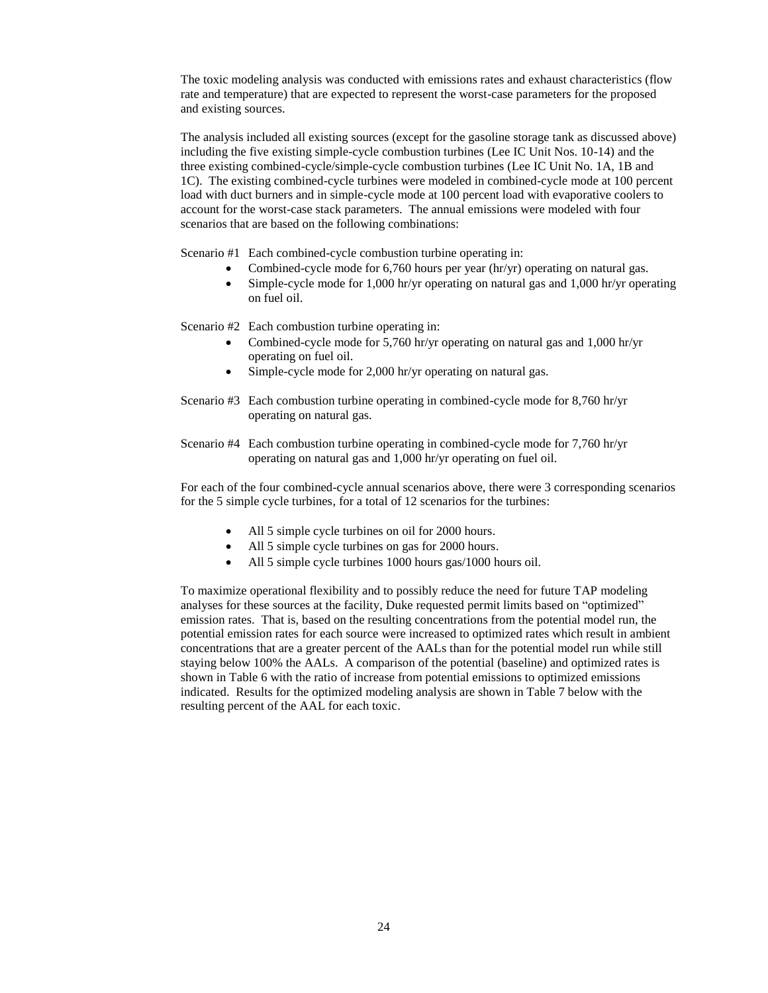The toxic modeling analysis was conducted with emissions rates and exhaust characteristics (flow rate and temperature) that are expected to represent the worst-case parameters for the proposed and existing sources.

The analysis included all existing sources (except for the gasoline storage tank as discussed above) including the five existing simple-cycle combustion turbines (Lee IC Unit Nos. 10-14) and the three existing combined-cycle/simple-cycle combustion turbines (Lee IC Unit No. 1A, 1B and 1C). The existing combined-cycle turbines were modeled in combined-cycle mode at 100 percent load with duct burners and in simple-cycle mode at 100 percent load with evaporative coolers to account for the worst-case stack parameters. The annual emissions were modeled with four scenarios that are based on the following combinations:

Scenario #1 Each combined-cycle combustion turbine operating in:

- Combined-cycle mode for 6,760 hours per year (hr/yr) operating on natural gas.
- Simple-cycle mode for 1,000 hr/yr operating on natural gas and 1,000 hr/yr operating on fuel oil.

Scenario #2 Each combustion turbine operating in:

- Combined-cycle mode for 5,760 hr/yr operating on natural gas and 1,000 hr/yr operating on fuel oil.
- Simple-cycle mode for 2,000 hr/yr operating on natural gas.
- Scenario #3 Each combustion turbine operating in combined-cycle mode for 8,760 hr/yr operating on natural gas.
- Scenario #4 Each combustion turbine operating in combined-cycle mode for 7,760 hr/yr operating on natural gas and 1,000 hr/yr operating on fuel oil.

For each of the four combined-cycle annual scenarios above, there were 3 corresponding scenarios for the 5 simple cycle turbines, for a total of 12 scenarios for the turbines:

- All 5 simple cycle turbines on oil for 2000 hours.
- All 5 simple cycle turbines on gas for 2000 hours.
- All 5 simple cycle turbines 1000 hours gas/1000 hours oil.

To maximize operational flexibility and to possibly reduce the need for future TAP modeling analyses for these sources at the facility, Duke requested permit limits based on "optimized" emission rates. That is, based on the resulting concentrations from the potential model run, the potential emission rates for each source were increased to optimized rates which result in ambient concentrations that are a greater percent of the AALs than for the potential model run while still staying below 100% the AALs. A comparison of the potential (baseline) and optimized rates is shown in Table 6 with the ratio of increase from potential emissions to optimized emissions indicated. Results for the optimized modeling analysis are shown in Table 7 below with the resulting percent of the AAL for each toxic.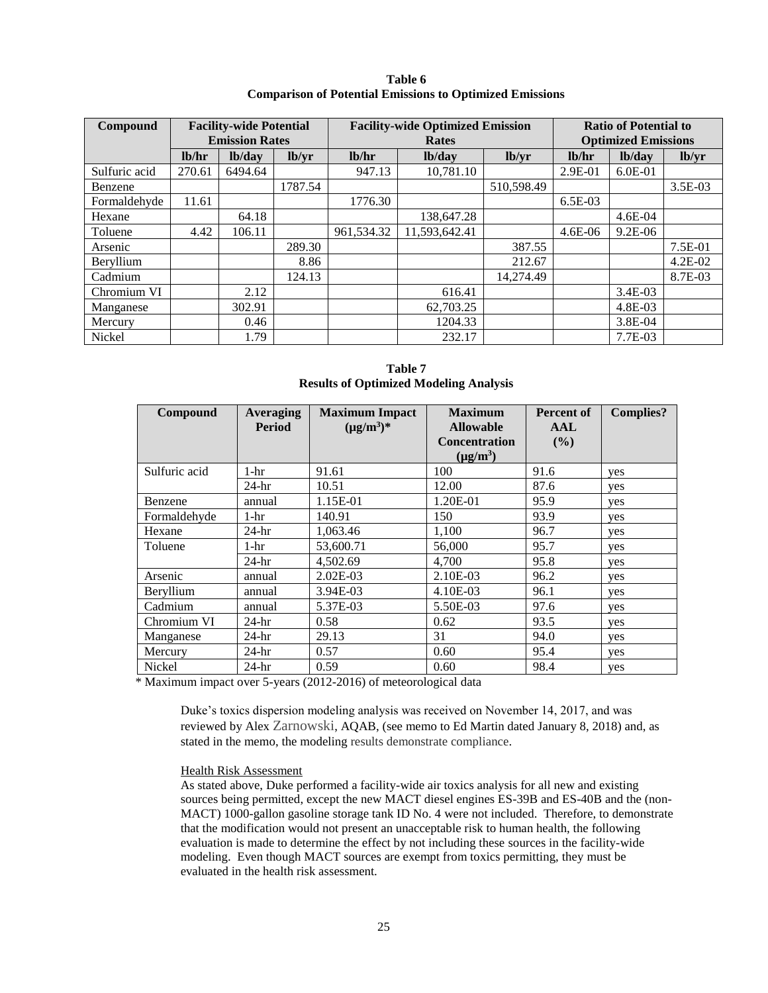| Table 6                                                         |
|-----------------------------------------------------------------|
| <b>Comparison of Potential Emissions to Optimized Emissions</b> |

| Compound      | <b>Facility-wide Potential</b><br><b>Emission Rates</b> |         |         | <b>Facility-wide Optimized Emission</b><br>Rates | <b>Ratio of Potential to</b><br><b>Optimized Emissions</b> |            |                    |           |           |
|---------------|---------------------------------------------------------|---------|---------|--------------------------------------------------|------------------------------------------------------------|------------|--------------------|-----------|-----------|
|               | 1 <sub>h</sub>                                          | lb/day  | lb/yr   | lb/hr                                            | lb/day                                                     | lb/yr      | 1 <sub>b</sub> /hr | lb/day    | lb/yr     |
| Sulfuric acid | 270.61                                                  | 6494.64 |         | 947.13                                           | 10,781.10                                                  |            | $2.9E-01$          | $6.0E-01$ |           |
| Benzene       |                                                         |         | 1787.54 |                                                  |                                                            | 510,598.49 |                    |           | 3.5E-03   |
| Formaldehyde  | 11.61                                                   |         |         | 1776.30                                          |                                                            |            | $6.5E-03$          |           |           |
| Hexane        |                                                         | 64.18   |         |                                                  | 138,647.28                                                 |            |                    | $4.6E-04$ |           |
| Toluene       | 4.42                                                    | 106.11  |         | 961,534.32                                       | 11,593,642.41                                              |            | $4.6E-06$          | $9.2E-06$ |           |
| Arsenic       |                                                         |         | 289.30  |                                                  |                                                            | 387.55     |                    |           | $7.5E-01$ |
| Beryllium     |                                                         |         | 8.86    |                                                  |                                                            | 212.67     |                    |           | 4.2E-02   |
| Cadmium       |                                                         |         | 124.13  |                                                  |                                                            | 14,274.49  |                    |           | 8.7E-03   |
| Chromium VI   |                                                         | 2.12    |         |                                                  | 616.41                                                     |            |                    | $3.4E-03$ |           |
| Manganese     |                                                         | 302.91  |         |                                                  | 62,703.25                                                  |            |                    | 4.8E-03   |           |
| Mercury       |                                                         | 0.46    |         |                                                  | 1204.33                                                    |            |                    | $3.8E-04$ |           |
| Nickel        |                                                         | 1.79    |         |                                                  | 232.17                                                     |            |                    | 7.7E-03   |           |

**Table 7 Results of Optimized Modeling Analysis**

| Compound      | Averaging<br><b>Maximum Impact</b> |                 | <b>Maximum</b>       | <b>Percent of</b> | <b>Complies?</b> |
|---------------|------------------------------------|-----------------|----------------------|-------------------|------------------|
|               | <b>Period</b>                      | $(\mu g/m^3)^*$ | <b>Allowable</b>     | AAL               |                  |
|               |                                    |                 | <b>Concentration</b> | (%)               |                  |
|               |                                    |                 | $(\mu g/m^3)$        |                   |                  |
| Sulfuric acid | 1-hr                               | 91.61           | 100                  | 91.6              | yes              |
|               | $24-hr$                            | 10.51           | 12.00                | 87.6              | yes              |
| Benzene       | annual                             | 1.15E-01        | 1.20E-01             | 95.9              | yes              |
| Formaldehyde  | 1-hr                               | 140.91          | 150                  | 93.9              | yes              |
| Hexane        | $24-hr$                            | 1,063.46        | 1,100                | 96.7              | yes              |
| Toluene       | 1-hr                               | 53,600.71       | 56,000               | 95.7              | yes              |
|               | $24-hr$                            | 4,502.69        | 4,700                | 95.8              | yes              |
| Arsenic       | annual                             | $2.02E-03$      | 2.10E-03             | 96.2              | yes              |
| Beryllium     | annual                             | 3.94E-03        | 4.10E-03             | 96.1              | yes              |
| Cadmium       | annual                             | 5.37E-03        | 5.50E-03             | 97.6              | yes              |
| Chromium VI   | $24-hr$                            | 0.58            | 0.62                 | 93.5              | yes              |
| Manganese     | $24-hr$                            | 29.13           | 31                   | 94.0              | yes              |
| Mercury       | $24-hr$                            | 0.57            | 0.60                 | 95.4              | yes              |
| Nickel        | $24-hr$                            | 0.59            | 0.60                 | 98.4              | yes              |

\* Maximum impact over 5-years (2012-2016) of meteorological data

Duke's toxics dispersion modeling analysis was received on November 14, 2017, and was reviewed by Alex Zarnowski, AQAB, (see memo to Ed Martin dated January 8, 2018) and, as stated in the memo, the modeling results demonstrate compliance.

## Health Risk Assessment

As stated above, Duke performed a facility-wide air toxics analysis for all new and existing sources being permitted, except the new MACT diesel engines ES-39B and ES-40B and the (non-MACT) 1000-gallon gasoline storage tank ID No. 4 were not included. Therefore, to demonstrate that the modification would not present an unacceptable risk to human health, the following evaluation is made to determine the effect by not including these sources in the facility-wide modeling. Even though MACT sources are exempt from toxics permitting, they must be evaluated in the health risk assessment.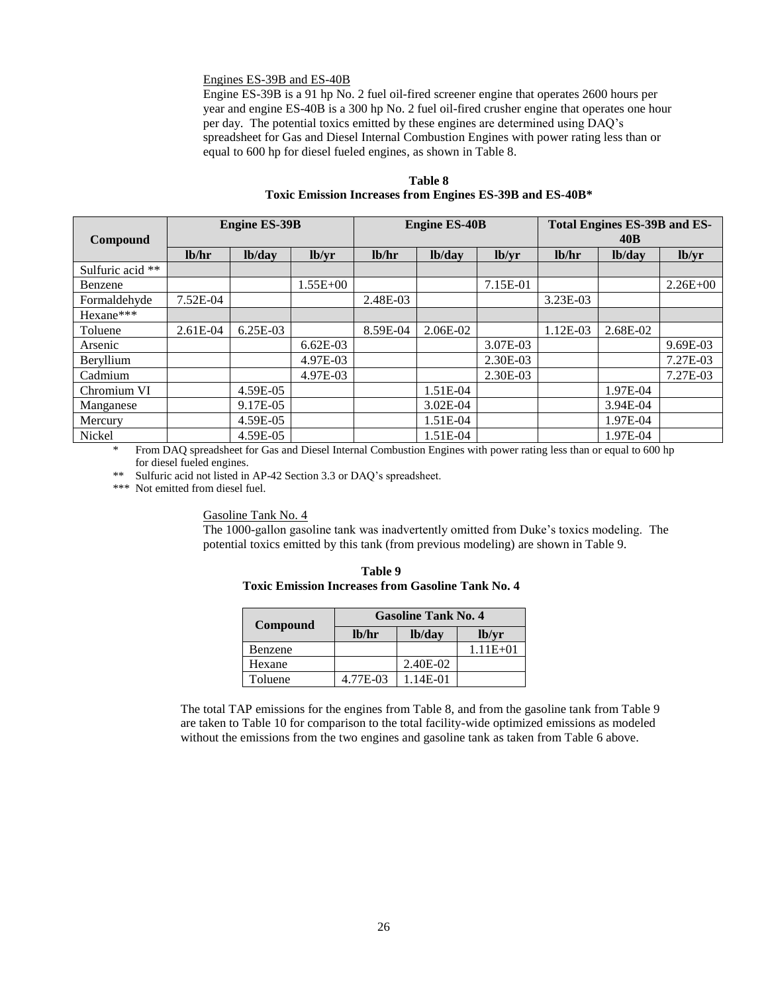#### Engines ES-39B and ES-40B

Engine ES-39B is a 91 hp No. 2 fuel oil-fired screener engine that operates 2600 hours per year and engine ES-40B is a 300 hp No. 2 fuel oil-fired crusher engine that operates one hour per day. The potential toxics emitted by these engines are determined using DAQ's spreadsheet for Gas and Diesel Internal Combustion Engines with power rating less than or equal to 600 hp for diesel fueled engines, as shown in Table 8.

**Table 8 Toxic Emission Increases from Engines ES-39B and ES-40B\***

| Compound         |          | <b>Engine ES-39B</b> |              | <b>Engine ES-40B</b> |              |          | <b>Total Engines ES-39B and ES-</b><br>40B |          |              |
|------------------|----------|----------------------|--------------|----------------------|--------------|----------|--------------------------------------------|----------|--------------|
|                  | lb/hr    | lb/day               | lb/yr        | lb/hr                | lb/day       | lb/yr    | lb/hr                                      | lb/day   | lb/yr        |
| Sulfuric acid ** |          |                      |              |                      |              |          |                                            |          |              |
| Benzene          |          |                      | $1.55E + 00$ |                      |              | 7.15E-01 |                                            |          | $2.26E + 00$ |
| Formaldehyde     | 7.52E-04 |                      |              | 2.48E-03             |              |          | 3.23E-03                                   |          |              |
| Hexane***        |          |                      |              |                      |              |          |                                            |          |              |
| Toluene          | 2.61E-04 | 6.25E-03             |              | 8.59E-04             | 2.06E-02     |          | 1.12E-03                                   | 2.68E-02 |              |
| Arsenic          |          |                      | $6.62E-03$   |                      |              | 3.07E-03 |                                            |          | 9.69E-03     |
| Beryllium        |          |                      | 4.97E-03     |                      |              | 2.30E-03 |                                            |          | 7.27E-03     |
| Cadmium          |          |                      | 4.97E-03     |                      |              | 2.30E-03 |                                            |          | 7.27E-03     |
| Chromium VI      |          | 4.59E-05             |              |                      | 1.51E-04     |          |                                            | 1.97E-04 |              |
| Manganese        |          | 9.17E-05             |              |                      | $3.02E - 04$ |          |                                            | 3.94E-04 |              |
| Mercury          |          | 4.59E-05             |              |                      | 1.51E-04     |          |                                            | 1.97E-04 |              |
| Nickel           |          | 4.59E-05             |              |                      | 1.51E-04     |          |                                            | 1.97E-04 |              |

From DAQ spreadsheet for Gas and Diesel Internal Combustion Engines with power rating less than or equal to 600 hp for diesel fueled engines.

\*\* Sulfuric acid not listed in AP-42 Section 3.3 or DAQ's spreadsheet.

\*\*\* Not emitted from diesel fuel.

Gasoline Tank No. 4

The 1000-gallon gasoline tank was inadvertently omitted from Duke's toxics modeling. The potential toxics emitted by this tank (from previous modeling) are shown in Table 9.

| <b>Toxic Emission Increases from Gasoline Tank No. 4</b> |       |                            |       |  |  |  |
|----------------------------------------------------------|-------|----------------------------|-------|--|--|--|
| Compound                                                 |       | <b>Gasoline Tank No. 4</b> |       |  |  |  |
|                                                          | lb/hr | lb/dav                     | lb/vr |  |  |  |

**Table 9**

| <b>Compound</b> |          |          |              |
|-----------------|----------|----------|--------------|
|                 | $l$ hr   | lb/day   | lb/vr        |
| Benzene         |          |          | $1.11E + 01$ |
| Hexane          |          | 2.40E-02 |              |
| Toluene         | 4.77E-03 | 1.14E-01 |              |

The total TAP emissions for the engines from Table 8, and from the gasoline tank from Table 9 are taken to Table 10 for comparison to the total facility-wide optimized emissions as modeled without the emissions from the two engines and gasoline tank as taken from Table 6 above.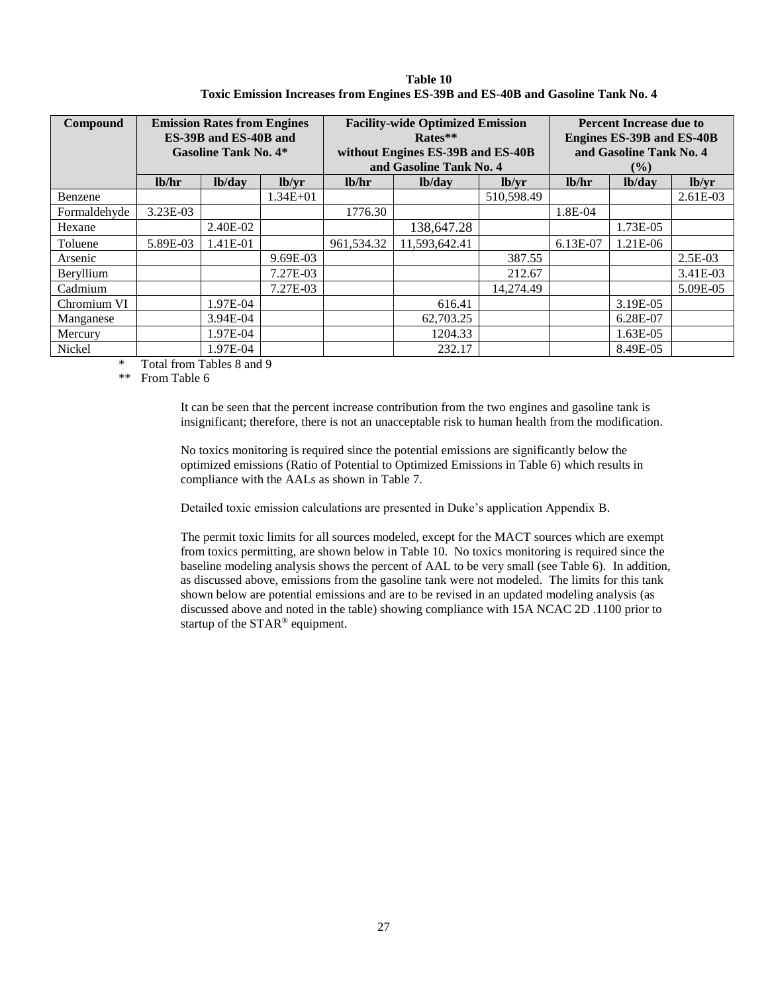| Compound     | <b>Emission Rates from Engines</b><br>ES-39B and ES-40B and<br><b>Gasoline Tank No. 4*</b> |          |              |                    | <b>Facility-wide Optimized Emission</b><br>Rates**<br>without Engines ES-39B and ES-40B<br>and Gasoline Tank No. 4 | <b>Percent Increase due to</b><br><b>Engines ES-39B and ES-40B</b><br>and Gasoline Tank No. 4<br>$($ %) |          |          |           |
|--------------|--------------------------------------------------------------------------------------------|----------|--------------|--------------------|--------------------------------------------------------------------------------------------------------------------|---------------------------------------------------------------------------------------------------------|----------|----------|-----------|
|              | lb/hr                                                                                      | lb/day   | lb/yr        | 1 <sub>b</sub> /hr | lb/day                                                                                                             | lb/yr                                                                                                   | lb/hr    | lb/day   | lb/yr     |
| Benzene      |                                                                                            |          | $1.34E + 01$ |                    |                                                                                                                    | 510,598.49                                                                                              |          |          | 2.61E-03  |
| Formaldehyde | $3.23E-03$                                                                                 |          |              | 1776.30            |                                                                                                                    |                                                                                                         | 1.8E-04  |          |           |
| Hexane       |                                                                                            | 2.40E-02 |              |                    | 138,647.28                                                                                                         |                                                                                                         |          | 1.73E-05 |           |
| Toluene      | 5.89E-03                                                                                   | 1.41E-01 |              | 961,534.32         | 11,593,642.41                                                                                                      |                                                                                                         | 6.13E-07 | 1.21E-06 |           |
| Arsenic      |                                                                                            |          | 9.69E-03     |                    |                                                                                                                    | 387.55                                                                                                  |          |          | $2.5E-03$ |
| Beryllium    |                                                                                            |          | 7.27E-03     |                    |                                                                                                                    | 212.67                                                                                                  |          |          | 3.41E-03  |
| Cadmium      |                                                                                            |          | 7.27E-03     |                    |                                                                                                                    | 14.274.49                                                                                               |          |          | 5.09E-05  |
| Chromium VI  |                                                                                            | 1.97E-04 |              |                    | 616.41                                                                                                             |                                                                                                         |          | 3.19E-05 |           |
| Manganese    |                                                                                            | 3.94E-04 |              |                    | 62,703.25                                                                                                          |                                                                                                         |          | 6.28E-07 |           |
| Mercury      |                                                                                            | 1.97E-04 |              |                    | 1204.33                                                                                                            |                                                                                                         |          | 1.63E-05 |           |
| Nickel       |                                                                                            | 1.97E-04 |              |                    | 232.17                                                                                                             |                                                                                                         |          | 8.49E-05 |           |

**Table 10 Toxic Emission Increases from Engines ES-39B and ES-40B and Gasoline Tank No. 4**

\* Total from Tables 8 and 9

\*\* From Table 6

It can be seen that the percent increase contribution from the two engines and gasoline tank is insignificant; therefore, there is not an unacceptable risk to human health from the modification.

No toxics monitoring is required since the potential emissions are significantly below the optimized emissions (Ratio of Potential to Optimized Emissions in Table 6) which results in compliance with the AALs as shown in Table 7.

Detailed toxic emission calculations are presented in Duke's application Appendix B.

The permit toxic limits for all sources modeled, except for the MACT sources which are exempt from toxics permitting, are shown below in Table 10. No toxics monitoring is required since the baseline modeling analysis shows the percent of AAL to be very small (see Table 6). In addition, as discussed above, emissions from the gasoline tank were not modeled. The limits for this tank shown below are potential emissions and are to be revised in an updated modeling analysis (as discussed above and noted in the table) showing compliance with 15A NCAC 2D .1100 prior to startup of the STAR® equipment.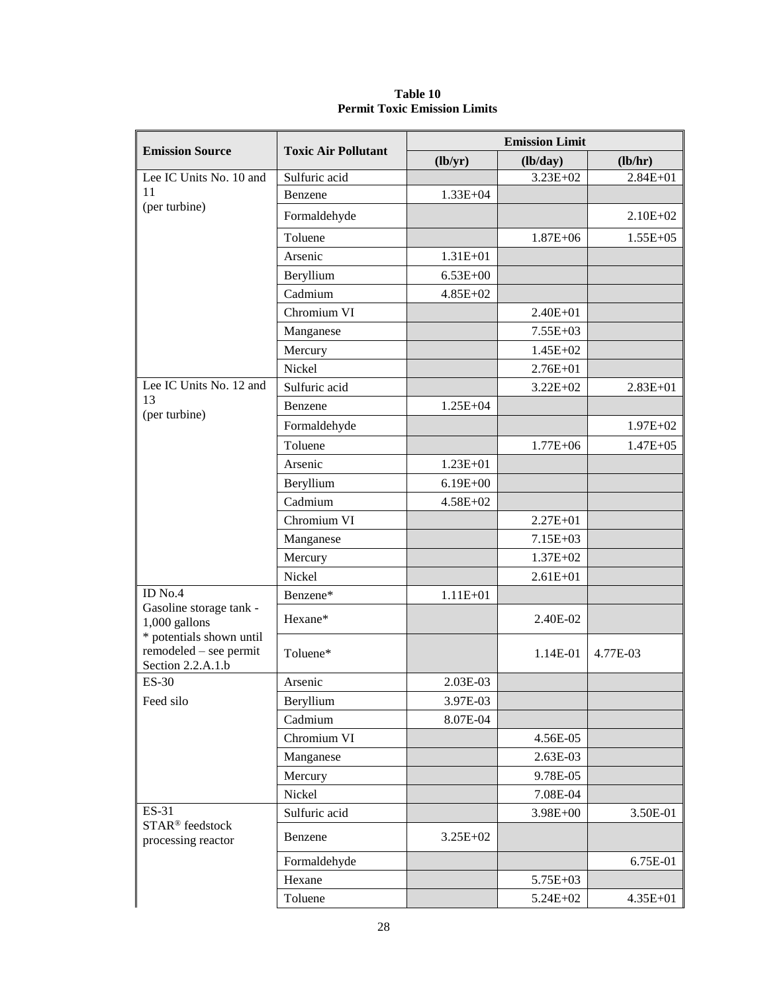|                                                                         |                            | <b>Emission Limit</b> |              |               |  |  |
|-------------------------------------------------------------------------|----------------------------|-----------------------|--------------|---------------|--|--|
| <b>Emission Source</b>                                                  | <b>Toxic Air Pollutant</b> | (lb/yr)               | (lb/day)     | (lb/hr)       |  |  |
| Lee IC Units No. 10 and                                                 | Sulfuric acid              |                       | $3.23E + 02$ | $2.84E + 01$  |  |  |
| 11                                                                      | Benzene                    | $1.33E + 04$          |              |               |  |  |
| (per turbine)                                                           | Formaldehyde               |                       |              | $2.10E + 02$  |  |  |
|                                                                         | Toluene                    |                       | $1.87E + 06$ | $1.55E + 05$  |  |  |
|                                                                         | Arsenic                    | $1.31E + 01$          |              |               |  |  |
|                                                                         | Beryllium                  | $6.53E + 00$          |              |               |  |  |
|                                                                         | Cadmium                    | $4.85E + 02$          |              |               |  |  |
|                                                                         | Chromium VI                |                       | $2.40E + 01$ |               |  |  |
|                                                                         | Manganese                  |                       | $7.55E+03$   |               |  |  |
|                                                                         | Mercury                    |                       | $1.45E+02$   |               |  |  |
|                                                                         | Nickel                     |                       | $2.76E + 01$ |               |  |  |
| Lee IC Units No. 12 and                                                 | Sulfuric acid              |                       | $3.22E + 02$ | $2.83E + 01$  |  |  |
| 13<br>(per turbine)                                                     | Benzene                    | $1.25E + 04$          |              |               |  |  |
|                                                                         | Formaldehyde               |                       |              | $1.97E + 02$  |  |  |
|                                                                         | Toluene                    |                       | $1.77E + 06$ | $1.47E + 0.5$ |  |  |
|                                                                         | Arsenic                    | $1.23E + 01$          |              |               |  |  |
|                                                                         | Beryllium                  | $6.19E + 00$          |              |               |  |  |
|                                                                         | Cadmium                    | 4.58E+02              |              |               |  |  |
|                                                                         | Chromium VI                |                       | $2.27E + 01$ |               |  |  |
|                                                                         | Manganese                  |                       | 7.15E+03     |               |  |  |
|                                                                         | Mercury                    |                       | $1.37E + 02$ |               |  |  |
|                                                                         | Nickel                     |                       | $2.61E + 01$ |               |  |  |
| ID No.4                                                                 | Benzene*                   | $1.11E + 01$          |              |               |  |  |
| Gasoline storage tank -<br>$1,000$ gallons                              | Hexane*                    |                       | 2.40E-02     |               |  |  |
| * potentials shown until<br>remodeled – see permit<br>Section 2.2.A.1.b | Toluene*                   |                       | 1.14E-01     | 4.77E-03      |  |  |
| <b>ES-30</b>                                                            | Arsenic                    | 2.03E-03              |              |               |  |  |
| Feed silo                                                               | Beryllium                  | 3.97E-03              |              |               |  |  |
|                                                                         | Cadmium                    | 8.07E-04              |              |               |  |  |
|                                                                         | Chromium VI                |                       | 4.56E-05     |               |  |  |
|                                                                         | Manganese                  |                       | 2.63E-03     |               |  |  |
|                                                                         | Mercury                    |                       | 9.78E-05     |               |  |  |
|                                                                         | Nickel                     |                       | 7.08E-04     |               |  |  |
| ES-31                                                                   | Sulfuric acid              |                       | 3.98E+00     | 3.50E-01      |  |  |
| STAR <sup>®</sup> feedstock<br>processing reactor                       | Benzene                    | $3.25E + 02$          |              |               |  |  |
|                                                                         | Formaldehyde               |                       |              | 6.75E-01      |  |  |
|                                                                         | Hexane                     |                       | 5.75E+03     |               |  |  |
|                                                                         | Toluene                    |                       | 5.24E+02     | $4.35E + 01$  |  |  |

**Table 10 Permit Toxic Emission Limits**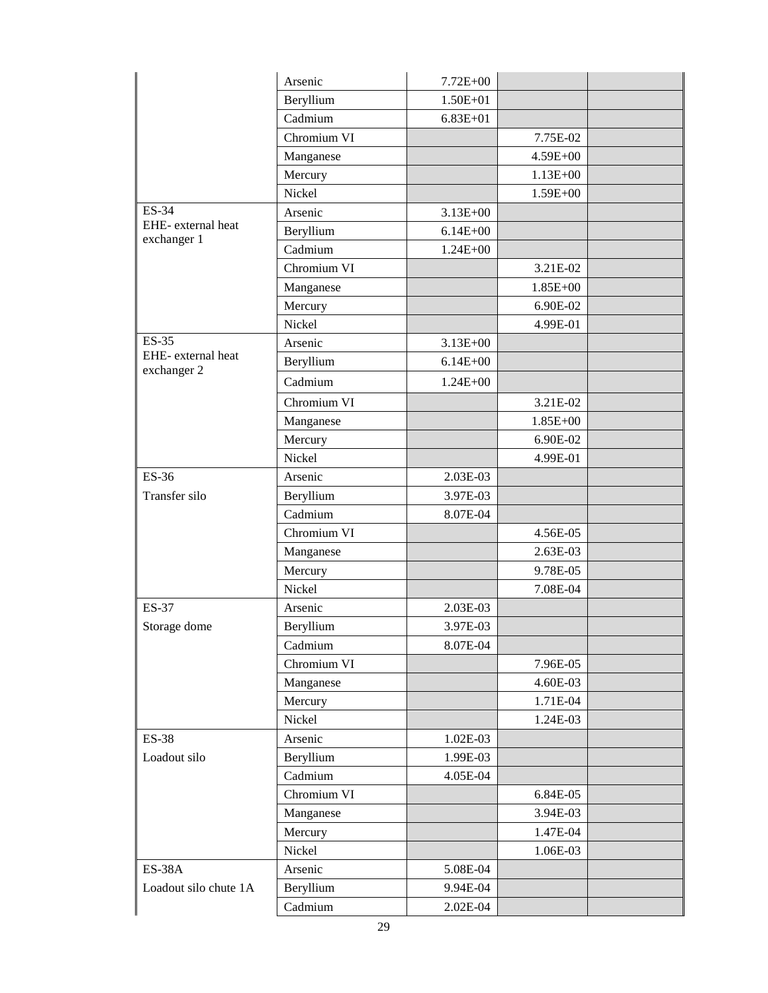|                                   | Arsenic     | 7.72E+00     |              |  |
|-----------------------------------|-------------|--------------|--------------|--|
|                                   | Beryllium   | $1.50E + 01$ |              |  |
|                                   | Cadmium     | $6.83E + 01$ |              |  |
|                                   | Chromium VI |              | 7.75E-02     |  |
|                                   | Manganese   |              | $4.59E + 00$ |  |
|                                   | Mercury     |              | $1.13E + 00$ |  |
|                                   | Nickel      |              | 1.59E+00     |  |
| <b>ES-34</b>                      | Arsenic     | $3.13E + 00$ |              |  |
| EHE- external heat                | Beryllium   | $6.14E + 00$ |              |  |
| exchanger 1                       | Cadmium     | $1.24E + 00$ |              |  |
|                                   | Chromium VI |              | 3.21E-02     |  |
|                                   | Manganese   |              | 1.85E+00     |  |
|                                   | Mercury     |              | 6.90E-02     |  |
|                                   | Nickel      |              | 4.99E-01     |  |
| <b>ES-35</b>                      | Arsenic     | $3.13E + 00$ |              |  |
| EHE- external heat<br>exchanger 2 | Beryllium   | $6.14E + 00$ |              |  |
|                                   | Cadmium     | $1.24E + 00$ |              |  |
|                                   | Chromium VI |              | 3.21E-02     |  |
|                                   | Manganese   |              | 1.85E+00     |  |
|                                   | Mercury     |              | 6.90E-02     |  |
|                                   | Nickel      |              | 4.99E-01     |  |
| ES-36                             | Arsenic     | 2.03E-03     |              |  |
| Transfer silo                     | Beryllium   | 3.97E-03     |              |  |
|                                   | Cadmium     | 8.07E-04     |              |  |
|                                   | Chromium VI |              | 4.56E-05     |  |
|                                   | Manganese   |              | 2.63E-03     |  |
|                                   | Mercury     |              | 9.78E-05     |  |
|                                   | Nickel      |              | 7.08E-04     |  |
| <b>ES-37</b>                      | Arsenic     | 2.03E-03     |              |  |
| Storage dome                      | Beryllium   | 3.97E-03     |              |  |
|                                   | Cadmium     | 8.07E-04     |              |  |
|                                   | Chromium VI |              | 7.96E-05     |  |
|                                   | Manganese   |              | 4.60E-03     |  |
|                                   | Mercury     |              | 1.71E-04     |  |
|                                   | Nickel      |              | 1.24E-03     |  |
| <b>ES-38</b>                      | Arsenic     | 1.02E-03     |              |  |
| Loadout silo                      | Beryllium   | 1.99E-03     |              |  |
|                                   | Cadmium     | 4.05E-04     |              |  |
|                                   | Chromium VI |              | 6.84E-05     |  |
|                                   | Manganese   |              | 3.94E-03     |  |
|                                   | Mercury     |              | 1.47E-04     |  |
|                                   | Nickel      |              | 1.06E-03     |  |
| <b>ES-38A</b>                     | Arsenic     | 5.08E-04     |              |  |
| Loadout silo chute 1A             | Beryllium   | 9.94E-04     |              |  |
|                                   | Cadmium     | 2.02E-04     |              |  |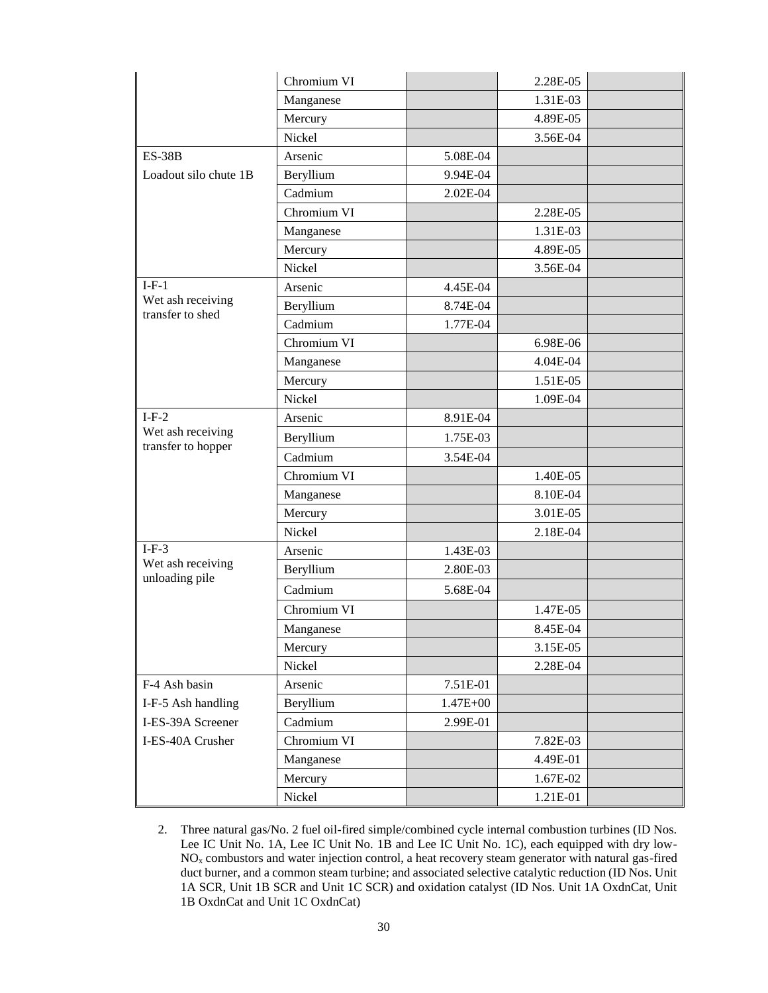|                                         | Chromium VI |              | 2.28E-05 |  |
|-----------------------------------------|-------------|--------------|----------|--|
|                                         | Manganese   |              | 1.31E-03 |  |
|                                         | Mercury     |              | 4.89E-05 |  |
|                                         | Nickel      |              | 3.56E-04 |  |
| $ES-38B$                                | Arsenic     | 5.08E-04     |          |  |
| Loadout silo chute 1B                   | Beryllium   | 9.94E-04     |          |  |
|                                         | Cadmium     | 2.02E-04     |          |  |
|                                         | Chromium VI |              | 2.28E-05 |  |
|                                         | Manganese   |              | 1.31E-03 |  |
|                                         | Mercury     |              | 4.89E-05 |  |
|                                         | Nickel      |              | 3.56E-04 |  |
| $I-F-1$                                 | Arsenic     | 4.45E-04     |          |  |
| Wet ash receiving<br>transfer to shed   | Beryllium   | 8.74E-04     |          |  |
|                                         | Cadmium     | 1.77E-04     |          |  |
|                                         | Chromium VI |              | 6.98E-06 |  |
|                                         | Manganese   |              | 4.04E-04 |  |
|                                         | Mercury     |              | 1.51E-05 |  |
|                                         | Nickel      |              | 1.09E-04 |  |
| $I-F-2$                                 | Arsenic     | 8.91E-04     |          |  |
| Wet ash receiving<br>transfer to hopper | Beryllium   | 1.75E-03     |          |  |
|                                         | Cadmium     | 3.54E-04     |          |  |
|                                         | Chromium VI |              | 1.40E-05 |  |
|                                         | Manganese   |              | 8.10E-04 |  |
|                                         | Mercury     |              | 3.01E-05 |  |
|                                         | Nickel      |              | 2.18E-04 |  |
| $I-F-3$                                 | Arsenic     | 1.43E-03     |          |  |
| Wet ash receiving<br>unloading pile     | Beryllium   | 2.80E-03     |          |  |
|                                         | Cadmium     | 5.68E-04     |          |  |
|                                         | Chromium VI |              | 1.47E-05 |  |
|                                         | Manganese   |              | 8.45E-04 |  |
|                                         | Mercury     |              | 3.15E-05 |  |
|                                         | Nickel      |              | 2.28E-04 |  |
| F-4 Ash basin                           | Arsenic     | 7.51E-01     |          |  |
| I-F-5 Ash handling                      | Beryllium   | $1.47E + 00$ |          |  |
| I-ES-39A Screener                       | Cadmium     | 2.99E-01     |          |  |
| I-ES-40A Crusher                        | Chromium VI |              | 7.82E-03 |  |
|                                         | Manganese   |              | 4.49E-01 |  |
|                                         | Mercury     |              | 1.67E-02 |  |
|                                         | Nickel      |              | 1.21E-01 |  |

2. Three natural gas/No. 2 fuel oil-fired simple/combined cycle internal combustion turbines (ID Nos. Lee IC Unit No. 1A, Lee IC Unit No. 1B and Lee IC Unit No. 1C), each equipped with dry low-NO<sup>x</sup> combustors and water injection control, a heat recovery steam generator with natural gas-fired duct burner, and a common steam turbine; and associated selective catalytic reduction (ID Nos. Unit 1A SCR, Unit 1B SCR and Unit 1C SCR) and oxidation catalyst (ID Nos. Unit 1A OxdnCat, Unit 1B OxdnCat and Unit 1C OxdnCat)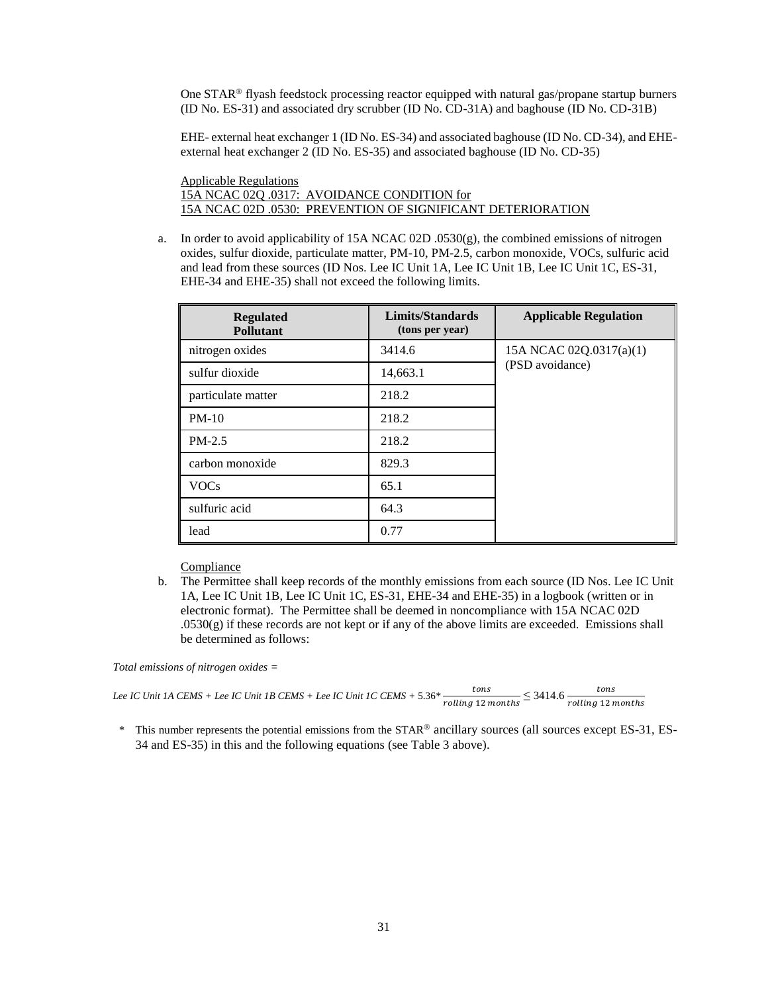One STAR® flyash feedstock processing reactor equipped with natural gas/propane startup burners (ID No. ES-31) and associated dry scrubber (ID No. CD-31A) and baghouse (ID No. CD-31B)

EHE- external heat exchanger 1 (ID No. ES-34) and associated baghouse (ID No. CD-34), and EHEexternal heat exchanger 2 (ID No. ES-35) and associated baghouse (ID No. CD-35)

Applicable Regulations 15A NCAC 02Q .0317: AVOIDANCE CONDITION for 15A NCAC 02D .0530: PREVENTION OF SIGNIFICANT DETERIORATION

a. In order to avoid applicability of 15A NCAC 02D .0530(g), the combined emissions of nitrogen oxides, sulfur dioxide, particulate matter, PM-10, PM-2.5, carbon monoxide, VOCs, sulfuric acid and lead from these sources (ID Nos. Lee IC Unit 1A, Lee IC Unit 1B, Lee IC Unit 1C, ES-31, EHE-34 and EHE-35) shall not exceed the following limits.

| <b>Regulated</b><br><b>Pollutant</b> | Limits/Standards<br>(tons per year) | <b>Applicable Regulation</b> |  |
|--------------------------------------|-------------------------------------|------------------------------|--|
| nitrogen oxides                      | 3414.6                              | 15A NCAC 02Q.0317(a)(1)      |  |
| sulfur dioxide                       | 14,663.1                            | (PSD avoidance)              |  |
| particulate matter                   | 218.2                               |                              |  |
| $PM-10$                              | 218.2                               |                              |  |
| $PM-2.5$                             | 218.2                               |                              |  |
| carbon monoxide                      | 829.3                               |                              |  |
| <b>VOCs</b>                          | 65.1                                |                              |  |
| sulfuric acid                        | 64.3                                |                              |  |
| lead                                 | 0.77                                |                              |  |

Compliance

b. The Permittee shall keep records of the monthly emissions from each source (ID Nos. Lee IC Unit 1A, Lee IC Unit 1B, Lee IC Unit 1C, ES-31, EHE-34 and EHE-35) in a logbook (written or in electronic format). The Permittee shall be deemed in noncompliance with 15A NCAC 02D  $0.0530(g)$  if these records are not kept or if any of the above limits are exceeded. Emissions shall be determined as follows:

*Total emissions of nitrogen oxides =*

*Lee IC Unit 1A CEMS + Lee IC Unit 1B CEMS + Lee IC Unit 1C CEMS +* 5.36*\**   $\frac{tons}{rolling \; 12 \; months}$   $\leq 3414.6 \; \frac{tons}{rolling \; 12 \; months}$ 

*\** This number represents the potential emissions from the STAR® ancillary sources (all sources except ES-31, ES-34 and ES-35) in this and the following equations (see Table 3 above).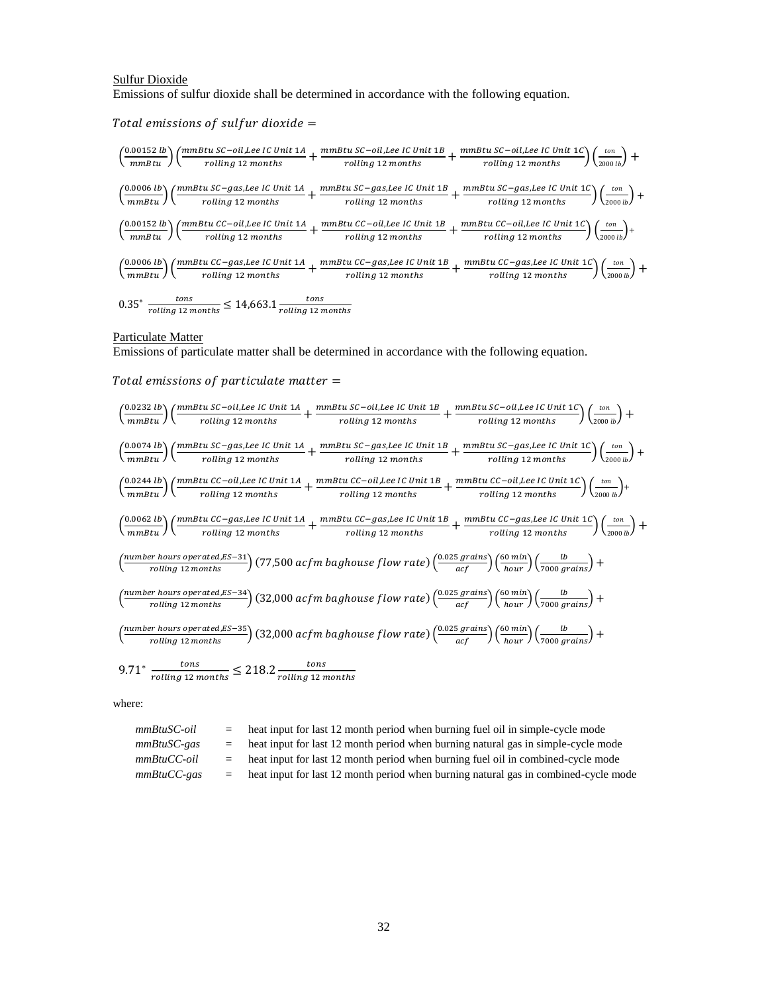# Sulfur Dioxide Emissions of sulfur dioxide shall be determined in accordance with the following equation.

Total emissions of sulfur dioxide  $=$ 

$$
\left(\frac{0.00152 \text{ lb}}{mmBtu}\right) \left(\frac{mmBtu \text{ SC}-oil, \text{Lee IC Unit 1A}}{rolling \text{ 12 months}} + \frac{mmBtu \text{ SC}-oil, \text{Lee IC Unit 1B}}{rolling \text{ 12 months}} + \frac{mmBtu \text{ SC}-oil, \text{Lee IC Unit 1C}}{rolling \text{ 12 months}}\right) \left(\frac{ton}{2000 \text{ lb}}\right) + \left(\frac{0.0006 \text{ lb}}{mmBtu}\right) \left(\frac{mmBtu \text{ SC}-gas, \text{Lee IC Unit 1A}}{rolling \text{ 12 months}} + \frac{mmBtu \text{ SC}-gas, \text{Lee IC Unit 1B}}{rolling \text{ 12 months}} + \frac{mmBtu \text{ SC}-gas, \text{Lee IC Unit 1C}}{rolling \text{ 12 months}}\right) \left(\frac{ton}{2000 \text{ lb}}\right) + \left(\frac{0.00152 \text{ lb}}{mmBtu}\right) \left(\frac{mmBtu \text{ CC}-oil, \text{Lee IC Unit 1A}}{rolling \text{ 12 months}} + \frac{mmBtu \text{ CC}-oil, \text{Lee IC Unit 1B}}{rolling \text{ 12 months}} + \frac{mmBtu \text{ CC}-oil, \text{Lee IC Unit 1C}}{rolling \text{ 12 months}}\right) \left(\frac{ton}{2000 \text{ lb}}\right) + \left(\frac{0.0006 \text{ lb}}{mmBtu}\right) \left(\frac{mmBtu \text{ CC}-gas, \text{Lee IC Unit 1A}}{rolling \text{ 12 months}} + \frac{mmBtu \text{ CC}-gas, \text{Lee IC Unit 1C}}{rolling \text{ 12 months}}\right) \left(\frac{ton}{mmBtu}\right) + \left(\frac{0.0006 \text{ lb}}{nulling \text{ 12 months}}\right) \left(\frac{ton}{12000 \text{ lb}}\right) + \left(\frac{0.0006 \text{ lb}}{nulling \text{ 12 months}}\right) \left(\frac{ton}{2000 \text{ lb}}\right) + \left(\frac{0.0006 \text{ lb}}{nulling \text{ 12 months}}\right) \left(\frac{ton}{mmBtu}\right) \left(\frac{ton}{mmBtu}\right) \left(\frac{ton}{mmBtu}\right) \left(\frac{cm}{mmBtu}\right) \left(\frac{cm}{mm
$$

#### Particulate Matter

Emissions of particulate matter shall be determined in accordance with the following equation.

#### Total emissions of particulate matter  $=$



$$
9.71^* \frac{\text{tons}}{\text{rolling 12 months}} \le 218.2 \frac{\text{tons}}{\text{rolling 12 months}}
$$

where:

| $mmBtuSC$ -oil | heat input for last 12 month period when burning fuel oil in simple-cycle mode      |
|----------------|-------------------------------------------------------------------------------------|
| $mmBtuSC-gas$  | heat input for last 12 month period when burning natural gas in simple-cycle mode   |
| $mmBtuCC$ -oil | heat input for last 12 month period when burning fuel oil in combined-cycle mode    |
| $mmBtuCC$ -gas | heat input for last 12 month period when burning natural gas in combined-cycle mode |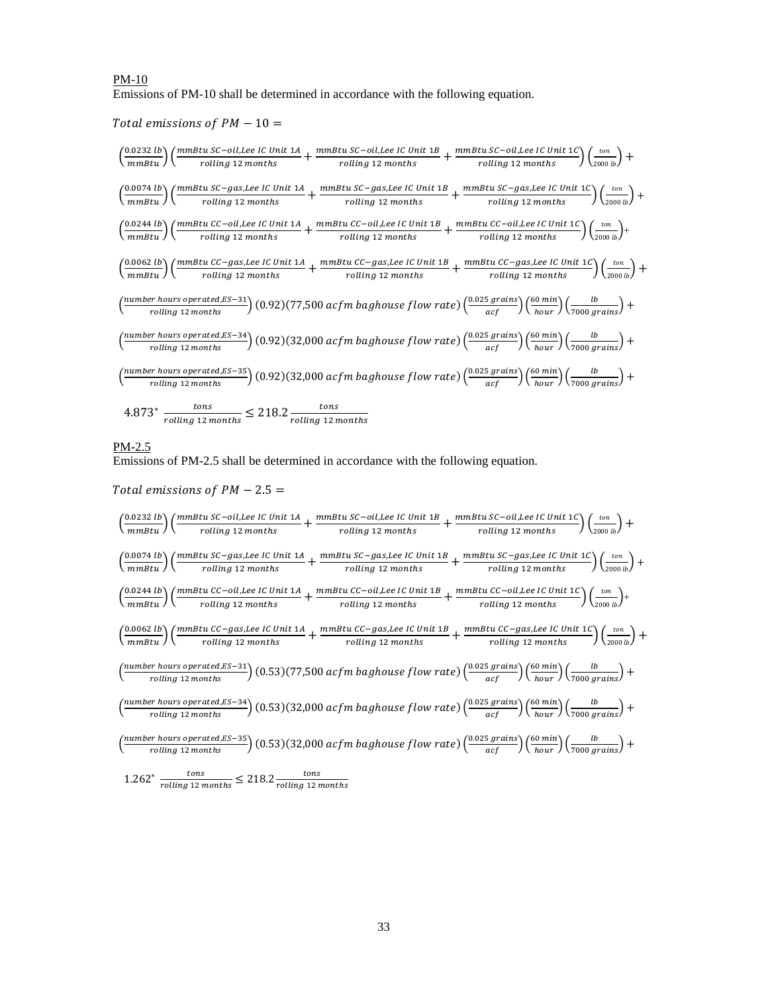# PM-10 Emissions of PM-10 shall be determined in accordance with the following equation.

Total emissions of  $PM - 10 =$ 

$$
\left(\frac{0.0232 \, lb}{mmBtu}\right) \left(\frac{mmBtu \, SC-oil, Lee \, IC \, Unit \, 1A}{rolling \, 12 \, months} + \frac{mmBtu \, SC-oil, Lee \, IC \, Unit \, 1B}{rolling \, 12 \, months} + \frac{mmBtu \, SC-oil, Lee \, IC \, Unit \, 1B}{rolling \, 12 \, months} + \frac{mmBtu \, SC-gas,Lee \, IC \, Unit \, 1B}{rolling \, 12 \, months} + \frac{mmBtu \, SC-gas,Lee \, IC \, Unit \, 1C}{rolling \, 12 \, months} + \frac{mmBtu \, SC-gas,Lee \, IC \, Unit \, 1C}{rolling \, 12 \, months} + \frac{mmBtu \, SC-gas,Lee \, IC \, Unit \, 1C}{rolling \, 12 \, months} + \frac{mmBtu \, CC-oil,Lee \, IC \, Unit \, 1B}{rolling \, 12 \, months} + \frac{mmBtu \, CC-oil,Lee \, IC \, Unit \, 1C}{rolling \, 12 \, months} + \frac{mmBtu \, CC-oil,Lee \, IC \, Unit \, 1C}{rolling \, 12 \, months} + \frac{mmBtu \, CC-oil,Lee \, IC \, Unit \, 1C}{rolling \, 12 \, months} + \frac{mmBtu \, CC-oil,Lee \, IC \, Unit \, 1C}{rolling \, 12 \, months} + \frac{mmBtu \, CC-gas,Lee \, IC \, Unit \, 1C}{rolling \, 12 \, months} + \frac{mmBtu \, CC-gas,Lee \, IC \, Unit \, 1C}{rolling \, 12 \, months} + \frac{0.0062 \, lb}{colling \, 12 \, months} + \frac{0.0062 \, lb}{rolling \, 12 \, months} + \frac{0.0062 \, lb}{rolling \, 12 \, months} + \frac{0.022 \, 25 \, tens}{colling \, 12 \, months} + \frac{0.022 \, 25 \, grains}{colling \, 12 \, months} + \frac{0.0062 \, 5 \, grain \, 1C}{colling \, 12 \, months} + \frac{0.062 \, 5 \, min}{colling \, 12 \, months} + \frac{0.062 \, 5 \, min}{colling \, 12 \
$$

# PM-2.5

Emissions of PM-2.5 shall be determined in accordance with the following equation.

Total emissions of  $PM - 2.5 =$ 

$$
\left(\frac{0.0232 \text{ lb}}{mmBtu}\right) \left(\frac{mmBtu \text{ SC}-oll, Lee \text{ IC Unit } 1A}{rolling \text{ 12 months}} + \frac{mmBtu \text{ SC}-oll,Lee \text{ IC Unit } 1B}{rolling \text{ 12 months}} + \frac{mmBtu \text{ SC}-oll,Lee \text{ IC Unit } 1B}{rolling \text{ 12 months}}\right) \left(\frac{ton}{2000 \text{ lb}}\right) + \left(\frac{0.0074 \text{ lb}}{mmBtu} \right) \left(\frac{mmBtu \text{ SC}-gas,Lee \text{ IC Unit } 1A}{rolling \text{ 12 months}} + \frac{mmBtu \text{ SC}-gas,Lee \text{ IC Unit } 1B}{rolling \text{ 12 months}} + \frac{mmBtu \text{ SC}-gas,Lee \text{ IC Unit } 1C}{rolling \text{ 12 months}}\right) \left(\frac{ton}{2000 \text{ lb}}\right) + \left(\frac{0.0244 \text{ lb}}{mmBtu} \right) \left(\frac{mmBtu \text{ CC}-oll,Lee \text{ IC Unit } 1A}{rolling \text{ 12 months}} + \frac{mmBtu \text{ CC}-oll,Lee \text{ IC Unit } 1B}{rolling \text{ 12 months}} + \frac{mmBtu \text{ CC}-oll,Lee \text{ IC Unit } 1B}{rolling \text{ 12 months}}\right) \left(\frac{ton}{2000 \text{ lb}}\right) + \left(\frac{0.0062 \text{ lb}}{mmBtu} \right) \left(\frac{mmBtu \text{ CC}-gas,Lee \text{ IC Unit } 1A}{rolling \text{ 12 months}} + \frac{mmBtu \text{ CC}-gas,Lee \text{ IC Unit } 1B}{rolling \text{ 12 months}} + \frac{mmBtu \text{ CC}-gas,Lee \text{ IC Unit } 1C}{rolling \text{ 12 months}}\right) \left(\frac{ton}{2000 \text{ lb}}\right) + \left(\frac{mmBtu \text{ CC}-gas,lea \text{ IC Unit } 1A}{rolling \text{ 12 months}} + \frac{mmBtu \text{ CC}-gas,Lee \text{ IC Unit } 1B}{rolling \text{ 12 months}}\right) \left(\frac{ton}{2000 \text{ lb}}\right) + \left(\frac{mmBtu \text{ SC}-gas,Be \text{ IC Unit } 1A}{rolling \text{ 12 months}}\right) \left(\frac{mmBtu}{2
$$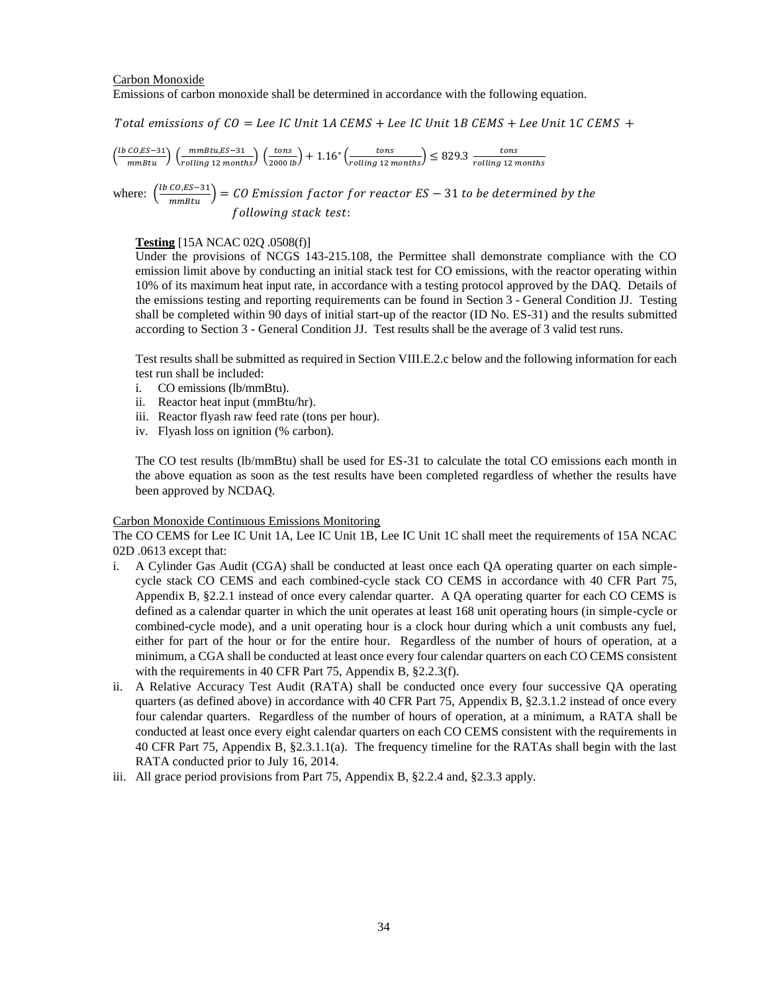# Carbon Monoxide Emissions of carbon monoxide shall be determined in accordance with the following equation.

Total emissions of  $CO = Lee$  IC Unit 1A CEMS + Lee IC Unit 1B CEMS + Lee Unit 1C CEMS +

$$
\left(\frac{lb\ CO, ES-31}{mmBtu}\right) \left(\frac{mmBtu, ES-31}{rolling\ 12\ months}\right) \left(\frac{tons}{2000\ lb}\right) + 1.16^* \left(\frac{tons}{rolling\ 12\ months}\right) \le 829.3\ \frac{tons}{rolling\ 12\ months}
$$

where: 
$$
\left(\frac{lb \text{ }CO, ES-31}{mm_{BU}}\right) = CO
$$
 Emission factor for reactor  $ES - 31$  to be determined by the following stack test:

# **Testing** [15A NCAC 02Q .0508(f)]

Under the provisions of NCGS 143-215.108, the Permittee shall demonstrate compliance with the CO emission limit above by conducting an initial stack test for CO emissions, with the reactor operating within 10% of its maximum heat input rate, in accordance with a testing protocol approved by the DAQ. Details of the emissions testing and reporting requirements can be found in Section 3 - General Condition JJ. Testing shall be completed within 90 days of initial start-up of the reactor (ID No. ES-31) and the results submitted according to Section 3 - General Condition JJ. Test results shall be the average of 3 valid test runs.

Test results shall be submitted as required in Section VIII.E.2.c below and the following information for each test run shall be included:

- i. CO emissions (lb/mmBtu).
- ii. Reactor heat input (mmBtu/hr).
- iii. Reactor flyash raw feed rate (tons per hour).
- iv. Flyash loss on ignition (% carbon).

The CO test results (lb/mmBtu) shall be used for ES-31 to calculate the total CO emissions each month in the above equation as soon as the test results have been completed regardless of whether the results have been approved by NCDAQ.

## Carbon Monoxide Continuous Emissions Monitoring

The CO CEMS for Lee IC Unit 1A, Lee IC Unit 1B, Lee IC Unit 1C shall meet the requirements of 15A NCAC 02D .0613 except that:

- i. A Cylinder Gas Audit (CGA) shall be conducted at least once each QA operating quarter on each simplecycle stack CO CEMS and each combined-cycle stack CO CEMS in accordance with 40 CFR Part 75, Appendix B, §2.2.1 instead of once every calendar quarter. A QA operating quarter for each CO CEMS is defined as a calendar quarter in which the unit operates at least 168 unit operating hours (in simple-cycle or combined-cycle mode), and a unit operating hour is a clock hour during which a unit combusts any fuel, either for part of the hour or for the entire hour. Regardless of the number of hours of operation, at a minimum, a CGA shall be conducted at least once every four calendar quarters on each CO CEMS consistent with the requirements in 40 CFR Part 75, Appendix B, §2.2.3(f).
- ii. A Relative Accuracy Test Audit (RATA) shall be conducted once every four successive QA operating quarters (as defined above) in accordance with 40 CFR Part 75, Appendix B, §2.3.1.2 instead of once every four calendar quarters. Regardless of the number of hours of operation, at a minimum, a RATA shall be conducted at least once every eight calendar quarters on each CO CEMS consistent with the requirements in 40 CFR Part 75, Appendix B, §2.3.1.1(a). The frequency timeline for the RATAs shall begin with the last RATA conducted prior to July 16, 2014.
- iii. All grace period provisions from Part 75, Appendix B, §2.2.4 and, §2.3.3 apply.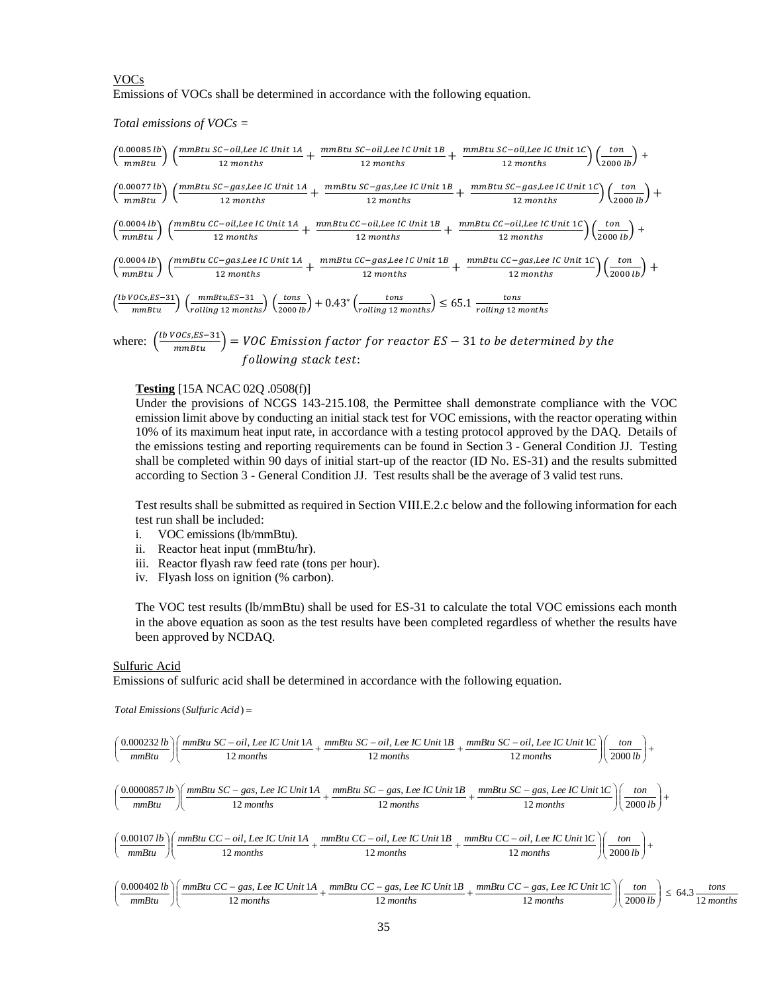# VOCs Emissions of VOCs shall be determined in accordance with the following equation.

*Total emissions of VOCs =*

$$
\left(\frac{0.00085 \text{ lb}}{mmBtu}\right) \left(\frac{mmBtu \text{ SC}-oil, Lee \text{ IC Unit 1A}}{12 \text{ months}} + \frac{mmBtu \text{ SC}-oil,Lee \text{ IC Unit 1B}}{12 \text{ months}} + \frac{mmBtu \text{ SC}-oil,Lee \text{ IC Unit 1C}}{12 \text{ months}}\right) \left(\frac{ton}{2000 \text{ lb}}\right) + \left(\frac{0.00077 \text{ lb}}{mmBtu}\right) \left(\frac{mmBtu \text{ SC}-gas,Lee \text{ IC Unit 1A}}{12 \text{ months}} + \frac{mmBtu \text{ SC}-gas,Lee \text{ IC Unit 1B}}{12 \text{ months}} + \frac{mmBtu \text{ SC}-gas,Lee \text{ IC Unit 1C}}{12 \text{ months}}\right) \left(\frac{ton}{2000 \text{ lb}}\right) + \left(\frac{0.0004 \text{ lb}}{mmBtu}\right) \left(\frac{mmBtu \text{ CC}-oil,Lee \text{ IC Unit 1A}}{12 \text{ months}} + \frac{mmBtu \text{ CC}-oil,Lee \text{ IC Unit 1B}}{12 \text{ months}} + \frac{mmBtu \text{ CC}-oil,Lee \text{ IC Unit 1C}}{12 \text{ months}}\right) \left(\frac{ton}{2000 \text{ lb}}\right) + \left(\frac{0.0004 \text{ lb}}{mmBtu}\right) \left(\frac{mmBtu \text{ CC}-gas,Lee \text{ IC Unit 1A}}{12 \text{ months}} + \frac{mmBtu \text{ CC}-gas,Lee \text{ IC Unit 1B}}{12 \text{ months}} + \frac{mmBtu \text{ CC}-gas,Lee \text{ IC Unit 1C}}{12 \text{ months}}\right) \left(\frac{ton}{2000 \text{ lb}}\right) + \left(\frac{0.0004 \text{ lb}}{mmBtu}\right) \left(\frac{mmBtu \text{ SC}-gas,Lee \text{ IC Unit 1A}}{12 \text{ months}} + \frac{mmBtu \text{ CC}-gas,Lee \text{ IC Unit 1B}}{12 \text{ months}} + \frac{mmBtu \text{ CC}-gas,Lee \text{ IC Unit 1C}}{12 \text{ months}}\right) \left(\frac{ton}{2000 \text{ lb}}\right) + \left(\frac{0.0004 \text{ lb}}{mmBtu}\right) \left(\frac{mmBtu \text{ SC}-31}{12 \text
$$

where:  $\left(\frac{lb\ VOCs, ES-31}{mmBtu}\right) = VOC\ Emission\ factor\ for\ reactor\ ES-31\ to\ be\ determined\ by\ the$ following stack test:

# **Testing** [15A NCAC 02Q .0508(f)]

Under the provisions of NCGS 143-215.108, the Permittee shall demonstrate compliance with the VOC emission limit above by conducting an initial stack test for VOC emissions, with the reactor operating within 10% of its maximum heat input rate, in accordance with a testing protocol approved by the DAQ. Details of the emissions testing and reporting requirements can be found in Section 3 - General Condition JJ. Testing shall be completed within 90 days of initial start-up of the reactor (ID No. ES-31) and the results submitted according to Section 3 - General Condition JJ. Test results shall be the average of 3 valid test runs.

Test results shall be submitted as required in Section VIII.E.2.c below and the following information for each test run shall be included:

- i. VOC emissions (lb/mmBtu).
- ii. Reactor heat input (mmBtu/hr).
- iii. Reactor flyash raw feed rate (tons per hour).
- iv. Flyash loss on ignition (% carbon).

The VOC test results (lb/mmBtu) shall be used for ES-31 to calculate the total VOC emissions each month in the above equation as soon as the test results have been completed regardless of whether the results have been approved by NCDAQ.

### Sulfuric Acid

Emissions of sulfuric acid shall be determined in accordance with the following equation.

 $Total \ Emissions (Sulfuric \ Acid) =$ 

Total Emissions (Sulfuric Acid) =  
\n
$$
\left(\frac{0.000232 \text{ lb}}{mmBtu}\right) \left(\frac{mmBtu \text{ SC} - oil, \text{ Lee IC Unit 1A}}{12 \text{ months}} + \frac{mmBtu \text{ SC} - oil, \text{Lee IC Unit 1B}}{12 \text{ months}} + \frac{mmBtu \text{ SC} - oil, \text{Lee IC Unit 1C}}{12 \text{ months}}\right) \left(\frac{ton}{2000 \text{ lb}}\right) +
$$
\n
$$
\left(\frac{0.0000857 \text{ lb}}{mmBtu}\right) \left(\frac{mmBtu \text{ SC} - gas, \text{Lee IC Unit 1A}}{12 \text{ months}} + \frac{mmBtu \text{ SC} - gas, \text{Lee IC Unit 1B}}{12 \text{ months}} + \frac{mmBtu \text{ SC} - gas, \text{Lee IC Unit 1C}}{12 \text{ months}}\right) \left(\frac{ton}{2000 \text{ lb}}\right) +
$$
\n
$$
\left(\frac{0.00107 \text{ lb}}{mmBtu}\right) \left(\frac{mmBtu \text{ CC} - oil, \text{Lee IC Unit 1A}}{12 \text{ months}} + \frac{mmBtu \text{ CC} - oil, \text{Lee IC Unit 1B}}{12 \text{ months}} + \frac{mmBtu \text{ CC} - oil, \text{Lee IC Unit 1C}}{12 \text{ months}}\right) \left(\frac{ton}{2000 \text{ lb}}\right) +
$$
\n
$$
\left(\frac{0.00107 \text{ lb}}{mmBtu}\right) \left(\frac{mmBtu \text{ CC} - gas, \text{Lee IC Unit 1A}}{12 \text{ months}} + \frac{mmBtu \text{ CC} - gas, \text{Lee IC Unit 1B}}{12 \text{ months}} + \frac{mmBtu \text{ CC} - gas, \text{Lee IC Unit 1C}}{12 \text{ months}}\right) \left(\frac{ton}{2000 \text{ lb}}\right) \leq 64.3 \frac{\text{tons}}{12 \text{ months}}
$$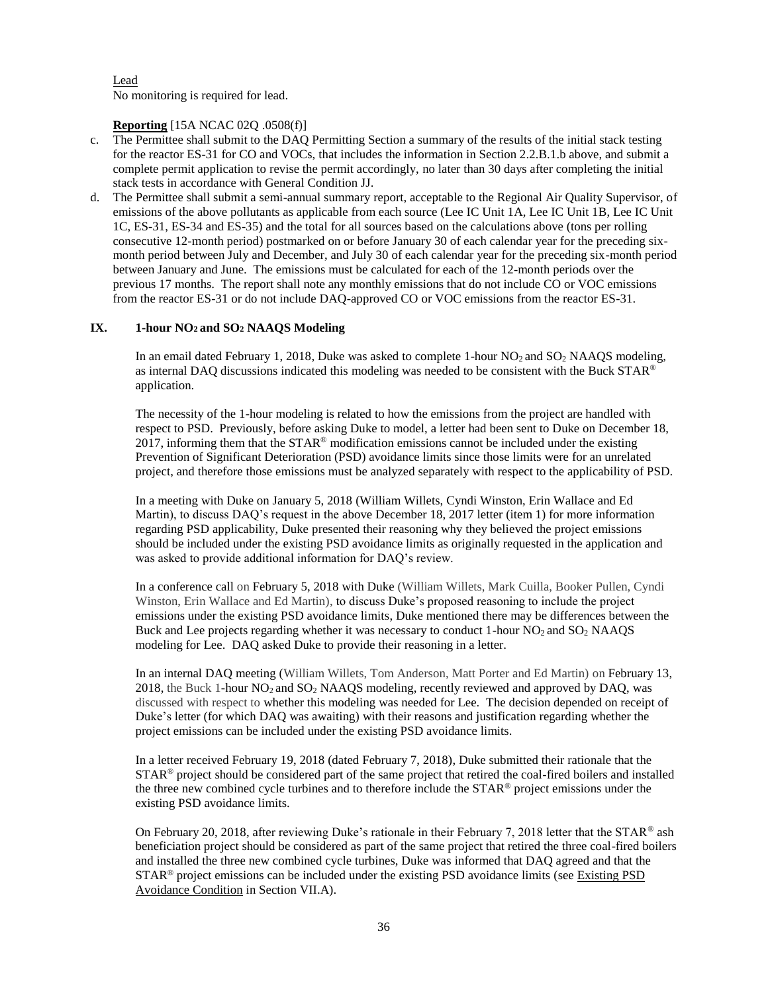Lead No monitoring is required for lead.

# **Reporting** [15A NCAC 02Q .0508(f)]

- c. The Permittee shall submit to the DAQ Permitting Section a summary of the results of the initial stack testing for the reactor ES-31 for CO and VOCs, that includes the information in Section 2.2.B.1.b above, and submit a complete permit application to revise the permit accordingly, no later than 30 days after completing the initial stack tests in accordance with General Condition JJ.
- d. The Permittee shall submit a semi-annual summary report, acceptable to the Regional Air Quality Supervisor, of emissions of the above pollutants as applicable from each source (Lee IC Unit 1A, Lee IC Unit 1B, Lee IC Unit 1C, ES-31, ES-34 and ES-35) and the total for all sources based on the calculations above (tons per rolling consecutive 12-month period) postmarked on or before January 30 of each calendar year for the preceding sixmonth period between July and December, and July 30 of each calendar year for the preceding six-month period between January and June. The emissions must be calculated for each of the 12-month periods over the previous 17 months. The report shall note any monthly emissions that do not include CO or VOC emissions from the reactor ES-31 or do not include DAQ-approved CO or VOC emissions from the reactor ES-31.

# **IX. 1-hour NO2 and SO<sup>2</sup> NAAQS Modeling**

In an email dated February 1, 2018, Duke was asked to complete 1-hour NO<sub>2</sub> and SO<sub>2</sub> NAAQS modeling, as internal DAQ discussions indicated this modeling was needed to be consistent with the Buck STAR® application.

The necessity of the 1-hour modeling is related to how the emissions from the project are handled with respect to PSD. Previously, before asking Duke to model, a letter had been sent to Duke on December 18, 2017, informing them that the  $STAR^{\circledast}$  modification emissions cannot be included under the existing Prevention of Significant Deterioration (PSD) avoidance limits since those limits were for an unrelated project, and therefore those emissions must be analyzed separately with respect to the applicability of PSD.

In a meeting with Duke on January 5, 2018 (William Willets, Cyndi Winston, Erin Wallace and Ed Martin), to discuss DAQ's request in the above December 18, 2017 letter (item 1) for more information regarding PSD applicability, Duke presented their reasoning why they believed the project emissions should be included under the existing PSD avoidance limits as originally requested in the application and was asked to provide additional information for DAQ's review.

In a conference call on February 5, 2018 with Duke (William Willets, Mark Cuilla, Booker Pullen, Cyndi Winston, Erin Wallace and Ed Martin), to discuss Duke's proposed reasoning to include the project emissions under the existing PSD avoidance limits, Duke mentioned there may be differences between the Buck and Lee projects regarding whether it was necessary to conduct 1-hour  $NO_2$  and  $SO_2$  NAAQS modeling for Lee. DAQ asked Duke to provide their reasoning in a letter.

In an internal DAQ meeting (William Willets, Tom Anderson, Matt Porter and Ed Martin) on February 13, 2018, the Buck 1-hour  $NO<sub>2</sub>$  and  $SO<sub>2</sub>$  NAAQS modeling, recently reviewed and approved by DAQ, was discussed with respect to whether this modeling was needed for Lee. The decision depended on receipt of Duke's letter (for which DAQ was awaiting) with their reasons and justification regarding whether the project emissions can be included under the existing PSD avoidance limits.

In a letter received February 19, 2018 (dated February 7, 2018), Duke submitted their rationale that the  $STAR<sup>®</sup>$  project should be considered part of the same project that retired the coal-fired boilers and installed the three new combined cycle turbines and to therefore include the STAR<sup>®</sup> project emissions under the existing PSD avoidance limits.

On February 20, 2018, after reviewing Duke's rationale in their February 7, 2018 letter that the STAR<sup>®</sup> ash beneficiation project should be considered as part of the same project that retired the three coal-fired boilers and installed the three new combined cycle turbines, Duke was informed that DAQ agreed and that the  $STAR<sup>®</sup>$  project emissions can be included under the existing PSD avoidance limits (see Existing PSD Avoidance Condition in Section VII.A).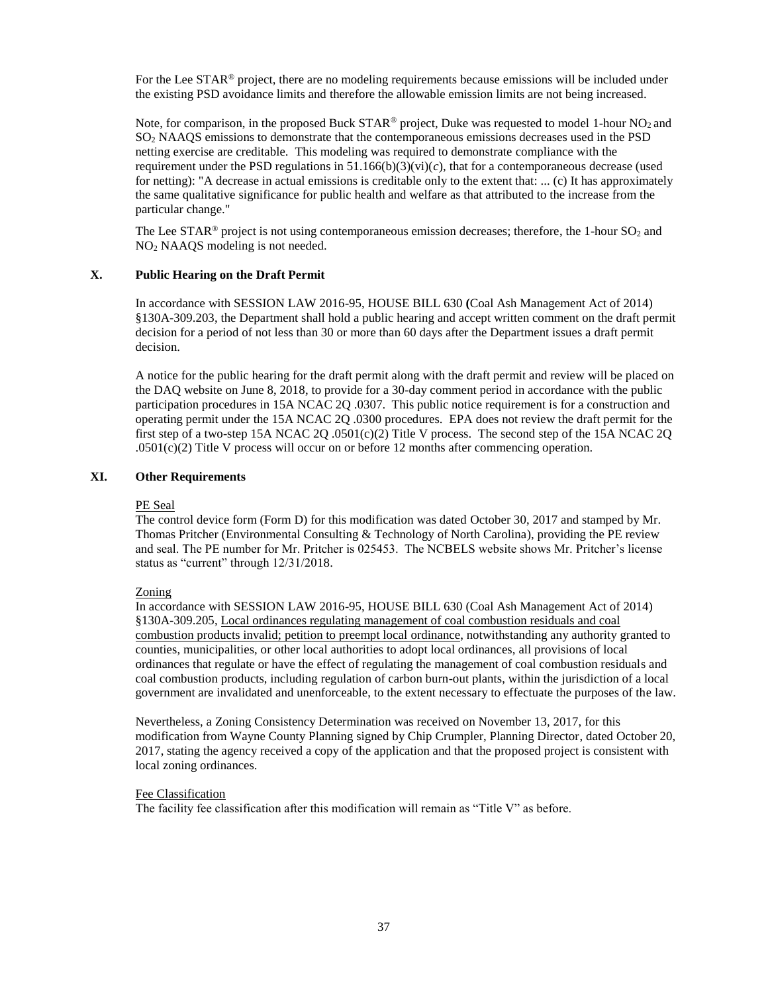For the Lee STAR<sup>®</sup> project, there are no modeling requirements because emissions will be included under the existing PSD avoidance limits and therefore the allowable emission limits are not being increased.

Note, for comparison, in the proposed Buck STAR<sup>®</sup> project, Duke was requested to model 1-hour NO<sub>2</sub> and SO<sup>2</sup> NAAQS emissions to demonstrate that the contemporaneous emissions decreases used in the PSD netting exercise are creditable. This modeling was required to demonstrate compliance with the requirement under the PSD regulations in  $51.166(b)(3)(vi)(c)$ , that for a contemporaneous decrease (used for netting): "A decrease in actual emissions is creditable only to the extent that: ... (c) It has approximately the same qualitative significance for public health and welfare as that attributed to the increase from the particular change."

The Lee STAR<sup>®</sup> project is not using contemporaneous emission decreases; therefore, the 1-hour  $SO<sub>2</sub>$  and NO<sup>2</sup> NAAQS modeling is not needed.

# **X. Public Hearing on the Draft Permit**

In accordance with SESSION LAW 2016-95, HOUSE BILL 630 **(**Coal Ash Management Act of 2014) §130A-309.203, the Department shall hold a public hearing and accept written comment on the draft permit decision for a period of not less than 30 or more than 60 days after the Department issues a draft permit decision.

A notice for the public hearing for the draft permit along with the draft permit and review will be placed on the DAQ website on June 8, 2018, to provide for a 30-day comment period in accordance with the public participation procedures in 15A NCAC 2Q .0307. This public notice requirement is for a construction and operating permit under the 15A NCAC 2Q .0300 procedures. EPA does not review the draft permit for the first step of a two-step 15A NCAC 2Q .0501(c)(2) Title V process. The second step of the 15A NCAC 2Q .0501(c)(2) Title V process will occur on or before 12 months after commencing operation.

# **XI. Other Requirements**

## PE Seal

The control device form (Form D) for this modification was dated October 30, 2017 and stamped by Mr. Thomas Pritcher (Environmental Consulting & Technology of North Carolina), providing the PE review and seal. The PE number for Mr. Pritcher is 025453. The NCBELS website shows Mr. Pritcher's license status as "current" through 12/31/2018.

## Zoning

In accordance with SESSION LAW 2016-95, HOUSE BILL 630 (Coal Ash Management Act of 2014) §130A-309.205, Local ordinances regulating management of coal combustion residuals and coal combustion products invalid; petition to preempt local ordinance, notwithstanding any authority granted to counties, municipalities, or other local authorities to adopt local ordinances, all provisions of local ordinances that regulate or have the effect of regulating the management of coal combustion residuals and coal combustion products, including regulation of carbon burn-out plants, within the jurisdiction of a local government are invalidated and unenforceable, to the extent necessary to effectuate the purposes of the law.

Nevertheless, a Zoning Consistency Determination was received on November 13, 2017, for this modification from Wayne County Planning signed by Chip Crumpler, Planning Director, dated October 20, 2017, stating the agency received a copy of the application and that the proposed project is consistent with local zoning ordinances.

## Fee Classification

The facility fee classification after this modification will remain as "Title V" as before.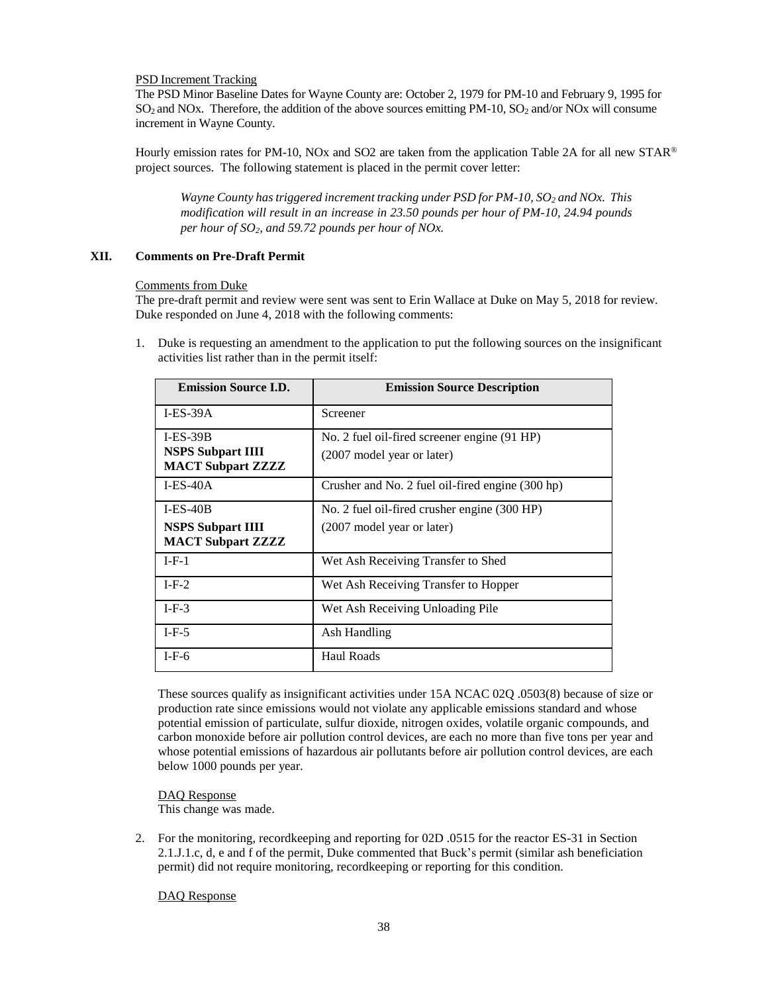# PSD Increment Tracking

The PSD Minor Baseline Dates for Wayne County are: October 2, 1979 for PM-10 and February 9, 1995 for  $SO_2$  and NOx. Therefore, the addition of the above sources emitting PM-10,  $SO_2$  and/or NOx will consume increment in Wayne County.

Hourly emission rates for PM-10, NOx and SO2 are taken from the application Table 2A for all new STAR® project sources. The following statement is placed in the permit cover letter:

*Wayne County has triggered increment tracking under PSD for PM-10, SO<sup>2</sup> and NOx. This modification will result in an increase in 23.50 pounds per hour of PM-10, 24.94 pounds per hour of SO2, and 59.72 pounds per hour of NOx.* 

# **XII. Comments on Pre-Draft Permit**

## Comments from Duke

The pre-draft permit and review were sent was sent to Erin Wallace at Duke on May 5, 2018 for review. Duke responded on June 4, 2018 with the following comments:

1. Duke is requesting an amendment to the application to put the following sources on the insignificant activities list rather than in the permit itself:

| <b>Emission Source I.D.</b>                          | <b>Emission Source Description</b>               |
|------------------------------------------------------|--------------------------------------------------|
| $I-ES-39A$                                           | Screener                                         |
| $I-ES-39B$                                           | No. 2 fuel oil-fired screener engine (91 HP)     |
| <b>NSPS Subpart IIII</b><br><b>MACT Subpart ZZZZ</b> | (2007 model year or later)                       |
| $I-ES-40A$                                           | Crusher and No. 2 fuel oil-fired engine (300 hp) |
| $I-ES-40B$                                           | No. 2 fuel oil-fired crusher engine (300 HP)     |
| <b>NSPS Subpart IIII</b><br><b>MACT Subpart ZZZZ</b> | (2007 model year or later)                       |
| $I-F-1$                                              | Wet Ash Receiving Transfer to Shed               |
| $I-F-2$                                              | Wet Ash Receiving Transfer to Hopper             |
| $I-F-3$                                              | Wet Ash Receiving Unloading Pile                 |
| $I-F-5$                                              | Ash Handling                                     |
| $I-F-6$                                              | <b>Haul Roads</b>                                |

 These sources qualify as insignificant activities under 15A NCAC 02Q .0503(8) because of size or production rate since emissions would not violate any applicable emissions standard and whose potential emission of particulate, sulfur dioxide, nitrogen oxides, volatile organic compounds, and carbon monoxide before air pollution control devices, are each no more than five tons per year and whose potential emissions of hazardous air pollutants before air pollution control devices, are each below 1000 pounds per year.

DAQ Response This change was made.

2. For the monitoring, recordkeeping and reporting for 02D .0515 for the reactor ES-31 in Section 2.1.J.1.c, d, e and f of the permit, Duke commented that Buck's permit (similar ash beneficiation permit) did not require monitoring, recordkeeping or reporting for this condition.

DAQ Response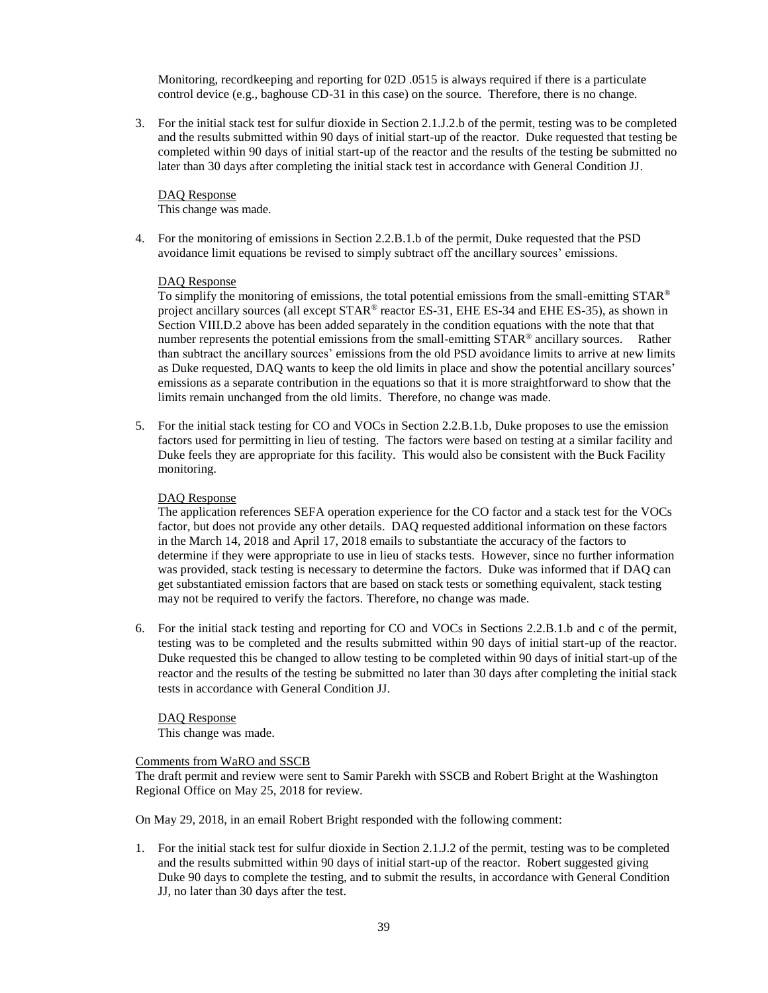Monitoring, recordkeeping and reporting for 02D .0515 is always required if there is a particulate control device (e.g., baghouse CD-31 in this case) on the source. Therefore, there is no change.

3. For the initial stack test for sulfur dioxide in Section 2.1.J.2.b of the permit, testing was to be completed and the results submitted within 90 days of initial start-up of the reactor. Duke requested that testing be completed within 90 days of initial start-up of the reactor and the results of the testing be submitted no later than 30 days after completing the initial stack test in accordance with General Condition JJ.

DAQ Response This change was made.

4. For the monitoring of emissions in Section 2.2.B.1.b of the permit, Duke requested that the PSD avoidance limit equations be revised to simply subtract off the ancillary sources' emissions.

## DAQ Response

To simplify the monitoring of emissions, the total potential emissions from the small-emitting  $STAR^{\circledast}$ project ancillary sources (all except STAR® reactor ES-31, EHE ES-34 and EHE ES-35), as shown in Section VIII.D.2 above has been added separately in the condition equations with the note that that number represents the potential emissions from the small-emitting  $STAR^{\circledcirc}$  ancillary sources. Rather than subtract the ancillary sources' emissions from the old PSD avoidance limits to arrive at new limits as Duke requested, DAQ wants to keep the old limits in place and show the potential ancillary sources' emissions as a separate contribution in the equations so that it is more straightforward to show that the limits remain unchanged from the old limits. Therefore, no change was made.

5. For the initial stack testing for CO and VOCs in Section 2.2.B.1.b, Duke proposes to use the emission factors used for permitting in lieu of testing. The factors were based on testing at a similar facility and Duke feels they are appropriate for this facility. This would also be consistent with the Buck Facility monitoring.

## DAQ Response

The application references SEFA operation experience for the CO factor and a stack test for the VOCs factor, but does not provide any other details. DAQ requested additional information on these factors in the March 14, 2018 and April 17, 2018 emails to substantiate the accuracy of the factors to determine if they were appropriate to use in lieu of stacks tests. However, since no further information was provided, stack testing is necessary to determine the factors. Duke was informed that if DAQ can get substantiated emission factors that are based on stack tests or something equivalent, stack testing may not be required to verify the factors. Therefore, no change was made.

6. For the initial stack testing and reporting for CO and VOCs in Sections 2.2.B.1.b and c of the permit, testing was to be completed and the results submitted within 90 days of initial start-up of the reactor. Duke requested this be changed to allow testing to be completed within 90 days of initial start-up of the reactor and the results of the testing be submitted no later than 30 days after completing the initial stack tests in accordance with General Condition JJ.

## DAQ Response

This change was made.

# Comments from WaRO and SSCB

The draft permit and review were sent to Samir Parekh with SSCB and Robert Bright at the Washington Regional Office on May 25, 2018 for review.

On May 29, 2018, in an email Robert Bright responded with the following comment:

1. For the initial stack test for sulfur dioxide in Section 2.1.J.2 of the permit, testing was to be completed and the results submitted within 90 days of initial start-up of the reactor. Robert suggested giving Duke 90 days to complete the testing, and to submit the results, in accordance with General Condition JJ, no later than 30 days after the test.